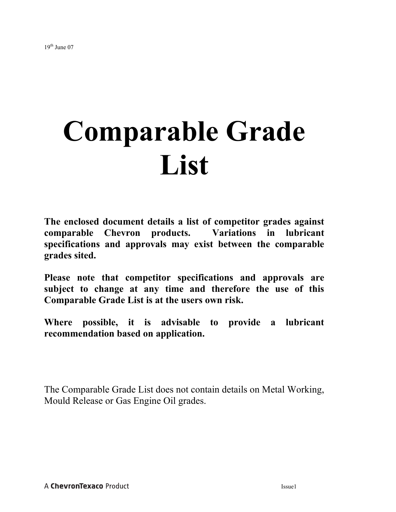## **Comparable Grade List**

**The enclosed document details a list of competitor grades against comparable Chevron products. Variations in lubricant specifications and approvals may exist between the comparable grades sited.** 

**Please note that competitor specifications and approvals are subject to change at any time and therefore the use of this Comparable Grade List is at the users own risk.** 

**Where possible, it is advisable to provide a lubricant recommendation based on application.** 

The Comparable Grade List does not contain details on Metal Working, Mould Release or Gas Engine Oil grades.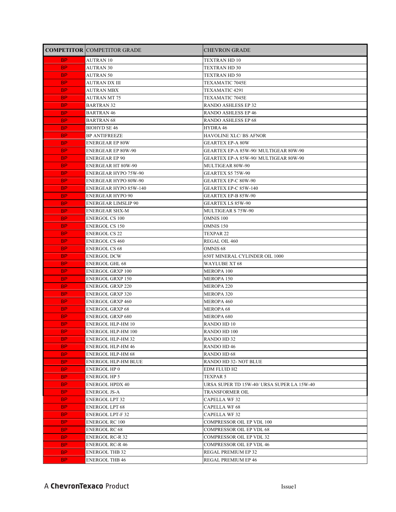|                  | <b>COMPETITOR COMPETITOR GRADE</b> | <b>CHEVRON GRADE</b>                                         |
|------------------|------------------------------------|--------------------------------------------------------------|
| <b>BP</b>        | <b>AUTRAN 10</b>                   | TEXTRAN HD 10                                                |
| <b>BP</b>        | <b>AUTRAN 30</b>                   | TEXTRAN HD 30                                                |
| BP_              | AUTRAN 50                          | TEXTRAN HD 50                                                |
| <b>BP</b>        | AUTRAN DX III                      | TEXAMATIC 7045E                                              |
| BP.              | AUTRAN MBX                         | TEXAMATIC 4291                                               |
| BP.              | <b>AUTRAN MT 75</b>                | TEXAMATIC 7045E                                              |
| <b>BP</b>        | <b>BARTRAN 32</b>                  | RANDO ASHLESS EP 32                                          |
| <b>BP</b>        | <b>BARTRAN 46</b>                  | <b>RANDO ASHLESS EP 46</b>                                   |
| <b>BP</b>        | <b>BARTRAN 68</b>                  | <b>RANDO ASHLESS EP 68</b>                                   |
| BP.              | <b>BIOHYD SE 46</b>                | HYDRA 46                                                     |
| BP.              | <b>BP ANTIFREEZE</b>               | HAVOLINE XLC/ BS AFNOR                                       |
| BP.              | <b>ENERGEAR EP 80W</b>             | <b>GEARTEX EP-A 80W</b>                                      |
| <b>BP</b>        | ENERGEAR EP 80W-90                 | GEARTEX EP-A 85W-90/ MULTIGEAR 80W-90                        |
| <b>BP</b>        | ENERGEAR EP 90                     | GEARTEX EP-A 85W-90/ MULTIGEAR 80W-90                        |
| BP.              | ENERGEAR HT 80W-90                 | MULTIGEAR 80W-90                                             |
| BP.              | ENERGEAR HYPO 75W-90               | GEARTEX S5 75W-90                                            |
| <b>BP</b>        | ENERGEAR HYPO 80W-90               | GEARTEX EP-C 80W-90                                          |
| <b>BP</b>        | ENERGEAR HYPO 85W-140              | GEARTEX EP-C 85W-140                                         |
| BP.              | ENERGEAR HYPO 90                   | <b>GEARTEX EP-B 85W-90</b>                                   |
| <b>BP</b>        | ENERGEAR LIMSLIP 90                | <b>GEARTEX LS 85W-90</b>                                     |
| <b>BP</b>        | ENERGEAR SHX-M                     | MULTIGEAR S 75W-90                                           |
| BP.              | <b>ENERGOL CS 100</b>              | <b>OMNIS 100</b>                                             |
| BP.              | <b>ENERGOL CS 150</b>              | OMNIS 150                                                    |
| BP.              | <b>ENERGOL CS 22</b>               | TEXPAR 22                                                    |
| BP.              | <b>ENERGOL CS 460</b>              | REGAL OIL 460                                                |
| <b>BP</b>        | <b>ENERGOL CS 68</b>               | <b>OMNIS 68</b>                                              |
| <b>BP</b>        | <b>ENERGOL DCW</b>                 | 650T MINERAL CYLINDER OIL 1000                               |
| BP.              | <b>ENERGOL GHL 68</b>              | <b>WAYLUBE XT 68</b>                                         |
| BP.              | ENERGOL GRXP 100                   | <b>MEROPA 100</b>                                            |
| <b>BP</b>        | ENERGOL GRXP 150                   | MEROPA 150                                                   |
| BP.              | ENERGOL GRXP 220                   | MEROPA 220                                                   |
| <b>BP</b>        | ENERGOL GRXP 320                   | MEROPA 320                                                   |
| BP.              | ENERGOL GRXP 460                   | MEROPA 460                                                   |
| BP.              | ENERGOL GRXP 68                    | MEROPA 68                                                    |
| <b>BP</b>        | <b>ENERGOL GRXP 680</b>            | MEROPA 680                                                   |
| <b>BP</b>        | ENERGOL HLP-HM 10                  | RANDO HD 10                                                  |
| BP.              | <b>ENERGOL HLP-HM 100</b>          | RANDO HD 100                                                 |
| <b>BP</b>        | ENERGOL HLP-HM 32                  | RANDO HD 32                                                  |
| <b>BP</b>        | <b>ENERGOL HLP-HM 46</b>           | <b>RANDO HD 46</b>                                           |
| <b>BP</b>        | <b>ENERGOL HLP-HM 68</b>           | RANDO HD 68                                                  |
| <b>BP</b>        | ENERGOL HLP-HM BLUE                | RANDO HD 32- NOT BLUE                                        |
| <b>BP</b>        | <b>ENERGOL HP 0</b>                | EDM FLUID H2                                                 |
| <b>BP</b>        | <b>ENERGOL HP 5</b>                | <b>TEXPAR5</b><br>URSA SUPER TD 15W-40/ URSA SUPER LA 15W-40 |
| <b>BP</b>        | <b>ENERGOL HPDX 40</b>             | <b>TRANSFORMER OIL</b>                                       |
| <b>BP</b>        | <b>ENERGOL JS-A</b>                |                                                              |
| <b>BP</b><br>BP. | <b>ENERGOL LPT 32</b>              | <b>CAPELLA WF32</b><br><b>CAPELLA WF 68</b>                  |
| <b>BP</b>        | ENERGOL LPT 68<br>ENERGOL LPT-F 32 | CAPELLA WF 32                                                |
|                  | ENERGOL RC 100                     | COMPRESSOR OIL EP VDL 100                                    |
| BP.              | ENERGOL RC 68                      | COMPRESSOR OIL EP VDL 68                                     |
| <b>BP</b>        | ENERGOL RC-R 32                    | COMPRESSOR OIL EP VDL 32                                     |
| BP.<br>BP.       | ENERGOL RC-R 46                    | <b>COMPRESSOR OIL EP VDL 46</b>                              |
| <b>BP</b>        | <b>ENERGOL THB 32</b>              | REGAL PREMIUM EP 32                                          |
| <b>BP</b>        | <b>ENERGOL THB 46</b>              | REGAL PREMIUM EP 46                                          |
|                  |                                    |                                                              |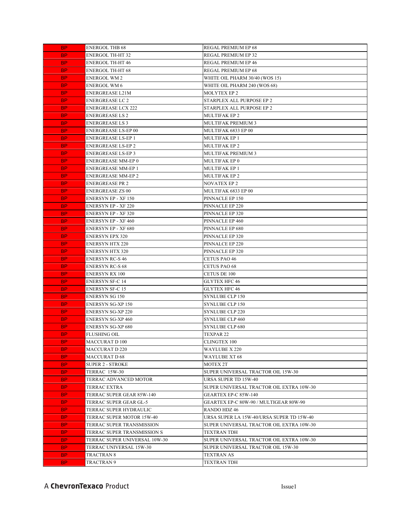| BP.       | ENERGOL THB 68                | <b>REGAL PREMIUM EP 68</b>                |
|-----------|-------------------------------|-------------------------------------------|
| BP.       | ENERGOL TH-HT 32              | REGAL PREMIUM EP 32                       |
| BP.       | <b>ENERGOL TH-HT 46</b>       | REGAL PREMIUM EP 46                       |
| BP.       | ENERGOL TH-HT 68              | REGAL PREMIUM EP 68                       |
| BP.       | ENERGOL WM 2                  | WHITE OIL PHARM 30/40 (WOS 15)            |
| BP.       | ENERGOL WM 6                  | WHITE OIL PHARM 240 (WOS 68)              |
| BP.       | ENERGREASE L21M               | <b>MOLYTEX EP 2</b>                       |
| BP.       | <b>ENERGREASE LC 2</b>        | STARPLEX ALL PURPOSE EP 2                 |
| BP.       | ENERGREASE LCX 222            | STARPLEX ALL PURPOSE EP 2                 |
| BP.       | <b>ENERGREASE LS 2</b>        | <b>MULTIFAK EP 2</b>                      |
| BP.       | ENERGREASE LS 3               | <b>MULTIFAK PREMIUM 3</b>                 |
| BP.       | ENERGREASE LS-EP 00           | MULTIFAK 6833 EP 00                       |
| BP.       | ENERGREASE LS-EP 1            | <b>MULTIFAK EP 1</b>                      |
| BP.       | ENERGREASE LS-EP 2            | <b>MULTIFAK EP 2</b>                      |
| BP.       | ENERGREASE LS-EP 3            | <b>MULTIFAK PREMIUM 3</b>                 |
| BP.       | ENERGREASE MM-EP 0            | MULTIFAK EP 0                             |
| BP.       | ENERGREASE MM-EP 1            | <b>MULTIFAK EP 1</b>                      |
| BP.       | ENERGREASE MM-EP 2            | <b>MULTIFAK EP 2</b>                      |
| BP.       | ENERGREASE PR 2               | <b>NOVATEX EP 2</b>                       |
| BP.       | ENERGREASE ZS 00              | MULTIFAK 6833 EP 00                       |
| BP.       | ENERSYN EP - XF 150           | PINNACLE EP 150                           |
| BP.       | <b>ENERSYN EP - XF 220</b>    | PINNACLE EP 220                           |
| BP.       | ENERSYN EP - XF 320           | PINNACLE EP 320                           |
| BP.       | <b>ENERSYN EP - XF 460</b>    | PINNACLE EP 460                           |
| BP.       | ENERSYN EP - XF 680           | PINNACLE EP 680                           |
| BP.       | <b>ENERSYN EPX 320</b>        | PINNACLE EP 320                           |
| BP.       | <b>ENERSYN HTX 220</b>        | PINNALCE EP 220                           |
| BP.       | <b>ENERSYN HTX 320</b>        | PINNACLE EP 320                           |
| BP.       | ENERSYN RC-S 46               | <b>CETUS PAO 46</b>                       |
| BP.       | ENERSYN RC-S 68               | <b>CETUS PAO 68</b>                       |
| BP.       | ENERSYN RX 100                | <b>CETUS DE 100</b>                       |
| BP.       | ENERSYN SF-C 14               | GLYTEX HFC 46                             |
| BP.       | ENERSYN SF-C 15               | <b>GLYTEX HFC 46</b>                      |
| BP.       | ENERSYN SG 150                | <b>SYNLUBE CLP 150</b>                    |
| BP.       | ENERSYN SG-XP 150             | <b>SYNLUBE CLP 150</b>                    |
| BP.       | ENERSYN SG-XP 220             | <b>SYNLUBE CLP 220</b>                    |
| BP.       | ENERSYN SG-XP 460             | <b>SYNLUBE CLP 460</b>                    |
| BP.       | ENERSYN SG-XP 680             | <b>SYNLUBE CLP 680</b>                    |
| <b>BP</b> | FLUSHING OIL                  | TEXPAR 22                                 |
| BP.       | <b>MACCURAT D 100</b>         | <b>CLINGTEX 100</b>                       |
| BP.       | MACCURAT D 220                | WAYLUBE X 220                             |
| BP.       | <b>MACCURAT D 68</b>          | <b>WAYLUBE XT 68</b>                      |
| BP.       | <b>SUPER 2 - STROKE</b>       | <b>MOTEX 2T</b>                           |
| BP.       | TERRAC 15W-30                 | SUPER UNIVERSAL TRACTOR OIL 15W-30        |
| BP.       | TERRAC ADVANCED MOTOR         | URSA SUPER TD 15W-40                      |
| BP.       | <b>TERRAC EXTRA</b>           | SUPER UNIVERSAL TRACTOR OIL EXTRA 10W-30  |
| BP.       | TERRAC SUPER GEAR 85W-140     | GEARTEX EP-C 85W-140                      |
| BP.       | TERRAC SUPER GEAR GL-5        | GEARTEX EP-C 80W-90 / MULTIGEAR 80W-90    |
| BP.       | TERRAC SUPER HYDRAULIC        | RANDO HDZ 46                              |
| BP.       | TERRAC SUPER MOTOR 15W-40     | URSA SUPER LA 15W-40/URSA SUPER TD 15W-40 |
| BP.       | TERRAC SUPER TRANSMISSION     | SUPER UNIVERSAL TRACTOR OIL EXTRA 10W-30  |
| BP.       | TERRAC SUPER TRANSMISSION S   | <b>TEXTRAN TDH</b>                        |
| BP.       | TERRAC SUPER UNIVERSAL 10W-30 | SUPER UNIVERSAL TRACTOR OIL EXTRA 10W-30  |
| BP.       | TERRAC UNIVERSAL 15W-30       | SUPER UNIVERSAL TRACTOR OIL 15W-30        |
| BP.       | TRACTRAN 8                    | <b>TEXTRAN AS</b>                         |
| BP.       | TRACTRAN 9                    | <b>TEXTRAN TDH</b>                        |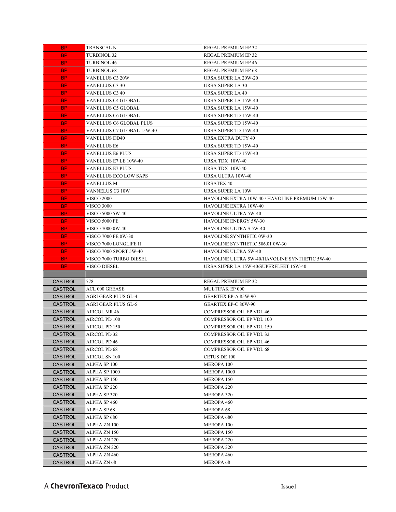| BP.                              | TRANSCAL N                   | REGAL PREMIUM EP 32                             |
|----------------------------------|------------------------------|-------------------------------------------------|
| <b>BP</b>                        | <b>TURBINOL 32</b>           | REGAL PREMIUM EP 32                             |
| BP.                              | <b>TURBINOL 46</b>           | <b>REGAL PREMIUM EP 46</b>                      |
| <b>BP</b>                        | <b>TURBINOL 68</b>           | REGAL PREMIUM EP 68                             |
| BP.                              | VANELLUS C3 20W              | URSA SUPER LA 20W-20                            |
| BP.                              | <b>VANELLUS C3 30</b>        | <b>URSA SUPER LA 30</b>                         |
| BP.                              | <b>VANELLUS C3 40</b>        | <b>URSA SUPER LA 40</b>                         |
| BP.                              | VANELLUS C4 GLOBAL           | URSA SUPER LA 15W-40                            |
| <b>BP</b>                        | VANELLUS C5 GLOBAL           | URSA SUPER LA 15W-40                            |
| BP.                              | <b>VANELLUS C6 GLOBAL</b>    | URSA SUPER TD 15W-40                            |
| BP.                              | VANELLUS C6 GLOBAL PLUS      | URSA SUPER TD 15W-40                            |
| BP.                              | VANELLUS C7 GLOBAL 15W-40    | URSA SUPER TD 15W-40                            |
| BP.                              | <b>VANELLUS DD40</b>         | URSA EXTRA DUTY 40                              |
| BP.                              | <b>VANELLUS E6</b>           | URSA SUPER TD 15W-40                            |
| BP.                              | VANELLUS E6 PLUS             | URSA SUPER TD 15W-40                            |
| BP.                              | VANELLUS E7 LE 10W-40        | <b>URSA TDX 10W-40</b>                          |
| BP.                              | VANELLUS E7 PLUS             | URSA TDX 10W-40                                 |
| <b>BP</b>                        | <b>VANELLUS ECO LOW SAPS</b> | URSA ULTRA 10W-40                               |
| BP.                              | VANELLUS M                   | <b>URSATEX 40</b>                               |
| BP.                              | VANNELUS C3 10W              | URSA SUPER LA 10W                               |
| BP.                              | <b>VISCO 2000</b>            | HAVOLINE EXTRA 10W-40 / HAVOLINE PREMIUM 15W-40 |
| BP.                              | VISCO 3000                   | HAVOLINE EXTRA 10W-40                           |
| BP.                              | VISCO 5000 5W-40             | HAVOLINE ULTRA 5W-40                            |
| BP.                              | VISCO 5000 FE                | <b>HAVOLINE ENERGY 5W-30</b>                    |
| BP.                              | VISCO 7000 0W-40             | HAVOLINE ULTRA S 5W-40                          |
| BP.                              | VISCO 7000 FE 0W-30          | HAVOLINE SYNTHETIC 0W-30                        |
| <b>BP</b>                        | VISCO 7000 LONGLIFE II       | HAVOLINE SYNTHETIC 506.01 0W-30                 |
| BP.                              | VISCO 7000 SPORT 5W-40       | HAVOLINE ULTRA 5W-40                            |
|                                  |                              |                                                 |
| <b>BP</b>                        | VISCO 7000 TURBO DIESEL      | HAVOLINE ULTRA 5W-40/HAVOLINE SYNTHETIC 5W-40   |
| BP.                              | VISCO DIESEL                 | URSA SUPER LA 15W-40/SUPERFLEET 15W-40          |
|                                  |                              |                                                 |
| <b>CASTROL</b>                   | 778                          | <b>REGAL PREMIUM EP 32</b>                      |
| <b>CASTROL</b>                   | <b>ACL 000 GREASE</b>        | MULTIFAK EP 000                                 |
| <b>CASTROL</b>                   | <b>AGRI GEAR PLUS GL-4</b>   | GEARTEX EP-A 85W-90                             |
| <b>CASTROL</b>                   | AGRI GEAR PLUS GL-5          | <b>GEARTEX EP-C 80W-90</b>                      |
| <b>CASTROL</b>                   | <b>AIRCOL MR 46</b>          | <b>COMPRESSOR OIL EP VDL 46</b>                 |
| <b>CASTROL</b>                   | AIRCOL PD 100                | COMPRESSOR OIL EP VDL 100                       |
| <b>CASTROL</b>                   | AIRCOL PD 150                | COMPRESSOR OIL EP VDL 150                       |
| CASTROL                          | AIRCOL PD 32                 | COMPRESSOR OIL EP VDL 32                        |
| <b>CASTROL</b>                   | AIRCOL PD 46                 | COMPRESSOR OIL EP VDL 46                        |
| <b>CASTROL</b>                   | AIRCOL PD 68                 | <b>COMPRESSOR OIL EP VDL 68</b>                 |
| <b>CASTROL</b>                   | AIRCOL SN 100                | CETUS DE 100                                    |
| CASTROL                          | ALPHA SP 100                 | <b>MEROPA 100</b>                               |
| <b>CASTROL</b>                   | ALPHA SP 1000                | MEROPA 1000                                     |
| <b>CASTROL</b>                   | ALPHA SP 150                 | MEROPA 150                                      |
| <b>CASTROL</b>                   | ALPHA SP 220                 | <b>MEROPA 220</b>                               |
| <b>CASTROL</b>                   | ALPHA SP 320                 | MEROPA 320                                      |
| <b>CASTROL</b>                   | ALPHA SP 460                 | <b>MEROPA 460</b>                               |
| <b>CASTROL</b>                   | ALPHA SP 68                  | <b>MEROPA 68</b>                                |
| <b>CASTROL</b>                   | ALPHA SP 680                 | MEROPA 680                                      |
| <b>CASTROL</b>                   | ALPHA ZN 100                 | <b>MEROPA 100</b>                               |
| <b>CASTROL</b>                   | ALPHA ZN 150                 | MEROPA 150                                      |
| CASTROL                          | ALPHA ZN 220                 | <b>MEROPA 220</b>                               |
| <b>CASTROL</b>                   | ALPHA ZN 320                 | MEROPA 320                                      |
| <b>CASTROL</b><br><b>CASTROL</b> | ALPHA ZN 460<br>ALPHA ZN 68  | <b>MEROPA 460</b><br>MEROPA 68                  |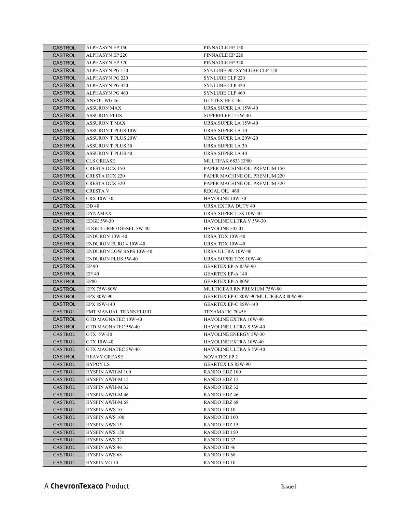| <b>CASTROL</b> | ALPHASYN EP 150                | PINNACLE EP 150                      |
|----------------|--------------------------------|--------------------------------------|
| <b>CASTROL</b> | <b>ALPHASYN EP 220</b>         | PINNACLE EP 220                      |
| <b>CASTROL</b> | <b>ALPHASYN EP 320</b>         | PINNACLE EP 320                      |
| <b>CASTROL</b> | <b>ALPHASYN PG 150</b>         | SYNLUBE 90 / SYNLUBE CLP 150         |
| <b>CASTROL</b> | ALPHASYN PG 220                | SYNLUBE CLP 220                      |
| <b>CASTROL</b> | <b>ALPHASYN PG 320</b>         | SYNLUBE CLP 320                      |
| <b>CASTROL</b> | ALPHASYN PG 460                | SYNLUBE CLP 460                      |
| <b>CASTROL</b> | ANVOL WG 46                    | <b>GLYTEX HF-C 46</b>                |
| <b>CASTROL</b> | <b>ASSURON MAX</b>             | URSA SUPER LA 15W-40                 |
| <b>CASTROL</b> | <b>ASSURON PLUS</b>            | SUPERFLEET 15W-40                    |
| <b>CASTROL</b> | <b>ASSURON T MAX</b>           | URSA SUPER LA 15W-40                 |
| <b>CASTROL</b> | <b>ASSURON T PLUS 10W</b>      | URSA SUPER LA 10                     |
| <b>CASTROL</b> | <b>ASSURON T PLUS 20W</b>      | URSA SUPER LA 20W-20                 |
| <b>CASTROL</b> | <b>ASSURON T PLUS 30</b>       | URSA SUPER LA 30                     |
| <b>CASTROL</b> | <b>ASSURON T PLUS 40</b>       | URSA SUPER LA 40                     |
| <b>CASTROL</b> | <b>CLS GREASE</b>              | MULTIFAK 6833 EP00                   |
| <b>CASTROL</b> | CRESTA DCX 150                 | PAPER MACHINE OIL PREMIUM 150        |
| <b>CASTROL</b> | <b>CRESTA DCX 220</b>          | PAPER MACHINE OIL PREMIUM 220        |
| <b>CASTROL</b> | <b>CRESTA DCX 320</b>          | PAPER MACHINE OIL PREMIUM 320        |
| <b>CASTROL</b> | CRESTA V                       | REGAL OIL 460                        |
| <b>CASTROL</b> | <b>CRX 10W-30</b>              | HAVOLINE 10W-30                      |
| <b>CASTROL</b> | DD 40                          | URSA EXTRA DUTY 40                   |
| <b>CASTROL</b> | DYNAMAX                        | URSA SUPER TDX 10W-40                |
| <b>CASTROL</b> | <b>EDGE 5W-30</b>              | HAVOLINE ULTRA V 5W-30               |
| <b>CASTROL</b> | EDGE TURBO DIESEL 5W-40        | HAVOLINE 505.01                      |
| <b>CASTROL</b> | <b>ENDURON 10W-40</b>          | URSA TDX 10W-40                      |
| <b>CASTROL</b> | <b>ENDURON EURO 4 10W-40</b>   | URSA TDX 10W-40                      |
| <b>CASTROL</b> | <b>ENDURON LOW SAPS 10W-40</b> | URSA ULTRA 10W-40                    |
| <b>CASTROL</b> | <b>ENDURON PLUS 5W-40</b>      | URSA SUPER TDX 10W-40                |
| <b>CASTROL</b> | <b>EP 90</b>                   | GEARTEX EP-A 85W-90                  |
| <b>CASTROL</b> | EP140                          | <b>GEARTEX EP-A 140</b>              |
| <b>CASTROL</b> | <b>EP80</b>                    | <b>GEARTEX EP-A 80W</b>              |
| <b>CASTROL</b> | <b>EPX 75W-80W</b>             | MULTIGEAR RN PREMIUM 75W-80          |
| <b>CASTROL</b> | <b>EPX 80W-90</b>              | GEARTEX EP-C 80W-90/MULTIGEAR 80W-90 |
| <b>CASTROL</b> | EPX 85W-140                    | GEARTEX EP-C 85W-140                 |
| CASTROL        | FMT MANUAL TRANS FLUID         | TEXAMATIC 7045E                      |
| <b>CASTROL</b> | GTD MAGNATEC 10W-40            | HAVOLINE EXTRA 10W-40                |
| <b>CASTROL</b> | GTD MAGNATEC 5W-40             | HAVOLINE ULTRA S 5W-40               |
| CASTROL        | GTX 5W-30                      | HAVOLINE ENERGY 5W-30                |
| CASTROL        | GTX 10W-40                     | HAVOLINE EXTRA 10W-40                |
| CASTROL        | GTX MAGNATEC 5W-40             | HAVOLINE ULTRA S 5W-40               |
| <b>CASTROL</b> | <b>HEAVY GREASE</b>            | NOVATEX EP 2                         |
| CASTROL        | <b>HYPOY LS</b>                | GEARTEX LS 85W-90                    |
| CASTROL        | HYSPIN AWH-M 100               | RANDO HDZ 100                        |
| CASTROL        | <b>HYSPIN AWH-M 15</b>         | <b>RANDO HDZ 15</b>                  |
| CASTROL        | <b>HYSPIN AWH-M32</b>          | RANDO HDZ 32                         |
| CASTROL        | <b>HYSPIN AWH-M46</b>          | RANDO HDZ 46                         |
| CASTROL        | <b>HYSPIN AWH-M68</b>          | <b>RANDO HDZ 68</b>                  |
| CASTROL        | <b>HYSPIN AWS 10</b>           | RANDO HD 10                          |
| CASTROL        | <b>HYSPIN AWS 100</b>          | <b>RANDO HD 100</b>                  |
| CASTROL        | <b>HYSPIN AWS 15</b>           | RANDO HDZ 15                         |
| CASTROL        | <b>HYSPIN AWS 150</b>          | RANDO HD 150                         |
| CASTROL        | <b>HYSPIN AWS 32</b>           | RANDO HD 32                          |
| CASTROL        | <b>HYSPIN AWS 46</b>           | RANDO HD 46                          |
| CASTROL        | HYSPIN AWS 68                  | RANDO HD 68                          |
| CASTROL        | HYSPIN VG 10                   | RANDO HD 10                          |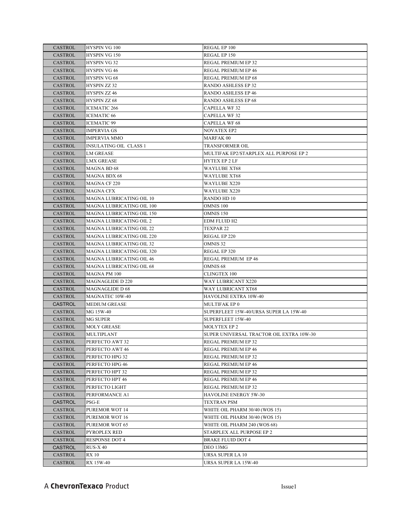| CASTROL        | HYSPIN VG 100                   | REGAL EP 100                             |
|----------------|---------------------------------|------------------------------------------|
| CASTROL        | <b>HYSPIN VG 150</b>            | REGAL EP 150                             |
| CASTROL        | <b>HYSPIN VG 32</b>             | REGAL PREMIUM EP 32                      |
| <b>CASTROL</b> | <b>HYSPIN VG 46</b>             | REGAL PREMIUM EP 46                      |
| CASTROL        | HYSPIN VG 68                    | REGAL PREMIUM EP 68                      |
| <b>CASTROL</b> | HYSPIN ZZ 32                    | RANDO ASHLESS EP 32                      |
| <b>CASTROL</b> | <b>HYSPIN ZZ 46</b>             | RANDO ASHLESS EP 46                      |
| <b>CASTROL</b> | <b>HYSPIN ZZ 68</b>             | RANDO ASHLESS EP 68                      |
| <b>CASTROL</b> | <b>ICEMATIC 266</b>             | <b>CAPELLA WF32</b>                      |
| CASTROL        | <b>ICEMATIC 66</b>              | <b>CAPELLA WF32</b>                      |
| <b>CASTROL</b> | <b>ICEMATIC 99</b>              | <b>CAPELLA WF 68</b>                     |
| <b>CASTROL</b> | <b>IMPERVIA GS</b>              | <b>NOVATEX EP2</b>                       |
| CASTROL        | <b>IMPERVIA MMO</b>             | MARFAK 00                                |
| CASTROL        | <b>INSULATING OIL CLASS 1</b>   | TRANSFORMER OIL                          |
| CASTROL        | LM GREASE                       | MULTIFAK EP2/STARPLEX ALL PURPOSE EP 2   |
| CASTROL        | <b>LMX GREASE</b>               | HYTEX EP 2 LF                            |
| CASTROL        | MAGNA BD 68                     | WAYLUBE XT68                             |
| CASTROL        | <b>MAGNA BDX 68</b>             | WAYLUBE XT68                             |
| CASTROL        | <b>MAGNA CF 220</b>             | WAYLUBE X220                             |
| <b>CASTROL</b> | <b>MAGNA CFX</b>                | WAYLUBE X220                             |
| CASTROL        | MAGNA LUBRICATING OIL 10        | RANDO HD 10                              |
| CASTROL        | MAGNA LUBRICATING OIL 100       | OMNIS 100                                |
| <b>CASTROL</b> | MAGNA LUBRICATING OIL 150       | OMNIS 150                                |
| <b>CASTROL</b> | <b>MAGNA LUBRICATING OIL 2</b>  | EDM FLUID H2                             |
| <b>CASTROL</b> | <b>MAGNA LUBRICATING OIL 22</b> | TEXPAR 22                                |
| <b>CASTROL</b> | MAGNA LUBRICATING OIL 220       | REGAL EP 220                             |
| CASTROL        | MAGNA LUBRICATING OIL 32        | <b>OMNIS 32</b>                          |
| CASTROL        | MAGNA LUBRICATING OIL 320       | REGAL EP 320                             |
| CASTROL        | <b>MAGNA LUBRICATING OIL 46</b> | <b>REGAL PREMIUM EP 46</b>               |
| CASTROL        | <b>MAGNA LUBRICATING OIL 68</b> | OMNIS <sub>68</sub>                      |
| CASTROL        | <b>MAGNA PM 100</b>             | CLINGTEX 100                             |
| CASTROL        | <b>MAGNAGLIDE D 220</b>         | WAY LUBRICANT X220                       |
| <b>CASTROL</b> | MAGNAGLIDE D 68                 | WAY LUBRICANT XT68                       |
| CASTROL        | <b>MAGNATEC 10W-40</b>          | HAVOLINE EXTRA 10W-40                    |
| <b>CASTROL</b> | <b>MEDIUM GREASE</b>            | MULTIFAK EP 0                            |
| CASTROL        | MG 15W-40                       | SUPERFLEET 15W-40/URSA SUPER LA 15W-40   |
| CASTROL        | <b>MG SUPER</b>                 | SUPERFLEET 15W-40                        |
| CASTROL        | <b>MOLY GREASE</b>              | MOLYTEX EP 2                             |
| CASTROL        | <b>MULTIPLANT</b>               | SUPER UNIVERSAL TRACTOR OIL EXTRA 10W-30 |
| <b>CASTROL</b> | PERFECTO AWT 32                 | REGAL PREMIUM EP 32                      |
| CASTROL        | PERFECTO AWT 46                 | REGAL PREMIUM EP 46                      |
| <b>CASTROL</b> | PERFECTO HPG 32                 | REGAL PREMIUM EP 32                      |
| CASTROL        | PERFECTO HPG 46                 | REGAL PREMIUM EP 46                      |
| CASTROL        | PERFECTO HPT 32                 | REGAL PREMIUM EP 32                      |
| CASTROL        | PERFECTO HPT 46                 | <b>REGAL PREMIUM EP 46</b>               |
| CASTROL        | PERFECTO LIGHT                  | REGAL PREMIUM EP 32                      |
| <b>CASTROL</b> | PERFORMANCE A1                  | HAVOLINE ENERGY 5W-30                    |
| <b>CASTROL</b> | PSG-E                           | TEXTRAN PSM                              |
| <b>CASTROL</b> | PUREMOR WOT 14                  | WHITE OIL PHARM 30/40 (WOS 15)           |
| <b>CASTROL</b> | <b>PUREMOR WOT 16</b>           | WHITE OIL PHARM 30/40 (WOS 15)           |
| <b>CASTROL</b> | PUREMOR WOT 65                  | WHITE OIL PHARM 240 (WOS 68)             |
| <b>CASTROL</b> | PYROPLEX RED                    | STARPLEX ALL PURPOSE EP 2                |
| CASTROL        | <b>RESPONSE DOT 4</b>           | BRAKE FLUID DOT 4                        |
| <b>CASTROL</b> | <b>RUS-X 40</b>                 | DEO 13MG                                 |
| CASTROL        | <b>RX</b> 10                    | <b>URSA SUPER LA 10</b>                  |
| <b>CASTROL</b> | RX 15W-40                       | URSA SUPER LA 15W-40                     |
|                |                                 |                                          |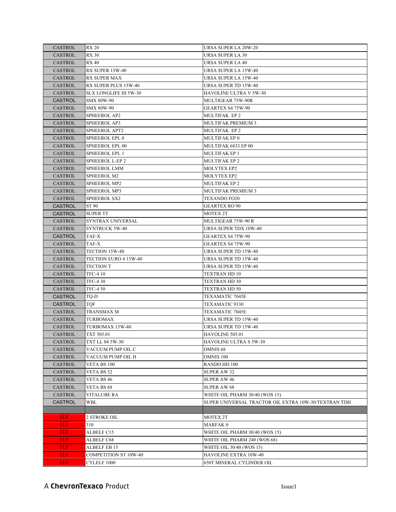| CASTROL        | <b>RX 20</b>                | URSA SUPER LA 20W-20                                 |
|----------------|-----------------------------|------------------------------------------------------|
| CASTROL        | <b>RX 30</b>                | URSA SUPER LA 30                                     |
| <b>CASTROL</b> | <b>RX 40</b>                | URSA SUPER LA 40                                     |
| CASTROL        | RX SUPER 15W-40             | URSA SUPER LA 15W-40                                 |
| <b>CASTROL</b> | <b>RX SUPER MAX</b>         | URSA SUPER LA 15W-40                                 |
| CASTROL        | <b>RX SUPER PLUS 15W-40</b> | URSA SUPER TD 15W-40                                 |
| <b>CASTROL</b> | SLX LONGLIFE III 5W-30      | HAVOLINE ULTRA V 5W-30                               |
| <b>CASTROL</b> | <b>SMX 80W-90</b>           | MULTIGEAR 75W-90R                                    |
| CASTROL        | <b>SMX 80W-90</b>           | GEARTEX S4 75W-90                                    |
| <b>CASTROL</b> | <b>SPHEEROL AP2</b>         | <b>MULTIFAK EP2</b>                                  |
| <b>CASTROL</b> | <b>SPHEEROL AP3</b>         | MULTIFAK PREMIUM 3                                   |
| <b>CASTROL</b> | <b>SPHEEROL APT2</b>        | <b>MULTIFAK EP2</b>                                  |
| <b>CASTROL</b> | <b>SPHEEROL EPL 0</b>       | MULTIFAK EP 0                                        |
| CASTROL        | SPHEEROL EPL 00             | MULTIFAK 6833 EP 00                                  |
| CASTROL        | <b>SPHEEROL EPL 1</b>       | MULTIFAK EP 1                                        |
| CASTROL        | SPHEEROL L-EP 2             | MULTIFAK EP 2                                        |
| CASTROL        | SPHEEROL LMM                | MOLYTEX EP2                                          |
| CASTROL        | <b>SPHEEROL M2</b>          | MOLYTEX EP2                                          |
| CASTROL        | <b>SPHEEROL MP2</b>         | MULTIFAK EP 2                                        |
| CASTROL        | <b>SPHEEROL MP3</b>         | <b>MULTIFAK PREMIUM 3</b>                            |
| CASTROL        | <b>SPHEEROL SX2</b>         | <b>TEXANDO FO20</b>                                  |
| <b>CASTROL</b> | ST 90                       | <b>GEARTEX RO 90</b>                                 |
| <b>CASTROL</b> | <b>SUPER TT</b>             | MOTEX 2T                                             |
| CASTROL        | <b>SYNTRAX UNIVERSAL</b>    | MULTIGEAR 75W-90 R                                   |
| CASTROL        | <b>SYNTRUCK 5W-40</b>       | URSA SUPER TDX 10W-40                                |
| <b>CASTROL</b> | TAF-X                       | GEARTEX S4 75W-90                                    |
| CASTROL        | TAF-X                       | GEARTEX S4 75W-90                                    |
| <b>CASTROL</b> | <b>TECTION 15W-40</b>       | URSA SUPER TD 15W-40                                 |
| CASTROL        | TECTION EURO 4 15W-40       | URSA SUPER TD 15W-40                                 |
| <b>CASTROL</b> | <b>TECTION T</b>            | URSA SUPER TD 15W-40                                 |
| CASTROL        | <b>TFC-4 10</b>             | TEXTRAN HD 10                                        |
| <b>CASTROL</b> | <b>TFC-430</b>              | TEXTRAN HD 30                                        |
| CASTROL        | <b>TFC-450</b>              | TEXTRAN HD 50                                        |
| <b>CASTROL</b> | TQ-D                        | TEXAMATIC 7045E                                      |
| <b>CASTROL</b> | TQF                         | TEXAMATIC 9330                                       |
| CASTROL        | TRANSMAX M                  | TEXAMATIC 7045E                                      |
| <b>CASTROL</b> | <b>TURBOMAX</b>             | URSA SUPER TD 15W-40                                 |
| CASTROL        | TURBOMAX 15W-40             | URSA SUPER TD 15W-40                                 |
| CASTROL        | TXT 505.01                  | HAVOLINE 505.01                                      |
| CASTROL        | <b>TXT LL 04 5W-30</b>      | HAVOLINE ULTRA S 5W-30                               |
| <b>CASTROL</b> | VACUUM PUMP OIL C           | OMNIS 68                                             |
| CASTROL        | VACUUM PUMP OIL H           | <b>OMNIS 100</b>                                     |
| CASTROL        | VETA BS 100                 | RANDO HD 100                                         |
| <b>CASTROL</b> | VETA BS 32                  | <b>SUPER AW 32</b>                                   |
| <b>CASTROL</b> | VETA BS 46                  | <b>SUPER AW 46</b>                                   |
| CASTROL        | VETA BS 68                  | <b>SUPER AW 68</b>                                   |
| <b>CASTROL</b> | <b>VITALUBE RA</b>          | WHITE OIL PHARM 30/40 (WOS 15)                       |
| <b>CASTROL</b> | WBL                         | SUPER UNIVERSAL TRACTOR OIL EXTRA 10W-30/TEXTRAN TDH |
|                |                             |                                                      |
| <b>ELF</b>     | 2 STROKE OIL                | MOTEX 2T                                             |
| <b>ELF</b>     | 310                         | <b>MARFAK0</b>                                       |
| ELF            | ALBELF C15                  | WHITE OIL PHARM 30/40 (WOS 15)                       |
| <b>ELF</b>     | ALBELF C68                  | WHITE OIL PHARM 240 (WOS 68)                         |
| <b>ELF</b>     | ALBELF EB 15                | WHITE OIL 30/40 (WOS 15)                             |
| <b>ELF</b>     | COMPETITION ST 10W-40       | HAVOLINE EXTRA 10W-40                                |
| <b>ELF</b>     | CYLELF 1000                 | 650T MINERAL CYLINDER OIL                            |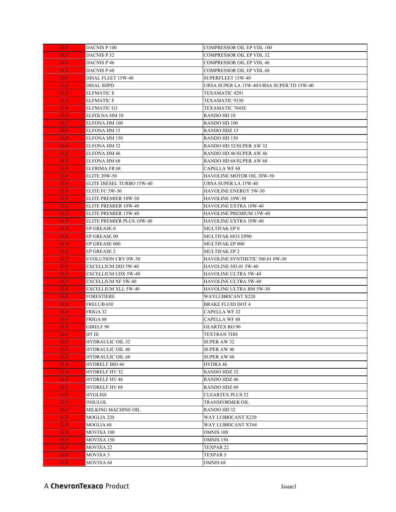| <b>ELF</b>               | DACNIS P 100                    | <b>COMPRESSOR OIL EP VDL 100</b>               |
|--------------------------|---------------------------------|------------------------------------------------|
| <b>ELF</b>               | DACNIS P 32                     | <b>COMPRESSOR OIL EP VDL 32</b>                |
| <b>ELF</b>               | <b>DACNIS P 46</b>              | <b>COMPRESSOR OIL EP VDL 46</b>                |
| ELF.                     | DACNIS P 68                     | <b>COMPRESSOR OIL EP VDL 68</b>                |
| <b>ELF</b>               | DISAL FLEET 15W-40              | SUPERFLEET 15W-40                              |
| <b>ELF</b>               | <b>DISAL SHPD</b>               | URSA SUPER LA 15W-40/URSA SUPER TD 15W-40      |
| ELF.                     | <b>ELFMATIC E</b>               | TEXAMATIC 4291                                 |
| ELF.                     | <b>ELFMATIC F</b>               | TEXAMATIC 9330                                 |
| ELF.                     | <b>ELFMATIC G3</b>              | <b>TEXAMATIC 7045E</b>                         |
| ELF.                     | ELFOLNA HM 10                   | RANDO HD 10                                    |
| ELF.                     | ELFONA HM 100                   | <b>RANDO HD 100</b>                            |
| ELF.                     | <b>ELFONA HM 15</b>             | <b>RANDO HDZ 15</b>                            |
| ELF.                     | ELFONA HM 150                   | RANDO HD 150                                   |
| <b>ELF</b>               | ELFONA HM 32                    | RANDO HD 32/SUPER AW 32                        |
| ELF.                     | ELFONA HM 46                    | RANDO HD 46/SUPER AW 46                        |
| ELF.                     | ELFONA HM 68                    | RANDO HD 68/SUPER AW 68                        |
| ELF.                     | ELFRIMA FR 68                   | <b>CAPELLA WF 68</b>                           |
| ELF.                     | <b>ELITE 20W-50</b>             | HAVOLINE MOTOR OIL 20W-50                      |
| ELF.                     | ELITE DIESEL TURBO 15W-40       | URSA SUPER LA 15W-40                           |
| ELF.                     | ELITE FC 5W-30                  | <b>HAVOLINE ENERGY 5W-30</b>                   |
| ELF.                     | ELITE PREMIER 10W-30            | HAVOLINE 10W-30                                |
| ELF.                     | ELITE PREMIER 10W-40            | <b>HAVOLINE EXTRA 10W-40</b>                   |
| <b>ELF</b>               | ELITE PREMIER 15W-40            | HAVOLINE PREMIUM 15W-40                        |
| <b>ELF</b>               | ELITE PREMIER PLUS 10W-40       | <b>HAVOLINE EXTRA 10W-40</b>                   |
| <b>ELF</b>               | EP GREASE 0                     | MULTIFAK EP 0                                  |
| <b>ELF</b>               | EP GREASE 00                    | MULTIFAK 6833 EP00                             |
| <b>ELF</b>               | EP GREASE 000                   | MULTIFAK EP 000                                |
| <b>ELF</b>               | EP GREASE 2                     | <b>MULTIFAK EP 2</b>                           |
| ELF.                     | <b>EVOLUTION CRV 0W-30</b>      | HAVOLINE SYNTHETIC 506.01 0W-30                |
| ELF.                     | EXCELLIUM DID 5W-40             | <b>HAVOLINE 505.01 5W-40</b>                   |
| ELF.                     | EXCELLIUM LDX 5W-40             | <b>HAVOLINE ULTRA 5W-40</b>                    |
| <b>ELF</b>               | EXCELLIUM NF 5W-40              | HAVOLINE ULTRA 5W-40                           |
| <b>ELF</b>               | EXCELLIUM XLL 5W-40             | HAVOLINE ULTRA BM 5W-30                        |
| ELF.                     | FORESTIERE                      | <b>WAYLUBRICANT X220</b>                       |
| ELF.                     | FRELUB 650                      | <b>BRAKE FLUID DOT 4</b>                       |
| ELF.                     | FRIGA 32                        | <b>CAPELLA WF 32</b>                           |
| ELF.                     | FRIGA 68                        | <b>CAPELLA WF 68</b>                           |
| <b>ELF</b>               | GIRELF 90                       | GEARTEX RO 90                                  |
| <b>ELF</b>               | HT III                          | <b>TEXTRAN TDH</b>                             |
| ELF.                     | <b>HYDRAULIC OIL 32</b>         | SUPER AW 32                                    |
| <b>ELF</b>               | <b>HYDRAULIC OIL 46</b>         | <b>SUPER AW 46</b>                             |
| <b>ELF</b>               | <b>HYDRAULIC OIL 68</b>         | <b>SUPER AW 68</b>                             |
| ELF.                     | <b>HYDRELF BIO 46</b>           | HYDRA 46                                       |
| <b>ELF</b>               | HYDRELF HV 32                   | <b>RANDO HDZ 32</b>                            |
| <b>ELF</b>               | <b>HYDRELF HV 46</b>            | <b>RANDO HDZ 46</b>                            |
| <b>ELF</b><br><b>ELF</b> | HYDRELF HV 68<br><b>HYGLISS</b> | <b>RANDO HDZ 68</b><br><b>CLEARTEX PLUS 32</b> |
| <b>ELF</b>               | INSULOL                         | TRANSFORMER OIL                                |
| ELF.                     | MILKING MACHINE OIL             | RANDO HD 32                                    |
| <b>ELF</b>               | MOGLIA 220                      | <b>WAY LUBRICANT X220</b>                      |
| <b>ELF</b>               | MOGLIA 68                       | WAY LUBRICANT XT68                             |
| ELF.                     | MOVIXA 100                      | OMNIS 100                                      |
| ELF.                     | MOVIXA 150                      | OMNIS 150                                      |
| ELF.                     | MOVIXA 22                       | TEXPAR 22                                      |
| <b>ELF</b>               | MOVIXA 3                        | TEXPAR 5                                       |
| <b>ELF</b>               | MOVIXA 68                       | OMNIS <sub>68</sub>                            |
|                          |                                 |                                                |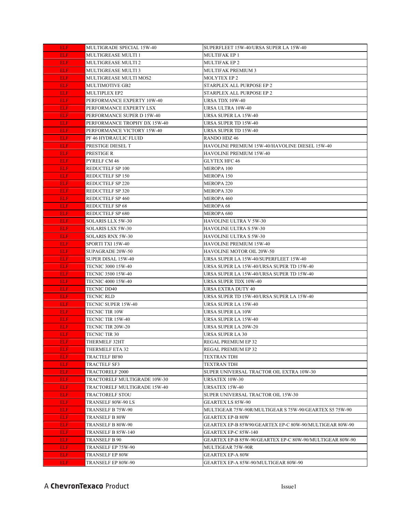| <b>ELF</b> | MULTIGRADE SPECIAL 15W-40    | SUPERFLEET 15W-40/URSA SUPER LA 15W-40                   |
|------------|------------------------------|----------------------------------------------------------|
| <b>ELF</b> | MULTIGREASE MULTI 1          | <b>MULTIFAK EP 1</b>                                     |
| <b>ELF</b> | MULTIGREASE MULTI 2          | <b>MULTIFAK EP 2</b>                                     |
| <b>ELF</b> | MULTIGREASE MULTI 3          | <b>MULTIFAK PREMIUM 3</b>                                |
| <b>ELF</b> | MULTIGREASE MULTI MOS2       | <b>MOLYTEX EP 2</b>                                      |
| <b>ELF</b> | <b>MULTIMOTIVE GB2</b>       | STARPLEX ALL PURPOSE EP 2                                |
| <b>ELF</b> | MULTIPLEX EP2                | STARPLEX ALL PURPOSE EP 2                                |
| <b>ELF</b> | PERFORMANCE EXPERTY 10W-40   | URSA TDX 10W-40                                          |
| <b>ELF</b> | PERFORMANCE EXPERTY LSX      | URSA ULTRA 10W-40                                        |
| <b>ELF</b> | PERFORMANCE SUPER D 15W-40   | <b>URSA SUPER LA 15W-40</b>                              |
| <b>ELF</b> | PERFORMANCE TROPHY DX 15W-40 | URSA SUPER TD 15W-40                                     |
| <b>ELF</b> | PERFORMANCE VICTORY 15W-40   | URSA SUPER TD 15W-40                                     |
| <b>ELF</b> | PF 46 HYDRAULIC FLUID        | RANDO HDZ 46                                             |
| <b>ELF</b> | PRESTIGE DIESEL T            | HAVOLINE PREMIUM 15W-40/HAVOLINE DIESEL 15W-40           |
| <b>ELF</b> | PRESTIGE R                   | HAVOLINE PREMIUM 15W-40                                  |
| <b>ELF</b> | PYRELF CM 46                 | <b>GLYTEX HFC 46</b>                                     |
| <b>ELF</b> | REDUCTELF SP 100             | MEROPA 100                                               |
| <b>ELF</b> | REDUCTELF SP 150             | MEROPA 150                                               |
| <b>ELF</b> | REDUCTELF SP 220             | MEROPA <sub>220</sub>                                    |
| <b>ELF</b> | REDUCTELF SP 320             | <b>MEROPA 320</b>                                        |
| ELF.       | <b>REDUCTELF SP 460</b>      | <b>MEROPA 460</b>                                        |
| <b>ELF</b> | REDUCTELF SP 68              | <b>MEROPA 68</b>                                         |
| <b>ELF</b> | REDUCTELF SP 680             | MEROPA 680                                               |
| <b>ELF</b> | SOLARIS LLX 5W-30            | HAVOLINE ULTRA V 5W-30                                   |
| <b>ELF</b> | SOLARIS LSX 5W-30            | <b>HAVOLINE ULTRA S 5W-30</b>                            |
| <b>ELF</b> | SOLARIS RNX 5W-30            | HAVOLINE ULTRA S 5W-30                                   |
| <b>ELF</b> | SPORTI TXI 15W-40            | HAVOLINE PREMIUM 15W-40                                  |
| <b>ELF</b> | SUPAGRADE 20W-50             | HAVOLINE MOTOR OIL 20W-50                                |
| <b>ELF</b> | SUPER DISAL 15W-40           | URSA SUPER LA 15W-40/SUPERFLEET 15W-40                   |
| ELF.       | TECNIC 3000 15W-40           | URSA SUPER LA 15W-40/URSA SUPER TD 15W-40                |
| <b>ELF</b> | TECNIC 3500 15W-40           | URSA SUPER LA 15W-40/URSA SUPER TD 15W-40                |
| <b>ELF</b> | <b>TECNIC 4000 15W-40</b>    | URSA SUPER TDX 10W-40                                    |
| ELF        | <b>TECNIC DD40</b>           | URSA EXTRA DUTY 40                                       |
| <b>ELF</b> | TECNIC RLD                   | URSA SUPER TD 15W-40/URSA SUPER LA 15W-40                |
| <b>ELF</b> | TECNIC SUPER 15W-40          | URSA SUPER LA 15W-40                                     |
| <b>ELF</b> | <b>TECNIC TIR 10W</b>        | URSA SUPER LA 10W                                        |
| <b>ELF</b> | TECNIC TIR 15W-40            | URSA SUPER LA 15W-40                                     |
| <b>ELF</b> | <b>TECNIC TIR 20W-20</b>     | URSA SUPER LA 20W-20                                     |
| <b>ELF</b> | <b>TECNIC TIR 30</b>         | URSA SUPER LA 30                                         |
| ELF.       | THERMELF 32HT                | REGAL PREMIUM EP 32                                      |
| <b>ELF</b> | THERMELF ETA 32              | REGAL PREMIUM EP 32                                      |
| <b>ELF</b> | TRACTELF BF80                | <b>TEXTRAN TDH</b>                                       |
| ELF.       | TRACTELF SF3                 | TEXTRAN TDH                                              |
| ELF.       | TRACTORELF 2000              | SUPER UNIVERSAL TRACTOR OIL EXTRA 10W-30                 |
| <b>ELF</b> | TRACTORELF MULTIGRADE 10W-30 | URSATEX 10W-30                                           |
| ELF.       | TRACTORELF MULTIGRADE 15W-40 | URSATEX 15W-40                                           |
| <b>ELF</b> | TRACTORELF STOU              | SUPER UNIVERSAL TRACTOR OIL 15W-30                       |
| <b>ELF</b> | TRANSELF 80W-90 LS           | GEARTEX LS 85W-90                                        |
| ELF.       | TRANSELF B 75W-90            | MULTIGEAR 75W-90R/MULTIGEAR S 75W-90/GEARTEX S5 75W-90   |
| ELF.       | TRANSELF B 80W               | <b>GEARTEX EP-B 80W</b>                                  |
| <b>ELF</b> | TRANSELF B 80W-90            | GEARTEX EP-B 85W90/GEARTEX EP-C 80W-90/MULTIGEAR 80W-90  |
| ELF.       | TRANSELF B 85W-140           | GEARTEX EP-C 85W-140                                     |
| ELF.       | TRANSELF B 90                | GEARTEX EP-B 85W-90/GEARTEX EP-C 80W-90/MULTIGEAR 80W-90 |
| ELF.       | TRANSELF EP 75W-90           | MULTIGEAR 75W-90R                                        |
| <b>ELF</b> | TRANSELF EP 80W              | <b>GEARTEX EP-A 80W</b>                                  |
| <b>ELF</b> | TRANSELF EP 80W-90           | GEARTEX EP-A 85W-90/MULTIGEAR 80W-90                     |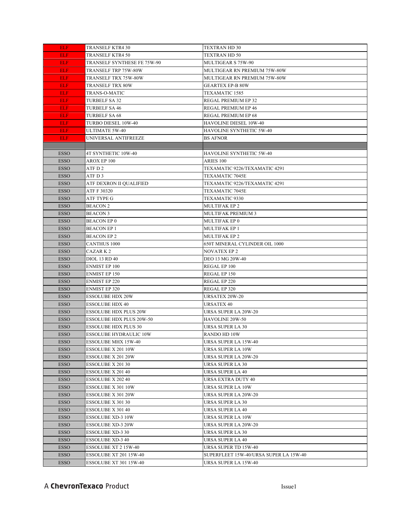| ELF.        | TRANSELF KTR4 30                | TEXTRAN HD 30                          |
|-------------|---------------------------------|----------------------------------------|
| <b>ELF</b>  | TRANSELF KTR4 50                | <b>TEXTRAN HD 50</b>                   |
| <b>ELF</b>  | TRANSELF SYNTHESE FE 75W-90     | <b>MULTIGEAR S 75W-90</b>              |
| ELF.        | TRANSELF TRP 75W-80W            | MULTIGEAR RN PREMIUM 75W-80W           |
| ELF.        | TRANSELF TRX 75W-80W            | MULTIGEAR RN PREMIUM 75W-80W           |
| <b>ELF</b>  | TRANSELF TRX 80W                | <b>GEARTEX EP-B 80W</b>                |
| <b>ELF</b>  | <b>TRANS-O-MATIC</b>            | TEXAMATIC 1585                         |
| <b>ELF</b>  | <b>TURBELF SA 32</b>            | REGAL PREMIUM EP 32                    |
| ELF.        | <b>TURBELF SA 46</b>            | REGAL PREMIUM EP 46                    |
| ELF.        | <b>TURBELF SA 68</b>            | <b>REGAL PREMIUM EP 68</b>             |
| <b>ELF</b>  | TURBO DIESEL 10W-40             | HAVOLINE DIESEL 10W-40                 |
| ELF.        | <b>ULTIMATE 5W-40</b>           | HAVOLINE SYNTHETIC 5W-40               |
| <b>ELF</b>  | UNIVERSAL ANTIFREEZE            | BS AFNOR                               |
|             |                                 |                                        |
| <b>ESSO</b> | 4T SYNTHETIC 10W-40             | HAVOLINE SYNTHETIC 5W-40               |
| <b>ESSO</b> | AROX EP 100                     | ARIES 100                              |
| <b>ESSO</b> | ATF D 2                         | TEXAMATIC 9226/TEXAMATIC 4291          |
| <b>ESSO</b> | ATF D 3                         | TEXAMATIC 7045E                        |
| <b>ESSO</b> | ATF DEXRON II QUALIFIED         | TEXAMATIC 9226/TEXAMATIC 4291          |
| <b>ESSO</b> | ATF F 30320                     | TEXAMATIC 7045E                        |
| <b>ESSO</b> | ATF TYPE G                      | TEXAMATIC 9330                         |
| <b>ESSO</b> | <b>BEACON 2</b>                 | <b>MULTIFAK EP 2</b>                   |
| <b>ESSO</b> | BEACON 3                        | <b>MULTIFAK PREMIUM 3</b>              |
| <b>ESSO</b> | <b>BEACON EP 0</b>              | MULTIFAK EP 0                          |
| <b>ESSO</b> | <b>BEACON EP1</b>               | <b>MULTIFAK EP 1</b>                   |
| <b>ESSO</b> | <b>BEACON EP 2</b>              | <b>MULTIFAK EP 2</b>                   |
| <b>ESSO</b> | <b>CANTHUS 1000</b>             | 650T MINERAL CYLINDER OIL 1000         |
| <b>ESSO</b> | CAZAR K 2                       | <b>NOVATEX EP 2</b>                    |
| <b>ESSO</b> | <b>DIOL 13 RD 40</b>            | DEO 13 MG 20W-40                       |
| <b>ESSO</b> | <b>ENMIST EP 100</b>            | REGAL EP 100                           |
| <b>ESSO</b> | <b>ENMIST EP 150</b>            | REGAL EP 150                           |
| <b>ESSO</b> | <b>ENMIST EP 220</b>            | REGAL EP 220                           |
| <b>ESSO</b> | <b>ENMIST EP 320</b>            | REGAL EP 320                           |
| <b>ESSO</b> | <b>ESSOLUBE HDX 20W</b>         | <b>URSATEX 20W-20</b>                  |
| <b>ESSO</b> | <b>ESSOLUBE HDX 40</b>          | URSATEX 40                             |
| <b>ESSO</b> | <b>ESSOLUBE HDX PLUS 20W</b>    | URSA SUPER LA 20W-20                   |
| <b>ESSO</b> | <b>ESSOLUBE HDX PLUS 20W-50</b> | HAVOLINE 20W-50                        |
| <b>ESSO</b> | <b>ESSOLUBE HDX PLUS 30</b>     | URSA SUPER LA 30                       |
| <b>ESSO</b> | ESSOLUBE HYDRAULIC 10W          | RANDO HD 10W                           |
| <b>ESSO</b> | <b>ESSOLUBE MHX 15W-40</b>      | URSA SUPER LA 15W-40                   |
| <b>ESSO</b> | ESSOLUBE X 201 10W              | URSA SUPER LA 10W                      |
| <b>ESSO</b> | ESSOLUBE X 201 20W              | URSA SUPER LA 20W-20                   |
| <b>ESSO</b> | ESSOLUBE X 201 30               | URSA SUPER LA 30                       |
| <b>ESSO</b> | ESSOLUBE X 201 40               | URSA SUPER LA 40                       |
| <b>ESSO</b> | ESSOLUBE X 202 40               | URSA EXTRA DUTY 40                     |
| <b>ESSO</b> | ESSOLUBE X 301 10W              | URSA SUPER LA 10W                      |
| <b>ESSO</b> | ESSOLUBE X 301 20W              | URSA SUPER LA 20W-20                   |
| <b>ESSO</b> | ESSOLUBE X 301 30               | URSA SUPER LA 30                       |
| <b>ESSO</b> | ESSOLUBE X 301 40               | URSA SUPER LA 40                       |
| <b>ESSO</b> | ESSOLUBE XD-3 10W               | URSA SUPER LA 10W                      |
| <b>ESSO</b> | ESSOLUBE XD-3 20W               | URSA SUPER LA 20W-20                   |
| <b>ESSO</b> | ESSOLUBE XD-3 30                | URSA SUPER LA 30                       |
| <b>ESSO</b> | ESSOLUBE XD-3 40                | URSA SUPER LA 40                       |
| <b>ESSO</b> | ESSOLUBE XT 2 15W-40            | URSA SUPER TD 15W-40                   |
| <b>ESSO</b> | ESSOLUBE XT 201 15W-40          | SUPERFLEET 15W-40/URSA SUPER LA 15W-40 |
| <b>ESSO</b> | ESSOLUBE XT 301 15W-40          | URSA SUPER LA 15W-40                   |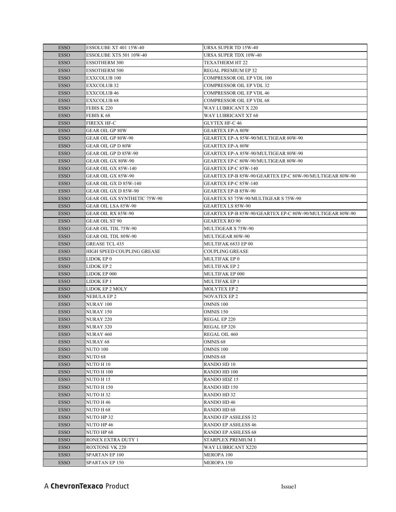| <b>ESSO</b> | ESSOLUBE XT 401 15W-40              | <b>URSA SUPER TD 15W-40</b>                              |
|-------------|-------------------------------------|----------------------------------------------------------|
| <b>ESSO</b> | ESSOLUBE XTS 501 10W-40             | URSA SUPER TDX 10W-40                                    |
| <b>ESSO</b> | <b>ESSOTHERM 300</b>                | <b>TEXATHERM HT 22</b>                                   |
| <b>ESSO</b> | <b>ESSOTHERM 500</b>                | REGAL PREMIUM EP 32                                      |
| <b>ESSO</b> | <b>EXXCOLUB 100</b>                 | <b>COMPRESSOR OIL EP VDL 100</b>                         |
| <b>ESSO</b> | EXXCOLUB 32                         | <b>COMPRESSOR OIL EP VDL 32</b>                          |
| <b>ESSO</b> | <b>EXXCOLUB 46</b>                  | <b>COMPRESSOR OIL EP VDL 46</b>                          |
| <b>ESSO</b> | <b>EXXCOLUB 68</b>                  | COMPRESSOR OIL EP VDL 68                                 |
| <b>ESSO</b> | FEBIS K 220                         | WAY LUBRICANT X 220                                      |
| <b>ESSO</b> | FEBIS K 68                          | WAY LUBRICANT XT 68                                      |
| <b>ESSO</b> | <b>FIREXX HF-C</b>                  | <b>GLYTEX HF-C 46</b>                                    |
| <b>ESSO</b> | <b>GEAR OIL GP 80W</b>              | <b>GEARTEX EP-A 80W</b>                                  |
| <b>ESSO</b> | GEAR OIL GP 80W-90                  | GEARTEX EP-A 85W-90/MULTIGEAR 80W-90                     |
| <b>ESSO</b> | <b>GEAR OIL GP D 80W</b>            | <b>GEARTEX EP-A 80W</b>                                  |
| <b>ESSO</b> | GEAR OIL GP D 85W-90                | GEARTEX EP-A 85W-90/MULTIGEAR 80W-90                     |
| <b>ESSO</b> | GEAR OIL GX 80W-90                  | GEARTEX EP-C 80W-90/MULTIGEAR 80W-90                     |
| <b>ESSO</b> | GEAR OIL GX 85W-140                 | GEARTEX EP-C 85W-140                                     |
| <b>ESSO</b> | GEAR OIL GX 85W-90                  | GEARTEX EP-B 85W-90/GEARTEX EP-C 80W-90/MULTIGEAR 80W-90 |
| <b>ESSO</b> | GEAR OIL GX D 85W-140               | GEARTEX EP-C 85W-140                                     |
| <b>ESSO</b> | GEAR OIL GX D 85W-90                | GEARTEX EP-B 85W-90                                      |
| <b>ESSO</b> | <b>GEAR OIL GX SYNTHETIC 75W-90</b> | GEARTEX S5 75W-90/MULTIGEAR S 75W-90                     |
| <b>ESSO</b> | GEAR OIL LSA 85W-90                 | <b>GEARTEX LS 85W-90</b>                                 |
| <b>ESSO</b> | <b>GEAR OIL RX 85W-90</b>           | GEARTEX EP-B 85W-90/GEARTEX EP-C 80W-90/MULTIGEAR 80W-90 |
| <b>ESSO</b> | GEAR OIL ST 90                      | <b>GEARTEX RO 90</b>                                     |
| <b>ESSO</b> | GEAR OIL TDL 75W-90                 | MULTIGEAR S 75W-90                                       |
| <b>ESSO</b> | GEAR OIL TDL 80W-90                 | MULTIGEAR 80W-90                                         |
| <b>ESSO</b> | <b>GREASE TCL 435</b>               | MULTIFAK 6833 EP 00                                      |
| <b>ESSO</b> | HIGH SPEED COUPLING GREASE          | <b>COUPLING GREASE</b>                                   |
| <b>ESSO</b> | LIDOK EP 0                          | MULTIFAK EP 0                                            |
| <b>ESSO</b> | LIDOK EP 2                          | MULTIFAK EP 2                                            |
| <b>ESSO</b> | LIDOK EP 000                        | MULTIFAK EP 000                                          |
| <b>ESSO</b> | LIDOK EP 1                          | <b>MULTIFAK EP 1</b>                                     |
| <b>ESSO</b> | LIDOK EP 2 MOLY                     | <b>MOLYTEX EP 2</b>                                      |
| <b>ESSO</b> | NEBULA EP 2                         | NOVATEX EP 2                                             |
| <b>ESSO</b> | NURAY 100                           | OMNIS 100                                                |
| <b>ESSO</b> | <b>NURAY 150</b>                    | OMNIS 150                                                |
| <b>ESSO</b> | <b>NURAY 220</b>                    | REGAL EP 220                                             |
| <b>ESSO</b> | NURAY 320                           | REGAL EP 320                                             |
| <b>ESSO</b> | <b>NURAY 460</b>                    | REGAL OIL 460                                            |
| <b>ESSO</b> | NURAY 68                            | OMNIS <sub>68</sub>                                      |
| <b>ESSO</b> | <b>NUTO 100</b>                     | <b>OMNIS 100</b>                                         |
| <b>ESSO</b> | NUTO 68                             | OMNIS <sub>68</sub>                                      |
| <b>ESSO</b> | NUTO H 10                           | <b>RANDO HD 10</b>                                       |
| <b>ESSO</b> | NUTO H 100                          | RANDO HD 100                                             |
| <b>ESSO</b> | NUTO H 15                           | RANDO HDZ 15                                             |
| <b>ESSO</b> | <b>NUTO H150</b>                    | RANDO HD 150                                             |
| <b>ESSO</b> | NUTO H 32                           | <b>RANDO HD 32</b>                                       |
| <b>ESSO</b> | NUTO H 46                           | RANDO HD 46                                              |
| <b>ESSO</b> | NUTO H 68                           | RANDO HD 68                                              |
| <b>ESSO</b> | NUTO HP 32                          | <b>RANDO EP ASHLESS 32</b>                               |
| <b>ESSO</b> | NUTO HP 46                          | <b>RANDO EP ASHLESS 46</b>                               |
| <b>ESSO</b> | NUTO HP 68                          | RANDO EP ASHLESS 68                                      |
| <b>ESSO</b> | RONEX EXTRA DUTY 1                  | STARPLEX PREMIUM 1                                       |
| <b>ESSO</b> | <b>ROXTONE VK 220</b>               | WAY LUBRICANT X220                                       |
| <b>ESSO</b> | SPARTAN EP 100                      | MEROPA 100                                               |
| <b>ESSO</b> | SPARTAN EP 150                      | MEROPA 150                                               |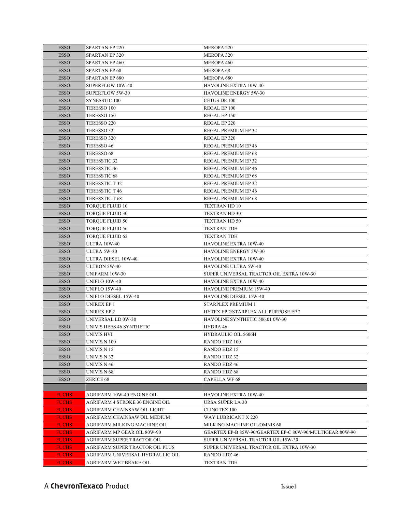| <b>ESSO</b>  | <b>SPARTAN EP 220</b>            | MEROPA <sub>220</sub>                                    |
|--------------|----------------------------------|----------------------------------------------------------|
| <b>ESSO</b>  | <b>SPARTAN EP 320</b>            | <b>MEROPA 320</b>                                        |
| <b>ESSO</b>  | SPARTAN EP 460                   | MEROPA 460                                               |
| <b>ESSO</b>  | <b>SPARTAN EP 68</b>             | <b>MEROPA 68</b>                                         |
| <b>ESSO</b>  | <b>SPARTAN EP 680</b>            | MEROPA 680                                               |
| <b>ESSO</b>  | SUPERFLOW 10W-40                 | HAVOLINE EXTRA 10W-40                                    |
| <b>ESSO</b>  | <b>SUPERFLOW 5W-30</b>           | <b>HAVOLINE ENERGY 5W-30</b>                             |
| <b>ESSO</b>  | SYNESSTIC 100                    | <b>CETUS DE 100</b>                                      |
| <b>ESSO</b>  | TERESSO 100                      | REGAL EP 100                                             |
| <b>ESSO</b>  | TERESSO 150                      | REGAL EP 150                                             |
| <b>ESSO</b>  | TERESSO 220                      | REGAL EP 220                                             |
| <b>ESSO</b>  | TERESSO 32                       | REGAL PREMIUM EP 32                                      |
| <b>ESSO</b>  | TERESSO 320                      | REGAL EP 320                                             |
| <b>ESSO</b>  | TERESSO 46                       | REGAL PREMIUM EP 46                                      |
| <b>ESSO</b>  | TERESSO 68                       | REGAL PREMIUM EP 68                                      |
| <b>ESSO</b>  | <b>TERESSTIC 32</b>              | REGAL PREMIUM EP 32                                      |
| ESSO         | <b>TERESSTIC 46</b>              | REGAL PREMIUM EP 46                                      |
| <b>ESSO</b>  | <b>TERESSTIC 68</b>              | REGAL PREMIUM EP 68                                      |
| <b>ESSO</b>  | TERESSTIC T 32                   | REGAL PREMIUM EP 32                                      |
| <b>ESSO</b>  | TERESSTIC T 46                   | REGAL PREMIUM EP 46                                      |
| <b>ESSO</b>  | TERESSTIC T 68                   | REGAL PREMIUM EP 68                                      |
| <b>ESSO</b>  | <b>TOROUE FLUID 10</b>           | <b>TEXTRAN HD 10</b>                                     |
| <b>ESSO</b>  | <b>TOROUE FLUID 30</b>           | TEXTRAN HD 30                                            |
| <b>ESSO</b>  | <b>TOROUE FLUID 50</b>           | TEXTRAN HD 50                                            |
| <b>ESSO</b>  | <b>TORQUE FLUID 56</b>           | TEXTRAN TDH                                              |
| <b>ESSO</b>  | TORQUE FLUID 62                  | TEXTRAN TDH                                              |
| <b>ESSO</b>  | <b>ULTRA 10W-40</b>              | HAVOLINE EXTRA 10W-40                                    |
| <b>ESSO</b>  | ULTRA 5W-30                      | <b>HAVOLINE ENERGY 5W-30</b>                             |
| <b>ESSO</b>  | ULTRA DIESEL 10W-40              | HAVOLINE EXTRA 10W-40                                    |
| <b>ESSO</b>  | <b>ULTRON 5W-40</b>              | <b>HAVOLINE ULTRA 5W-40</b>                              |
| <b>ESSO</b>  | UNIFARM 10W-30                   | SUPER UNIVERSAL TRACTOR OIL EXTRA 10W-30                 |
| <b>ESSO</b>  | <b>UNIFLO 10W-40</b>             | HAVOLINE EXTRA 10W-40                                    |
| <b>ESSO</b>  | <b>UNIFLO 15W-40</b>             | HAVOLINE PREMIUM 15W-40                                  |
| <b>ESSO</b>  | UNIFLO DIESEL 15W-40             | <b>HAVOLINE DIESEL 15W-40</b>                            |
| <b>ESSO</b>  | UNIREX EP 1                      | STARPLEX PREMIUM 1                                       |
| <b>ESSO</b>  | UNIREX EP 2                      | HYTEX EP 2/STARPLEX ALL PURPOSE EP 2                     |
| <b>ESSO</b>  | UNIVERSAL LD 0W-30               | HAVOLINE SYNTHETIC 506.01 0W-30                          |
| <b>ESSO</b>  | UNIVIS HEES 46 SYNTHETIC         | HYDRA 46                                                 |
| <b>ESSO</b>  | UNIVIS HVI                       | HYDRAULIC OIL 5606H                                      |
| ESSO         | UNIVIS N 100                     | RANDO HDZ 100                                            |
| <b>ESSO</b>  | UNIVIS N 15                      | RANDO HDZ 15                                             |
| <b>ESSO</b>  | UNIVIS N 32                      | <b>RANDO HDZ 32</b>                                      |
| <b>ESSO</b>  | UNIVIS N 46                      | <b>RANDO HDZ 46</b>                                      |
| <b>ESSO</b>  | UNIVIS N 68                      | RANDO HDZ 68                                             |
| <b>ESSO</b>  | <b>ZERICE 68</b>                 | <b>CAPELLA WF 68</b>                                     |
|              |                                  |                                                          |
| <b>FUCHS</b> | AGRIFARM 10W-40 ENGINE OIL       | HAVOLINE EXTRA 10W-40                                    |
| <b>FUCHS</b> | AGRIFARM 4 STROKE 30 ENGINE OIL  | URSA SUPER LA 30                                         |
| <b>FUCHS</b> | AGRIFARM CHAINSAW OIL LIGHT      | <b>CLINGTEX 100</b>                                      |
| <b>FUCHS</b> | AGRIFARM CHAINSAW OIL MEDIUM     | WAY LUBRICANT X 220                                      |
| <b>FUCHS</b> | AGRIFARM MILKING MACHINE OIL     | MILKING MACHINE OIL/OMNIS 68                             |
| <b>FUCHS</b> | AGRIFARM MP GEAR OIL 80W-90      | GEARTEX EP-B 85W-90/GEARTEX EP-C 80W-90/MULTIGEAR 80W-90 |
| <b>FUCHS</b> | AGRIFARM SUPER TRACTOR OIL       | SUPER UNIVERSAL TRACTOR OIL 15W-30                       |
| <b>FUCHS</b> | AGRIFARM SUPER TRACTOR OIL PLUS  | SUPER UNIVERSAL TRACTOR OIL EXTRA 10W-30                 |
| <b>FUCHS</b> | AGRIFARM UNIVERSAL HYDRAULIC OIL | RANDO HDZ 46                                             |
| <b>FUCHS</b> | AGRIFARM WET BRAKE OIL           | TEXTRAN TDH                                              |
|              |                                  |                                                          |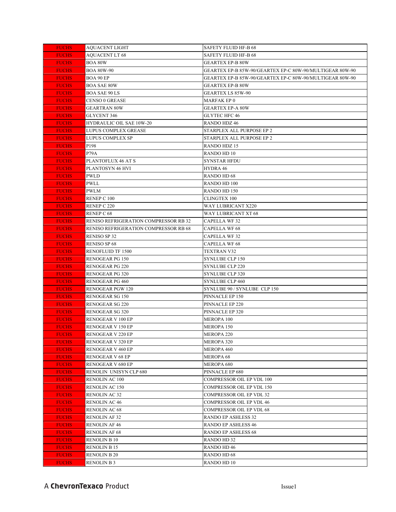| <b>FUCHS</b> | AQUACENT LIGHT                        | <b>SAFETY FLUID HF-B 68</b>                              |
|--------------|---------------------------------------|----------------------------------------------------------|
| <b>FUCHS</b> | <b>AQUACENT LT 68</b>                 | <b>SAFETY FLUID HF-B 68</b>                              |
| <b>FUCHS</b> | BOA 80W                               | <b>GEARTEX EP-B 80W</b>                                  |
| <b>FUCHS</b> | <b>BOA 80W-90</b>                     | GEARTEX EP-B 85W-90/GEARTEX EP-C 80W-90/MULTIGEAR 80W-90 |
| <b>FUCHS</b> | BOA 90 EP                             | GEARTEX EP-B 85W-90/GEARTEX EP-C 80W-90/MULTIGEAR 80W-90 |
| <b>FUCHS</b> | <b>BOA SAE 80W</b>                    | <b>GEARTEX EP-B 80W</b>                                  |
| <b>FUCHS</b> | <b>BOA SAE 90 LS</b>                  | <b>GEARTEX LS 85W-90</b>                                 |
| <b>FUCHS</b> | <b>CENSO 0 GREASE</b>                 | MARFAK EP 0                                              |
| <b>FUCHS</b> | <b>GEARTRAN 80W</b>                   | <b>GEARTEX EP-A 80W</b>                                  |
| <b>FUCHS</b> | <b>GLYCENT 346</b>                    | <b>GLYTEC HFC 46</b>                                     |
| <b>FUCHS</b> | <b>HYDRAULIC OIL SAE 10W-20</b>       | RANDO HDZ 46                                             |
| <b>FUCHS</b> | <b>LUPUS COMPLEX GREASE</b>           | STARPLEX ALL PURPOSE EP 2                                |
| <b>FUCHS</b> | LUPUS COMPLEX SP                      | STARPLEX ALL PURPOSE EP 2                                |
| <b>FUCHS</b> | P198                                  | RANDO HDZ 15                                             |
| <b>FUCHS</b> | P79A                                  | RANDO HD 10                                              |
| <b>FUCHS</b> | PLANTOFLUX 46 AT S                    | <b>SYNSTAR HFDU</b>                                      |
| <b>FUCHS</b> | PLANTOSYN 46 HVI                      | HYDRA 46                                                 |
| <b>FUCHS</b> | PWLD                                  | <b>RANDO HD 68</b>                                       |
| <b>FUCHS</b> | PWLL                                  | <b>RANDO HD 100</b>                                      |
| <b>FUCHS</b> | PWLM                                  | RANDO HD 150                                             |
| <b>FUCHS</b> | RENEP C 100                           | <b>CLINGTEX 100</b>                                      |
| <b>FUCHS</b> | RENEP C 220                           | WAY LUBRICANT X220                                       |
| <b>FUCHS</b> | RENEP C 68                            | <b>WAY LUBRICANT XT 68</b>                               |
| <b>FUCHS</b> | RENISO REFRIGERATION COMPRESSOR RB 32 | <b>CAPELLA WF32</b>                                      |
| <b>FUCHS</b> | RENISO REFRIGERATION COMPRESSOR RB 68 | <b>CAPELLA WF 68</b>                                     |
| <b>FUCHS</b> | RENISO SP 32                          | <b>CAPELLA WF 32</b>                                     |
| <b>FUCHS</b> | <b>RENISO SP 68</b>                   | <b>CAPELLA WF 68</b>                                     |
| <b>FUCHS</b> | <b>RENOFLUID TF 1500</b>              | <b>TEXTRAN V32</b>                                       |
| <b>FUCHS</b> | <b>RENOGEAR PG 150</b>                | <b>SYNLUBE CLP 150</b>                                   |
| <b>FUCHS</b> | <b>RENOGEAR PG 220</b>                | <b>SYNLUBE CLP 220</b>                                   |
| <b>FUCHS</b> | <b>RENOGEAR PG 320</b>                | <b>SYNLUBE CLP 320</b>                                   |
| <b>FUCHS</b> | RENOGEAR PG 460                       | SYNLUBE CLP 460                                          |
| <b>FUCHS</b> | RENOGEAR PGW 120                      | SYNLUBE 90 / SYNLUBE CLP 150                             |
| <b>FUCHS</b> | RENOGEAR SG 150                       | PINNACLE EP 150                                          |
| <b>FUCHS</b> | RENOGEAR SG 220                       | PINNACLE EP 220                                          |
| <b>FUCHS</b> | RENOGEAR SG 320                       | PINNACLE EP 320                                          |
| <b>FUCHS</b> | RENOGEAR V 100 EP                     | MEROPA 100                                               |
| <b>FUCHS</b> | RENOGEAR V 150 EP                     | MEROPA 150                                               |
| <b>FUCHS</b> | RENOGEAR V 220 EP                     | MEROPA 220                                               |
| <b>FUCHS</b> | RENOGEAR V 320 EP                     | MEROPA 320                                               |
| <b>FUCHS</b> | RENOGEAR V 460 EP                     | <b>MEROPA 460</b>                                        |
| <b>FUCHS</b> | <b>RENOGEAR V 68 EP</b>               | <b>MEROPA 68</b>                                         |
| <b>FUCHS</b> | RENOGEAR V 680 EP                     | MEROPA 680                                               |
| <b>FUCHS</b> | RENOLIN UNISYN CLP 680                | PINNACLE EP 680                                          |
| <b>FUCHS</b> | RENOLIN AC 100                        | COMPRESSOR OIL EP VDL 100                                |
| <b>FUCHS</b> | RENOLIN AC 150                        | COMPRESSOR OIL EP VDL 150                                |
| <b>FUCHS</b> | <b>RENOLIN AC 32</b>                  | COMPRESSOR OIL EP VDL 32                                 |
| <b>FUCHS</b> | <b>RENOLIN AC 46</b>                  | COMPRESSOR OIL EP VDL 46                                 |
| <b>FUCHS</b> | RENOLIN AC 68                         | <b>COMPRESSOR OIL EP VDL 68</b>                          |
| <b>FUCHS</b> | RENOLIN AF 32                         | RANDO EP ASHLESS 32                                      |
| <b>FUCHS</b> | RENOLIN AF 46                         | RANDO EP ASHLESS 46                                      |
| <b>FUCHS</b> | RENOLIN AF 68                         | RANDO EP ASHLESS 68                                      |
| <b>FUCHS</b> | RENOLIN B 10                          | RANDO HD 32                                              |
| <b>FUCHS</b> | RENOLIN B 15                          | <b>RANDO HD 46</b>                                       |
| <b>FUCHS</b> | RENOLIN B 20                          | RANDO HD 68                                              |
| <b>FUCHS</b> | <b>RENOLIN B 3</b>                    | RANDO HD 10                                              |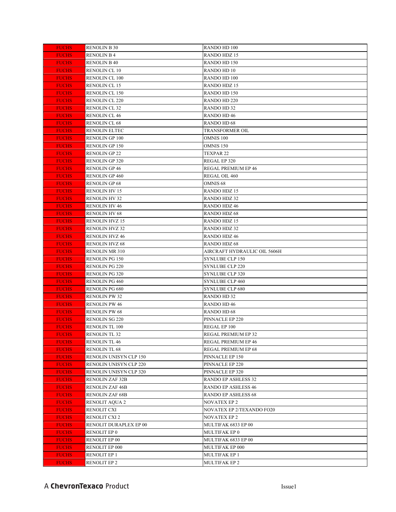| <b>FUCHS</b>                 | <b>RENOLIN B 30</b>                              | RANDO HD 100                                      |
|------------------------------|--------------------------------------------------|---------------------------------------------------|
| <b>FUCHS</b>                 | <b>RENOLIN B 4</b>                               | RANDO HDZ 15                                      |
| <b>FUCHS</b>                 | <b>RENOLIN B 40</b>                              | RANDO HD 150                                      |
| <b>FUCHS</b>                 | RENOLIN CL 10                                    | RANDO HD 10                                       |
| <b>FUCHS</b>                 | RENOLIN CL 100                                   | RANDO HD 100                                      |
| <b>FUCHS</b>                 | RENOLIN CL 15                                    | RANDO HDZ 15                                      |
| <b>FUCHS</b>                 | RENOLIN CL 150                                   | RANDO HD 150                                      |
| <b>FUCHS</b>                 | <b>RENOLIN CL 220</b>                            | RANDO HD 220                                      |
| <b>FUCHS</b>                 | <b>RENOLIN CL 32</b>                             | <b>RANDO HD 32</b>                                |
| <b>FUCHS</b>                 | <b>RENOLIN CL 46</b>                             | RANDO HD 46                                       |
| <b>FUCHS</b>                 | <b>RENOLIN CL 68</b>                             | <b>RANDO HD 68</b>                                |
| <b>FUCHS</b>                 | <b>RENOLIN ELTEC</b>                             | <b>TRANSFORMER OIL</b>                            |
| <b>FUCHS</b>                 | <b>RENOLIN GP 100</b>                            | <b>OMNIS 100</b>                                  |
| <b>FUCHS</b>                 | <b>RENOLIN GP 150</b>                            | OMNIS 150                                         |
| <b>FUCHS</b>                 | RENOLIN GP 22                                    | TEXPAR 22                                         |
| <b>FUCHS</b>                 | RENOLIN GP 320                                   | REGAL EP 320                                      |
| <b>FUCHS</b>                 | RENOLIN GP 46                                    | REGAL PREMIUM EP 46                               |
| <b>FUCHS</b>                 | RENOLIN GP 460                                   | REGAL OIL 460                                     |
| <b>FUCHS</b>                 | <b>RENOLIN GP 68</b>                             | OMNIS <sub>68</sub>                               |
| <b>FUCHS</b>                 | <b>RENOLIN HV 15</b>                             | RANDO HDZ 15                                      |
| <b>FUCHS</b>                 | <b>RENOLIN HV 32</b>                             | RANDO HDZ 32                                      |
| <b>FUCHS</b>                 | <b>RENOLIN HV 46</b>                             | <b>RANDO HDZ 46</b>                               |
| <b>FUCHS</b>                 | <b>RENOLIN HV 68</b>                             | <b>RANDO HDZ 68</b>                               |
| <b>FUCHS</b>                 | <b>RENOLIN HVZ 15</b>                            | <b>RANDO HDZ 15</b>                               |
| <b>FUCHS</b>                 | <b>RENOLIN HVZ 32</b>                            | <b>RANDO HDZ 32</b>                               |
| <b>FUCHS</b>                 | <b>RENOLIN HVZ 46</b>                            | RANDO HDZ 46                                      |
| <b>FUCHS</b>                 | RENOLIN HVZ 68                                   | <b>RANDO HDZ 68</b>                               |
| <b>FUCHS</b>                 | RENOLIN MR 310                                   | AIRCRAFT HYDRAULIC OIL 5606H                      |
| <b>FUCHS</b>                 | RENOLIN PG 150                                   | <b>SYNLUBE CLP 150</b>                            |
| <b>FUCHS</b>                 | <b>RENOLIN PG 220</b>                            | <b>SYNLUBE CLP 220</b>                            |
| <b>FUCHS</b>                 | <b>RENOLIN PG 320</b>                            | <b>SYNLUBE CLP 320</b>                            |
| <b>FUCHS</b>                 | <b>RENOLIN PG 460</b>                            | <b>SYNLUBE CLP 460</b>                            |
| <b>FUCHS</b>                 | RENOLIN PG 680                                   | SYNLUBE CLP 680                                   |
| <b>FUCHS</b>                 | RENOLIN PW 32                                    | <b>RANDO HD 32</b>                                |
| <b>FUCHS</b>                 | RENOLIN PW 46                                    | RANDO HD 46                                       |
| <b>FUCHS</b>                 | <b>RENOLIN PW 68</b>                             | <b>RANDO HD 68</b>                                |
| <b>FUCHS</b>                 | <b>RENOLIN SG 220</b>                            | PINNACLE EP 220                                   |
| <b>FUCHS</b>                 | <b>RENOLIN TL 100</b>                            | REGAL EP 100                                      |
| <b>FUCHS</b>                 | RENOLIN TL 32                                    | REGAL PREMIUM EP 32                               |
| <b>FUCHS</b>                 | <b>RENOLIN TL 46</b>                             | REGAL PREMIUM EP 46                               |
| <b>FUCHS</b>                 | <b>RENOLIN TL 68</b>                             | REGAL PREMIUM EP 68                               |
| <b>FUCHS</b>                 | RENOLIN UNISYN CLP 150                           | PINNACLE EP 150                                   |
| <b>FUCHS</b>                 | RENOLIN UNISYN CLP 220                           | PINNACLE EP 220                                   |
| <b>FUCHS</b><br><b>FUCHS</b> | RENOLIN UNISYN CLP 320                           | PINNACLE EP 320                                   |
| <b>FUCHS</b>                 | <b>RENOLIN ZAF 32B</b><br><b>RENOLIN ZAF 46B</b> | RANDO EP ASHLESS 32<br><b>RANDO EP ASHLESS 46</b> |
| <b>FUCHS</b>                 | RENOLIN ZAF 68B                                  | <b>RANDO EP ASHLESS 68</b>                        |
| <b>FUCHS</b>                 | <b>RENOLIT AQUA 2</b>                            | <b>NOVATEX EP 2</b>                               |
| <b>FUCHS</b>                 | RENOLIT CXI                                      | NOVATEX EP 2/TEXANDO FO20                         |
| <b>FUCHS</b>                 | <b>RENOLIT CXI 2</b>                             | <b>NOVATEX EP 2</b>                               |
|                              | RENOLIT DURAPLEX EP 00                           | MULTIFAK 6833 EP 00                               |
| <b>FUCHS</b>                 | RENOLIT EP 0                                     | MULTIFAK EP 0                                     |
| <b>FUCHS</b>                 | RENOLIT EP 00                                    | MULTIFAK 6833 EP 00                               |
| <b>FUCHS</b><br><b>FUCHS</b> | RENOLIT EP 000                                   | MULTIFAK EP 000                                   |
|                              |                                                  |                                                   |
|                              |                                                  |                                                   |
| <b>FUCHS</b><br><b>FUCHS</b> | RENOLIT EP 1<br>RENOLIT EP 2                     | <b>MULTIFAK EP1</b><br><b>MULTIFAK EP 2</b>       |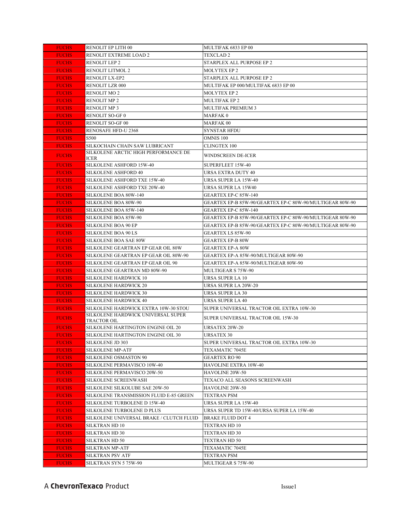| RENOLIT EP LITH 00<br>MULTIFAK 6833 EP 00<br><b>FUCHS</b>                                                                                                       |  |
|-----------------------------------------------------------------------------------------------------------------------------------------------------------------|--|
| <b>FUCHS</b><br>RENOLIT EXTREME LOAD 2<br><b>TEXCLAD 2</b>                                                                                                      |  |
| <b>RENOLIT LEP 2</b><br>STARPLEX ALL PURPOSE EP 2<br><b>FUCHS</b>                                                                                               |  |
| <b>FUCHS</b><br>RENOLIT LITMOL 2<br><b>MOLYTEX EP 2</b>                                                                                                         |  |
| <b>FUCHS</b><br>RENOLIT LX-EP2<br>STARPLEX ALL PURPOSE EP 2                                                                                                     |  |
| MULTIFAK EP 000/MULTIFAK 6833 EP 00<br><b>FUCHS</b><br>RENOLIT LZR 000                                                                                          |  |
| <b>RENOLIT MO 2</b><br><b>FUCHS</b><br><b>MOLYTEX EP 2</b>                                                                                                      |  |
| <b>FUCHS</b><br><b>RENOLIT MP 2</b><br><b>MULTIFAK EP 2</b>                                                                                                     |  |
| <b>FUCHS</b><br><b>RENOLIT MP 3</b><br>MULTIFAK PREMIUM 3                                                                                                       |  |
| <b>FUCHS</b><br><b>RENOLIT SO-GF0</b><br><b>MARFAK0</b>                                                                                                         |  |
| <b>FUCHS</b><br>RENOLIT SO-GF 00<br><b>MARFAK 00</b>                                                                                                            |  |
| <b>FUCHS</b><br>RENOSAFE HFD-U 2368<br><b>SYNSTAR HFDU</b>                                                                                                      |  |
| <b>FUCHS</b><br>S500<br>OMNIS 100                                                                                                                               |  |
| <b>FUCHS</b><br>SILKOCHAIN CHAIN SAW LUBRICANT<br><b>CLINGTEX 100</b>                                                                                           |  |
| SILKOLENE ARCTIC HIGH PERFORMANCE DE<br><b>FUCHS</b><br>WINDSCREEN DE-ICER<br>ICER                                                                              |  |
| SILKOLENE ASHFORD 15W-40<br>SUPERFLEET 15W-40<br><b>FUCHS</b>                                                                                                   |  |
| <b>URSA EXTRA DUTY 40</b><br><b>FUCHS</b><br>SILKOLENE ASHFORD 40                                                                                               |  |
| <b>FUCHS</b><br>SILKOLENE ASHFORD TXE 15W-40<br>URSA SUPER LA 15W-40                                                                                            |  |
| <b>FUCHS</b><br>SILKOLENE ASHFORD TXE 20W-40<br>URSA SUPER LA 15W40                                                                                             |  |
| <b>FUCHS</b><br>SILKOLENE BOA 80W-140<br>GEARTEX EP-C 85W-140                                                                                                   |  |
| SILKOLENE BOA 80W-90<br>GEARTEX EP-B 85W-90/GEARTEX EP-C 80W-90/MULTIGEAR 80W-90<br><b>FUCHS</b>                                                                |  |
| SILKOLENE BOA 85W-140<br>GEARTEX EP-C 85W-140<br><b>FUCHS</b>                                                                                                   |  |
| <b>FUCHS</b><br>SILKOLENE BOA 85W-90<br>GEARTEX EP-B 85W-90/GEARTEX EP-C 80W-90/MULTIGEAR 80W-90                                                                |  |
| <b>FUCHS</b><br><b>SILKOLENE BOA 90 EP</b><br>GEARTEX EP-B 85W-90/GEARTEX EP-C 80W-90/MULTIGEAR 80W-90                                                          |  |
| SILKOLENE BOA 90 LS<br><b>FUCHS</b><br><b>GEARTEX LS 85W-90</b>                                                                                                 |  |
| SILKOLENE BOA SAE 80W<br><b>FUCHS</b><br><b>GEARTEX EP-B 80W</b>                                                                                                |  |
| <b>FUCHS</b><br>SILKOLENE GEARTRAN EP GEAR OIL 80W<br><b>GEARTEX EP-A 80W</b>                                                                                   |  |
| GEARTEX EP-A 85W-90/MULTIGEAR 80W-90<br><b>FUCHS</b><br>SILKOLENE GEARTRAN EP GEAR OIL 80W-90                                                                   |  |
| <b>FUCHS</b><br>SILKOLENE GEARTRAN EP GEAR OIL 90<br>GEARTEX EP-A 85W-90/MULTIGEAR 80W-90                                                                       |  |
| <b>FUCHS</b><br>SILKOLENE GEARTRAN MD 80W-90<br>MULTIGEAR S 75W-90                                                                                              |  |
| <b>URSA SUPER LA 10</b><br><b>FUCHS</b><br>SILKOLENE HARDWICK 10                                                                                                |  |
| <b>FUCHS</b><br>SILKOLENE HARDWICK 20<br>URSA SUPER LA 20W-20                                                                                                   |  |
| <b>FUCHS</b><br>SILKOLENE HARDWICK 30<br><b>URSA SUPER LA 30</b>                                                                                                |  |
| <b>SILKOLENE HARDWICK 40</b><br>URSA SUPER LA 40<br><b>FUCHS</b>                                                                                                |  |
| <b>FUCHS</b><br>SILKOLENE HARDWICK EXTRA 10W-30 STOU<br>SUPER UNIVERSAL TRACTOR OIL EXTRA 10W-30<br>SILKOLENE HARDWICK UNIVERSAL SUPER                          |  |
| <b>FUCHS</b><br>SUPER UNIVERSAL TRACTOR OIL 15W-30<br>TRACTOR OIL                                                                                               |  |
| <b>FUCHS</b><br>SILKOLENE HARTINGTON ENGINE OIL 20<br><b>URSATEX 20W-20</b>                                                                                     |  |
| SILKOLENE HARTINGTON ENGINE OIL 30<br><b>URSATEX 30</b><br><b>FUCHS</b>                                                                                         |  |
| <b>FUCHS</b><br>SILKOLENE JD 303<br>SUPER UNIVERSAL TRACTOR OIL EXTRA 10W-30                                                                                    |  |
| <b>FUCHS</b><br>SILKOLENE MP-ATF<br>TEXAMATIC 7045E                                                                                                             |  |
| <b>SILKOLENE OSMASTON 90</b><br><b>FUCHS</b><br><b>GEARTEX RO 90</b>                                                                                            |  |
| <b>FUCHS</b><br>SILKOLENE PERMAVISCO 10W-40<br>HAVOLINE EXTRA 10W-40                                                                                            |  |
| <b>FUCHS</b><br>SILKOLENE PERMAVISCO 20W-50<br>HAVOLINE 20W-50                                                                                                  |  |
| <b>FUCHS</b><br>SILKOLENE SCREENWASH<br>TEXACO ALL SEASONS SCREENWASH                                                                                           |  |
| <b>FUCHS</b><br>SILKOLENE SILKOLUBE SAE 20W-50<br><b>HAVOLINE 20W-50</b>                                                                                        |  |
| <b>FUCHS</b><br>SILKOLENE TRANSMISSION FLUID E-85 GREEN<br>TEXTRAN PSM                                                                                          |  |
| <b>FUCHS</b><br>SILKOLENE TURBOLENE D 15W-40<br>URSA SUPER LA 15W-40<br><b>FUCHS</b><br>SILKOLENE TURBOLENE D PLUS<br>URSA SUPER TD 15W-40/URSA SUPER LA 15W-40 |  |
| SILKOLENE UNIVERSAL BRAKE / CLUTCH FLUID<br><b>FUCHS</b><br><b>BRAKE FLUID DOT 4</b>                                                                            |  |
| <b>FUCHS</b><br>SILKTRAN HD 10<br>TEXTRAN HD 10                                                                                                                 |  |
| <b>FUCHS</b><br>SILKTRAN HD 30<br>TEXTRAN HD 30                                                                                                                 |  |
|                                                                                                                                                                 |  |
|                                                                                                                                                                 |  |
| <b>FUCHS</b><br>SILKTRAN HD 50<br>TEXTRAN HD 50                                                                                                                 |  |
| <b>FUCHS</b><br>SILKTRAN MP-ATF<br>TEXAMATIC 7045E<br><b>FUCHS</b><br>SILKTRAN PSV ATF<br>TEXTRAN PSM                                                           |  |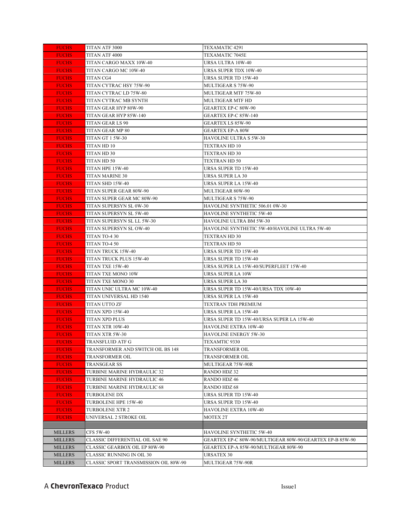| <b>FUCHS</b>                 | TITAN ATF 3000                              | TEXAMATIC 4291                                           |
|------------------------------|---------------------------------------------|----------------------------------------------------------|
| <b>FUCHS</b>                 | TITAN ATF 4000                              | TEXAMATIC 7045E                                          |
| <b>FUCHS</b>                 | TITAN CARGO MAXX 10W-40                     | URSA ULTRA 10W-40                                        |
| <b>FUCHS</b>                 | TITAN CARGO MC 10W-40                       | URSA SUPER TDX 10W-40                                    |
| <b>FUCHS</b>                 | TITAN CG4                                   | URSA SUPER TD 15W-40                                     |
| <b>FUCHS</b>                 | TITAN CYTRAC HSY 75W-90                     | MULTIGEAR S 75W-90                                       |
| <b>FUCHS</b>                 | TITAN CYTRAC LD 75W-80                      | MULTIGEAR MTF 75W-80                                     |
| <b>FUCHS</b>                 | TITAN CYTRAC MB SYNTH                       | MULTIGEAR MTF HD                                         |
| <b>FUCHS</b>                 | TITAN GEAR HYP 80W-90                       | <b>GEARTEX EP-C 80W-90</b>                               |
| <b>FUCHS</b>                 | TITAN GEAR HYP 85W-140                      | GEARTEX EP-C 85W-140                                     |
| <b>FUCHS</b>                 | TITAN GEAR LS 90                            | <b>GEARTEX LS 85W-90</b>                                 |
| <b>FUCHS</b>                 | TITAN GEAR MP 80                            | <b>GEARTEX EP-A 80W</b>                                  |
| <b>FUCHS</b>                 | TITAN GT 1 5W-30                            | <b>HAVOLINE ULTRA S 5W-30</b>                            |
| <b>FUCHS</b>                 | TITAN HD 10                                 | <b>TEXTRAN HD 10</b>                                     |
| <b>FUCHS</b>                 | TITAN HD 30                                 | TEXTRAN HD 30                                            |
| <b>FUCHS</b>                 | TITAN HD 50                                 | TEXTRAN HD 50                                            |
| <b>FUCHS</b>                 | TITAN HPE 15W-40                            | URSA SUPER TD 15W-40                                     |
| <b>FUCHS</b>                 | TITAN MARINE 30                             | URSA SUPER LA 30                                         |
| <b>FUCHS</b>                 | TITAN SHD 15W-40                            | URSA SUPER LA 15W-40                                     |
| <b>FUCHS</b>                 | TITAN SUPER GEAR 80W-90                     | MULTIGEAR 80W-90                                         |
| <b>FUCHS</b>                 | TITAN SUPER GEAR MC 80W-90                  | MULTIGEAR S 75W-90                                       |
| <b>FUCHS</b>                 | TITAN SUPERSYN SL 0W-30                     | HAVOLINE SYNTHETIC 506.01 0W-30                          |
| <b>FUCHS</b>                 | TITAN SUPERSYN SL 5W-40                     | <b>HAVOLINE SYNTHETIC 5W-40</b>                          |
| <b>FUCHS</b>                 | TITAN SUPERSYN SL LL 5W-30                  | HAVOLINE ULTRA BM 5W-30                                  |
| <b>FUCHS</b>                 | TITAN SUPERSYN SL OW-40                     | HAVOLINE SYNTHETIC 5W-40/HAVOLINE ULTRA 5W-40            |
| <b>FUCHS</b>                 | TITAN TO-4 30                               | TEXTRAN HD 30                                            |
| <b>FUCHS</b>                 | TITAN TO-4 50                               | TEXTRAN HD 50                                            |
| <b>FUCHS</b>                 | TITAN TRUCK 15W-40                          | URSA SUPER TD 15W-40                                     |
| <b>FUCHS</b>                 | TITAN TRUCK PLUS 15W-40                     | URSA SUPER TD 15W-40                                     |
| <b>FUCHS</b>                 | TITAN TXE 15W-40                            | URSA SUPER LA 15W-40/SUPERFLEET 15W-40                   |
| <b>FUCHS</b>                 | TITAN TXE MONO 10W                          | URSA SUPER LA 10W                                        |
| <b>FUCHS</b>                 | TITAN TXE MONO 30                           | URSA SUPER LA 30                                         |
| <b>FUCHS</b>                 | TITAN UNIC ULTRA MC 10W-40                  | URSA SUPER TD 15W-40/URSA TDX 10W-40                     |
| <b>FUCHS</b>                 | TITAN UNIVERSAL HD 1540                     | URSA SUPER LA 15W-40                                     |
| <b>FUCHS</b>                 | TITAN UTTO ZF                               | TEXTRAN TDH PREMIUM                                      |
| <b>FUCHS</b>                 | TITAN XPD 15W-40                            | URSA SUPER LA 15W-40                                     |
| <b>FUCHS</b>                 | TITAN XPD PLUS                              | URSA SUPER TD 15W-40/URSA SUPER LA 15W-40                |
| <b>FUCHS</b>                 | TITAN XTR 10W-40                            | HAVOLINE EXTRA 10W-40                                    |
| <b>FUCHS</b>                 | TITAN XTR 5W-30                             | HAVOLINE ENERGY 5W-30                                    |
| <b>FUCHS</b>                 | TRANSFLUID ATF G                            | TEXAMTIC 9330                                            |
| <b>FUCHS</b>                 | TRANSFORMER AND SWITCH OIL BS 148           | <b>TRANSFORMER OIL</b>                                   |
| <b>FUCHS</b>                 | TRANSFORMER OIL                             | <b>TRANSFORMER OIL</b>                                   |
| <b>FUCHS</b>                 | TRANSGEAR SS                                | MULTIGEAR 75W-90R                                        |
| <b>FUCHS</b>                 | TURBINE MARINE HYDRAULIC 32                 | RANDO HDZ 32                                             |
| <b>FUCHS</b>                 | TURBINE MARINE HYDRAULIC 46                 | RANDO HDZ 46                                             |
| <b>FUCHS</b><br><b>FUCHS</b> | TURBINE MARINE HYDRAULIC 68<br>TURBOLENE DX | <b>RANDO HDZ 68</b><br>URSA SUPER TD 15W-40              |
| <b>FUCHS</b>                 | TURBOLENE HPE 15W-40                        | URSA SUPER TD 15W-40                                     |
| <b>FUCHS</b>                 | TURBOLENE XTR 2                             | HAVOLINE EXTRA 10W-40                                    |
| <b>FUCHS</b>                 | UNIVERSAL 2 STROKE OIL                      | MOTEX 2T                                                 |
|                              |                                             |                                                          |
| <b>MILLERS</b>               | <b>CFS 5W-40</b>                            | HAVOLINE SYNTHETIC 5W-40                                 |
| <b>MILLERS</b>               | <b>CLASSIC DIFFERENTIAL OIL SAE 90</b>      | GEARTEX EP-C 80W-90/MULTIGEAR 80W-90/GEARTEX EP-B 85W-90 |
| <b>MILLERS</b>               | <b>CLASSIC GEARBOX OIL EP 80W-90</b>        | GEARTEX EP-A 85W-90/MULTIGEAR 80W-90                     |
| <b>MILLERS</b>               | CLASSIC RUNNING IN OIL 30                   | <b>URSATEX 30</b>                                        |
| <b>MILLERS</b>               | CLASSIC SPORT TRANSMISSION OIL 80W-90       | MULTIGEAR 75W-90R                                        |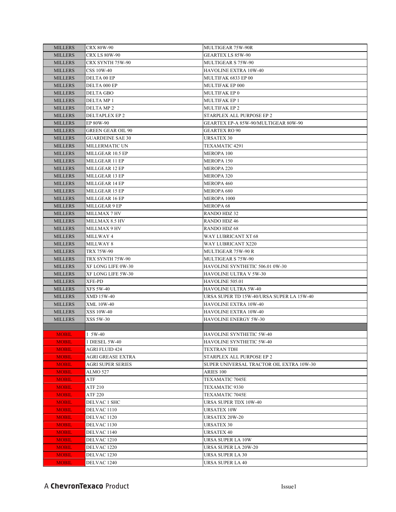| <b>MILLERS</b> | <b>CRX 80W-90</b>        | MULTIGEAR 75W-90R                         |
|----------------|--------------------------|-------------------------------------------|
| <b>MILLERS</b> | <b>CRX LS 80W-90</b>     | <b>GEARTEX LS 85W-90</b>                  |
| <b>MILLERS</b> | CRX SYNTH 75W-90         | MULTIGEAR S 75W-90                        |
| <b>MILLERS</b> | <b>CSS 10W-40</b>        | HAVOLINE EXTRA 10W-40                     |
| <b>MILLERS</b> | DELTA 00 EP              | MULTIFAK 6833 EP 00                       |
| <b>MILLERS</b> | DELTA 000 EP             | MULTIFAK EP 000                           |
| <b>MILLERS</b> | DELTA GBO                | MULTIFAK EP 0                             |
| <b>MILLERS</b> | DELTA MP 1               | <b>MULTIFAK EP 1</b>                      |
| <b>MILLERS</b> | DELTA MP <sub>2</sub>    | <b>MULTIFAK EP 2</b>                      |
| <b>MILLERS</b> | DELTAPLEX EP 2           | STARPLEX ALL PURPOSE EP 2                 |
| <b>MILLERS</b> | EP 80W-90                | GEARTEX EP-A 85W-90/MULTIGEAR 80W-90      |
| <b>MILLERS</b> | <b>GREEN GEAR OIL 90</b> | <b>GEARTEX RO 90</b>                      |
| <b>MILLERS</b> | <b>GUARDEINE SAE 30</b>  | URSATEX 30                                |
| <b>MILLERS</b> | MILLERMATIC UN           | TEXAMATIC 4291                            |
| <b>MILLERS</b> | MILLGEAR 10.5 EP         | MEROPA 100                                |
| <b>MILLERS</b> | MILLGEAR 11 EP           | MEROPA 150                                |
| <b>MILLERS</b> | MILLGEAR 12 EP           | MEROPA 220                                |
| MILLERS        | MILLGEAR 13 EP           | MEROPA 320                                |
| <b>MILLERS</b> | MILLGEAR 14 EP           | MEROPA 460                                |
| <b>MILLERS</b> | MILLGEAR 15 EP           | MEROPA 680                                |
| <b>MILLERS</b> | MILLGEAR 16 EP           | MEROPA 1000                               |
| <b>MILLERS</b> | MILLGEAR 9 EP            | <b>MEROPA 68</b>                          |
| <b>MILLERS</b> | MILLMAX 7 HV             | RANDO HDZ 32                              |
| <b>MILLERS</b> | MILLMAX 8.5 HV           | <b>RANDO HDZ 46</b>                       |
| <b>MILLERS</b> | <b>MILLMAX 9 HV</b>      | RANDO HDZ 68                              |
| <b>MILLERS</b> | MILLWAY 4                | WAY LUBRICANT XT 68                       |
| <b>MILLERS</b> | MILLWAY 8                | WAY LUBRICANT X220                        |
| <b>MILLERS</b> | TRX 75W-90               | MULTIGEAR 75W-90 R                        |
| <b>MILLERS</b> | TRX SYNTH 75W-90         | MULTIGEAR S 75W-90                        |
| <b>MILLERS</b> | XF LONG LIFE 0W-30       | HAVOLINE SYNTHETIC 506.01 0W-30           |
| <b>MILLERS</b> | XF LONG LIFE 5W-30       | HAVOLINE ULTRA V 5W-30                    |
| <b>MILLERS</b> | XFE-PD                   | HAVOLINE 505.01                           |
| <b>MILLERS</b> | <b>XFS 5W-40</b>         | HAVOLINE ULTRA 5W-40                      |
| MILLERS        | XMD 15W-40               | URSA SUPER TD 15W-40/URSA SUPER LA 15W-40 |
| <b>MILLERS</b> | XML 10W-40               | HAVOLINE EXTRA 10W-40                     |
| <b>MILLERS</b> | <b>XSS 10W-40</b>        | HAVOLINE EXTRA 10W-40                     |
| <b>MILLERS</b> | XSS 5W-30                | HAVOLINE ENERGY 5W-30                     |
|                |                          |                                           |
| <b>MOBIL</b>   | 1 5W-40                  | HAVOLINE SYNTHETIC 5W-40                  |
| <b>MOBIL</b>   | 1 DIESEL 5W-40           | HAVOLINE SYNTHETIC 5W-40                  |
| <b>MOBIL</b>   | AGRI FLUID 424           | TEXTRAN TDH                               |
| <b>MOBIL</b>   | AGRI GREASE EXTRA        | STARPLEX ALL PURPOSE EP 2                 |
| <b>MOBIL</b>   | AGRI SUPER SERIES        | SUPER UNIVERSAL TRACTOR OIL EXTRA 10W-30  |
| <b>MOBIL</b>   | ALMO 527                 | ARIES 100                                 |
| <b>MOBIL</b>   | ATF                      | TEXAMATIC 7045E                           |
| <b>MOBIL</b>   | ATF 210                  | TEXAMATIC 9330                            |
| <b>MOBIL</b>   | <b>ATF 220</b>           | TEXAMATIC 7045E                           |
| <b>MOBIL</b>   | DELVAC 1 SHC             | URSA SUPER TDX 10W-40                     |
| <b>MOBIL</b>   | DELVAC 1110              | <b>URSATEX 10W</b>                        |
| <b>MOBIL</b>   | DELVAC 1120              | URSATEX 20W-20                            |
| <b>MOBIL</b>   | DELVAC 1130              | URSATEX 30                                |
| <b>MOBIL</b>   | DELVAC 1140              | URSATEX 40                                |
| <b>MOBIL</b>   | DELVAC 1210              | URSA SUPER LA 10W                         |
| <b>MOBIL</b>   | DELVAC 1220              | URSA SUPER LA 20W-20                      |
| <b>MOBIL</b>   | DELVAC 1230              | URSA SUPER LA 30                          |
| <b>MOBIL</b>   | DELVAC 1240              | URSA SUPER LA 40                          |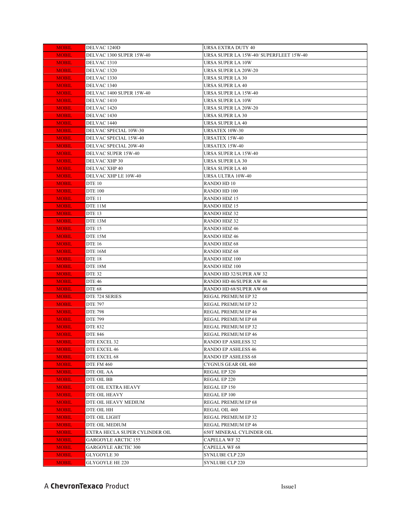| <b>MOBIL</b> | DELVAC 1240D                   | URSA EXTRA DUTY 40                      |
|--------------|--------------------------------|-----------------------------------------|
| <b>MOBIL</b> | DELVAC 1300 SUPER 15W-40       | URSA SUPER LA 15W-40/ SUPERFLEET 15W-40 |
| <b>MOBIL</b> | DELVAC <sub>1310</sub>         | URSA SUPER LA 10W                       |
| <b>MOBIL</b> | DELVAC 1320                    | URSA SUPER LA 20W-20                    |
| <b>MOBIL</b> | DELVAC 1330                    | <b>URSA SUPER LA 30</b>                 |
| <b>MOBIL</b> | DELVAC 1340                    | <b>URSA SUPER LA 40</b>                 |
| <b>MOBIL</b> | DELVAC 1400 SUPER 15W-40       | URSA SUPER LA 15W-40                    |
| <b>MOBIL</b> | DELVAC 1410                    | URSA SUPER LA 10W                       |
| <b>MOBIL</b> | DELVAC 1420                    | <b>URSA SUPER LA 20W-20</b>             |
| <b>MOBIL</b> | DELVAC 1430                    | URSA SUPER LA 30                        |
| <b>MOBIL</b> | DELVAC 1440                    | URSA SUPER LA 40                        |
| <b>MOBIL</b> | DELVAC SPECIAL 10W-30          | URSATEX 10W-30                          |
| <b>MOBIL</b> | DELVAC SPECIAL 15W-40          | <b>URSATEX 15W-40</b>                   |
| <b>MOBIL</b> | DELVAC SPECIAL 20W-40          | URSATEX 15W-40                          |
| <b>MOBIL</b> | DELVAC SUPER 15W-40            | URSA SUPER LA 15W-40                    |
| <b>MOBIL</b> | DELVAC XHP 30                  | URSA SUPER LA 30                        |
| <b>MOBIL</b> | DELVAC XHP 40                  | URSA SUPER LA 40                        |
| <b>MOBIL</b> | DELVAC XHP LE 10W-40           | URSA ULTRA 10W-40                       |
| <b>MOBIL</b> | <b>DTE 10</b>                  | RANDO HD 10                             |
| <b>MOBIL</b> | DTE 100                        | RANDO HD 100                            |
| <b>MOBIL</b> | <b>DTE 11</b>                  | <b>RANDO HDZ 15</b>                     |
| <b>MOBIL</b> | DTE 11M                        | RANDO HDZ 15                            |
| <b>MOBIL</b> | <b>DTE 13</b>                  | <b>RANDO HDZ 32</b>                     |
| <b>MOBIL</b> | DTE 13M                        | <b>RANDO HDZ 32</b>                     |
| <b>MOBIL</b> | <b>DTE 15</b>                  | <b>RANDO HDZ 46</b>                     |
| <b>MOBIL</b> | DTE 15M                        | <b>RANDO HDZ 46</b>                     |
| <b>MOBIL</b> | <b>DTE 16</b>                  | RANDO HDZ 68                            |
| <b>MOBIL</b> | DTE 16M                        | <b>RANDO HDZ 68</b>                     |
| <b>MOBIL</b> | <b>DTE 18</b>                  | RANDO HDZ 100                           |
| <b>MOBIL</b> | DTE 18M                        | RANDO HDZ 100                           |
| <b>MOBIL</b> | DTE 32                         | RANDO HD 32/SUPER AW 32                 |
| <b>MOBIL</b> | DTE 46                         | RANDO HD 46/SUPER AW 46                 |
| <b>MOBIL</b> | <b>DTE 68</b>                  | RANDO HD 68/SUPER AW 68                 |
| <b>MOBIL</b> | DTE 724 SERIES                 | REGAL PREMIUM EP 32                     |
| <b>MOBIL</b> | <b>DTE 797</b>                 | REGAL PREMIUM EP 32                     |
| <b>MOBIL</b> | <b>DTE 798</b>                 | REGAL PREMIUM EP 46                     |
| <b>MOBIL</b> | <b>DTE 799</b>                 | REGAL PREMIUM EP 68                     |
| <b>MOBIL</b> | DTE 832                        | REGAL PREMIUM EP 32                     |
| <b>MOBIL</b> | <b>DTE 846</b>                 | REGAL PREMIUM EP 46                     |
| <b>MOBIL</b> | DTE EXCEL 32                   | <b>RANDO EP ASHLESS 32</b>              |
| <b>MOBIL</b> | DTE EXCEL 46                   | <b>RANDO EP ASHLESS 46</b>              |
| <b>MOBIL</b> | DTE EXCEL 68                   | <b>RANDO EP ASHLESS 68</b>              |
| <b>MOBIL</b> | <b>DTE FM 460</b>              | CYGNUS GEAR OIL 460                     |
| <b>MOBIL</b> | DTE OIL AA                     | REGAL EP 320                            |
| <b>MOBIL</b> | DTE OIL BB                     | REGAL EP 220                            |
| <b>MOBIL</b> | DTE OIL EXTRA HEAVY            | REGAL EP 150                            |
| <b>MOBIL</b> | DTE OIL HEAVY                  | REGAL EP 100                            |
| <b>MOBIL</b> | DTE OIL HEAVY MEDIUM           | REGAL PREMIUM EP 68                     |
| <b>MOBIL</b> | DTE OIL HH                     | REGAL OIL 460                           |
| <b>MOBIL</b> | DTE OIL LIGHT                  | REGAL PREMIUM EP 32                     |
| <b>MOBIL</b> | DTE OIL MEDIUM                 | REGAL PREMIUM EP 46                     |
| <b>MOBIL</b> | EXTRA HECLA SUPER CYLINDER OIL | 650T MINERAL CYLINDER OIL               |
| <u>MOBIL</u> | <b>GARGOYLE ARCTIC 155</b>     | <b>CAPELLA WF32</b>                     |
| <u>MOBIL</u> | <b>GARGOYLE ARCTIC 300</b>     | <b>CAPELLA WF 68</b>                    |
| <b>MOBIL</b> | GLYGOYLE 30                    | <b>SYNLUBE CLP 220</b>                  |
| <b>MOBIL</b> | GLYGOYLE HE 220                | <b>SYNLUBE CLP 220</b>                  |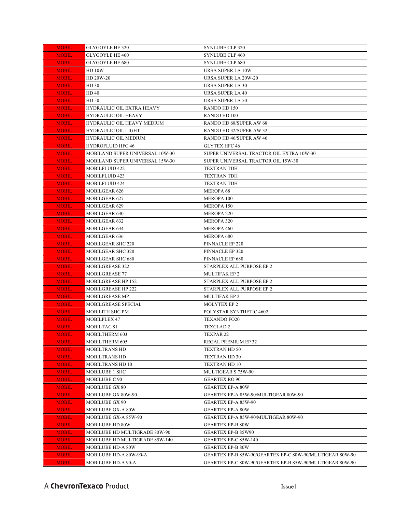| <b>MOBIL</b> | GLYGOYLE HE 320                 | <b>SYNLUBE CLP 320</b>                                   |
|--------------|---------------------------------|----------------------------------------------------------|
| <b>MOBIL</b> | <b>GLYGOYLE HE 460</b>          | <b>SYNLUBE CLP 460</b>                                   |
| <b>MOBIL</b> | GLYGOYLE HE 680                 | <b>SYNLUBE CLP 680</b>                                   |
| <b>MOBIL</b> | <b>HD 10W</b>                   | URSA SUPER LA 10W                                        |
| <b>MOBIL</b> | HD 20W-20                       | URSA SUPER LA 20W-20                                     |
| <b>MOBIL</b> | HD 30                           | <b>URSA SUPER LA 30</b>                                  |
| <b>MOBIL</b> | HD 40                           | URSA SUPER LA 40                                         |
| <b>MOBIL</b> | HD 50                           | <b>URSA SUPER LA 50</b>                                  |
| <b>MOBIL</b> | HYDRAULIC OIL EXTRA HEAVY       | RANDO HD 150                                             |
| <b>MOBIL</b> | HYDRAULIC OIL HEAVY             | RANDO HD 100                                             |
| <b>MOBIL</b> | HYDRAULIC OIL HEAVY MEDIUM      | RANDO HD 68/SUPER AW 68                                  |
| <b>MOBIL</b> | HYDRAULIC OIL LIGHT             | RANDO HD 32/SUPER AW 32                                  |
| <b>MOBIL</b> | HYDRAULIC OIL MEDIUM            | RANDO HD 46/SUPER AW 46                                  |
| <b>MOBIL</b> | <b>HYDROFLUID HFC 46</b>        | GLYTEX HFC 46                                            |
| <b>MOBIL</b> | MOBILAND SUPER UNIVERSAL 10W-30 | SUPER UNIVERSAL TRACTOR OIL EXTRA 10W-30                 |
| <b>MOBIL</b> | MOBILAND SUPER UNIVERSAL 15W-30 | SUPER UNIVERSAL TRACTOR OIL 15W-30                       |
| <b>MOBIL</b> | MOBILFLUID 422                  | <b>TEXTRAN TDH</b>                                       |
| <b>MOBIL</b> | MOBILFLUID 423                  | <b>TEXTRAN TDH</b>                                       |
| <b>MOBIL</b> | MOBILFLUID 424                  | TEXTRAN TDH                                              |
| <b>MOBIL</b> | MOBILGEAR 626                   | <b>MEROPA 68</b>                                         |
| <b>MOBIL</b> | MOBILGEAR 627                   | <b>MEROPA 100</b>                                        |
| <b>MOBIL</b> | MOBILGEAR 629                   | MEROPA 150                                               |
| <b>MOBIL</b> | MOBILGEAR 630                   | <b>MEROPA 220</b>                                        |
| <b>MOBIL</b> | MOBILGEAR 632                   | <b>MEROPA 320</b>                                        |
| <b>MOBIL</b> | MOBILGEAR 634                   | MEROPA 460                                               |
| <b>MOBIL</b> | MOBILGEAR 636                   | MEROPA 680                                               |
| <b>MOBIL</b> | MOBILGEAR SHC 220               | PINNACLE EP 220                                          |
| <b>MOBIL</b> | MOBILGEAR SHC 320               | PINNACLE EP 320                                          |
| <b>MOBIL</b> | MOBILGEAR SHC 680               | PINNACLE EP 680                                          |
| <b>MOBIL</b> | MOBILGREASE 322                 | STARPLEX ALL PURPOSE EP 2                                |
| <b>MOBIL</b> | MOBILGREASE 77                  | <b>MULTIFAK EP 2</b>                                     |
| <b>MOBIL</b> | MOBILGREASE HP 152              | STARPLEX ALL PURPOSE EP 2                                |
| <b>MOBIL</b> | MOBILGREASE HP 222              | STARPLEX ALL PURPOSE EP 2                                |
| <b>MOBIL</b> | MOBILGREASE MP                  | MULTIFAK EP 2                                            |
| <b>MOBIL</b> | MOBILGREASE SPECIAL             | <b>MOLYTEX EP 2</b>                                      |
| <b>MOBIL</b> | MOBILITH SHC PM                 | POLYSTAR SYNTHETIC 4602                                  |
| <b>MOBIL</b> | MOBILPLEX 47                    | <b>TEXANDO FO20</b>                                      |
| <b>MOBIL</b> | MOBILTAC <sub>81</sub>          | <b>TEXCLAD 2</b>                                         |
| <b>MOBIL</b> | MOBILTHERM 603                  | TEXPAR 22                                                |
| <b>MOBIL</b> | MOBILTHERM 605                  | REGAL PREMIUM EP 32                                      |
| <b>MOBIL</b> | MOBILTRANS HD                   | TEXTRAN HD 50                                            |
| <b>MOBIL</b> | MOBILTRANS HD                   | <b>TEXTRAN HD 30</b>                                     |
| <b>MOBIL</b> | MOBILTRANS HD 10                | TEXTRAN HD 10                                            |
| <b>MOBIL</b> | MOBILUBE 1 SHC                  | MULTIGEAR S 75W-90                                       |
| <b>MOBIL</b> | MOBILUBE C 90                   | <b>GEARTEX RO 90</b>                                     |
| <b>MOBIL</b> | MOBILUBE GX 80                  | <b>GEARTEX EP-A 80W</b>                                  |
| <b>MOBIL</b> | MOBILUBE GX 80W-90              | GEARTEX EP-A 85W-90/MULTIGEAR 80W-90                     |
| <b>MOBIL</b> | MOBILUBE GX 90                  | <b>GEARTEX EP-A 85W-90</b>                               |
| <b>MOBIL</b> | MOBILUBE GX-A 80W               | <b>GEARTEX EP-A 80W</b>                                  |
| <b>MOBIL</b> | MOBILUBE GX-A 85W-90            | GEARTEX EP-A 85W-90/MULTIGEAR 80W-90                     |
| <b>MOBIL</b> | MOBILUBE HD 80W                 | GEARTEX EP-B 80W                                         |
| <b>MOBIL</b> | MOBILUBE HD MULTIGRADE 80W-90   | GEARTEX EP-B 85W90                                       |
| <b>MOBIL</b> | MOBILUBE HD MULTIGRADE 85W-140  | <b>GEARTEX EP-C 85W-140</b>                              |
| <b>MOBIL</b> | MOBILUBE HD-A 80W               | <b>GEARTEX EP-B 80W</b>                                  |
| <b>MOBIL</b> | MOBILUBE HD-A 80W-90-A          | GEARTEX EP-B 85W-90/GEARTEX EP-C 80W-90/MULTIGEAR 80W-90 |
| <b>MOBIL</b> | MOBILUBE HD-A 90-A              | GEARTEX EP-C 80W-90/GEARTEX EP-B 85W-90/MULTIGEAR 80W-90 |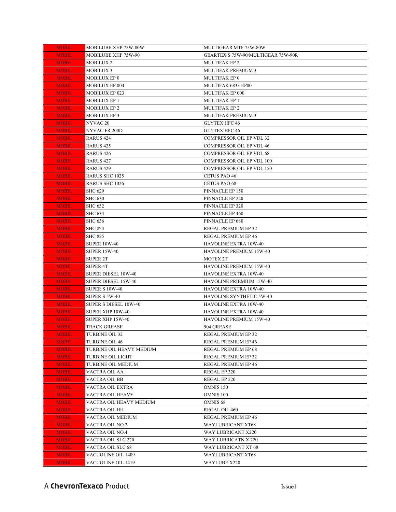| <b>MOBIL</b> | MOBILUBE XHP 75W-80W      | MULTIGEAR MTF 75W-80W              |
|--------------|---------------------------|------------------------------------|
| <b>MOBIL</b> | MOBILUBE XHP 75W-90       | GEARTEX S 75W-90/MULTIGEAR 75W-90R |
| <b>MOBIL</b> | MOBILUX 2                 | <b>MULTIFAK EP 2</b>               |
| <b>MOBIL</b> | <b>MOBILUX 3</b>          | <b>MULTIFAK PREMIUM 3</b>          |
| <b>MOBIL</b> | <b>MOBILUX EP 0</b>       | <b>MULTIFAK EP 0</b>               |
| <b>MOBIL</b> | <b>MOBILUX EP 004</b>     | MULTIFAK 6833 EP00                 |
| <b>MOBIL</b> | <b>MOBILUX EP 023</b>     | MULTIFAK EP 000                    |
| <b>MOBIL</b> | <b>MOBILUX EP 1</b>       | <b>MULTIFAK EP 1</b>               |
| <b>MOBIL</b> | <b>MOBILUX EP 2</b>       | <b>MULTIFAK EP 2</b>               |
| <b>MOBIL</b> | <b>MOBILUX EP3</b>        | <b>MULTIFAK PREMIUM 3</b>          |
| <b>MOBIL</b> | NYVAC <sub>20</sub>       | <b>GLYTEX HFC 46</b>               |
| <b>MOBIL</b> | NYVAC FR 200D             | <b>GLYTEX HFC 46</b>               |
| <b>MOBIL</b> | RARUS 424                 | COMPRESSOR OIL EP VDL 32           |
| <b>MOBIL</b> | RARUS 425                 | COMPRESSOR OIL EP VDL 46           |
| <b>MOBIL</b> | RARUS 426                 | COMPRESSOR OIL EP VDL 68           |
| <b>MOBIL</b> | RARUS 427                 | COMPRESSOR OIL EP VDL 100          |
| <b>MOBIL</b> | RARUS 429                 | COMPRESSOR OIL EP VDL 150          |
| <b>MOBIL</b> | <b>RARUS SHC 1025</b>     | <b>CETUS PAO 46</b>                |
| <b>MOBIL</b> | <b>RARUS SHC 1026</b>     | <b>CETUS PAO 68</b>                |
| <b>MOBIL</b> | <b>SHC 629</b>            | PINNACLE EP 150                    |
| <b>MOBIL</b> | <b>SHC 630</b>            | PINNACLE EP 220                    |
| <b>MOBIL</b> | SHC 632                   | PINNACLE EP 320                    |
| <b>MOBIL</b> | <b>SHC 634</b>            | PINNACLE EP 460                    |
| <b>MOBIL</b> | <b>SHC 636</b>            | PINNACLE EP 680                    |
| <b>MOBIL</b> | <b>SHC 824</b>            | REGAL PREMIUM EP 32                |
| <b>MOBIL</b> | <b>SHC 825</b>            | REGAL PREMIUM EP 46                |
| <b>MOBIL</b> | <b>SUPER 10W-40</b>       | HAVOLINE EXTRA 10W-40              |
| <b>MOBIL</b> | <b>SUPER 15W-40</b>       | HAVOLINE PREMIUM 15W-40            |
| <b>MOBIL</b> | <b>SUPER 2T</b>           | <b>MOTEX 2T</b>                    |
| <b>MOBIL</b> | <b>SUPER 4T</b>           | HAVOLINE PREMIUM 15W-40            |
| <b>MOBIL</b> | SUPER DIESEL 10W-40       | HAVOLINE EXTRA 10W-40              |
| <b>MOBIL</b> | SUPER DIESEL 15W-40       | HAVOLINE PRIEMIUM 15W-40           |
| <b>MOBIL</b> | <b>SUPER S 10W-40</b>     | HAVOLINE EXTRA 10W-40              |
| <b>MOBIL</b> | <b>SUPER S 5W-40</b>      | HAVOLINE SYNTHETIC 5W-40           |
| <b>MOBIL</b> | SUPER S DIESEL 10W-40     | <b>HAVOLINE EXTRA 10W-40</b>       |
| <b>MOBIL</b> | SUPER XHP 10W-40          | HAVOLINE EXTRA 10W-40              |
| <b>MOBIL</b> | SUPER XHP 15W-40          | HAVOLINE PREMIUM 15W-40            |
| <b>MOBIL</b> | <b>TRACK GREASE</b>       | 904 GREASE                         |
| <b>MOBIL</b> | TURBINE OIL 32            | REGAL PREMIUM EP 32                |
| <b>MOBIL</b> | TURBINE OIL 46            | REGAL PREMIUM EP 46                |
| <b>MOBIL</b> | TURBINE OIL HEAVY MEDIUM  | REGAL PREMIUM EP 68                |
| <b>MOBIL</b> | TURBINE OIL LIGHT         | REGAL PREMIUM EP 32                |
| <b>MOBIL</b> | TURBINE OIL MEDIUM        | REGAL PREMIUM EP 46                |
| <b>MOBIL</b> | VACTRA OIL AA             | REGAL EP 320                       |
| <b>MOBIL</b> | VACTRA OIL BB             | REGAL EP 220                       |
| <b>MOBIL</b> | VACTRA OIL EXTRA          | <b>OMNIS 150</b>                   |
| <b>MOBIL</b> | VACTRA OIL HEAVY          | <b>OMNIS 100</b>                   |
| <b>MOBIL</b> | VACTRA OIL HEAVY MEDIUM   | OMNIS <sub>68</sub>                |
| <b>MOBIL</b> | VACTRA OIL HH             | REGAL OIL 460                      |
| <b>MOBIL</b> | VACTRA OIL MEDIUM         | REGAL PREMIUM EP 46                |
| <b>MOBIL</b> | VACTRA OIL NO.2           | WAYLUBRICANT XT68                  |
| <b>MOBIL</b> | VACTRA OIL NO.4           | WAY LUBRICANT X220                 |
| <b>MOBIL</b> | VACTRA OIL SLC 220        | WAY LUBRICATN X 220                |
| <b>MOBIL</b> | VACTRA OIL SLC 68         | WAY LUBRICANT XT 68                |
|              |                           |                                    |
| <b>MOBIL</b> | <b>VACUOLINE OIL 1409</b> | <b>WAYLUBRICANT XT68</b>           |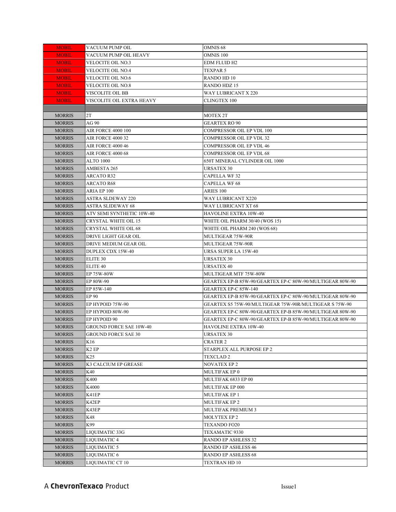| <b>MOBIL</b>                   | VACUUM PUMP OIL                  | <b>OMNIS 68</b>                                          |
|--------------------------------|----------------------------------|----------------------------------------------------------|
| <b>MOBIL</b>                   | VACUUM PUMP OIL HEAVY            | OMNIS 100                                                |
| <b>MOBIL</b>                   | VELOCITE OIL NO.3                | <b>EDM FLUID H2</b>                                      |
| <b>MOBIL</b>                   | VELOCITE OIL NO.4                | TEXPAR 5                                                 |
| <b>MOBIL</b>                   | VELOCITE OIL NO.6                | RANDO HD 10                                              |
| <b>MOBIL</b>                   | VELOCITE OIL NO.8                | <b>RANDO HDZ 15</b>                                      |
| <b>MOBIL</b>                   | VISCOLITE OIL BB                 | WAY LUBRICANT X 220                                      |
| <b>MOBIL</b>                   | VISCOLITE OIL EXTRA HEAVY        | CLINGTEX 100                                             |
|                                |                                  |                                                          |
| <b>MORRIS</b>                  | 2T                               | <b>MOTEX 2T</b>                                          |
| <b>MORRIS</b>                  | AG 90                            | <b>GEARTEX RO 90</b>                                     |
| <b>MORRIS</b>                  | <b>AIR FORCE 4000 100</b>        | COMPRESSOR OIL EP VDL 100                                |
| <b>MORRIS</b>                  | <b>AIR FORCE 4000 32</b>         | COMPRESSOR OIL EP VDL 32                                 |
| <b>MORRIS</b>                  | AIR FORCE 4000 46                | COMPRESSOR OIL EP VDL 46                                 |
| <b>MORRIS</b>                  | <b>AIR FORCE 4000 68</b>         | COMPRESSOR OIL EP VDL 68                                 |
| <b>MORRIS</b>                  | <b>ALTO 1000</b>                 | 650T MINERAL CYLINDER OIL 1000                           |
| <b>MORRIS</b>                  | AMBESTA 265                      | URSATEX 30                                               |
| <b>MORRIS</b>                  | ARCATO R32                       | CAPELLA WF 32                                            |
| <b>MORRIS</b>                  | ARCATO R68                       | <b>CAPELLA WF 68</b>                                     |
| <b>MORRIS</b>                  | ARIA EP 100                      | <b>ARIES 100</b>                                         |
| <b>MORRIS</b>                  | <b>ASTRA SLDEWAY 220</b>         | <b>WAY LUBRICANT X220</b>                                |
| <b>MORRIS</b>                  | <b>ASTRA SLIDEWAY 68</b>         | WAY LUBRICANT XT 68                                      |
| <b>MORRIS</b>                  | ATV SEMI SYNTHETIC 10W-40        | HAVOLINE EXTRA 10W-40                                    |
| <b>MORRIS</b>                  | <b>CRYSTAL WHITE OIL 15</b>      | WHITE OIL PHARM 30/40 (WOS 15)                           |
| <b>MORRIS</b>                  | <b>CRYSTAL WHITE OIL 68</b>      | WHITE OIL PHARM 240 (WOS 68)                             |
| <b>MORRIS</b>                  | DRIVE LIGHT GEAR OIL             | MULTIGEAR 75W-90R                                        |
| <b>MORRIS</b>                  | DRIVE MEDIUM GEAR OIL            | MULTIGEAR 75W-90R                                        |
| <b>MORRIS</b>                  | <b>DUPLEX CDX 15W-40</b>         | URSA SUPER LA 15W-40                                     |
| <b>MORRIS</b>                  | ELITE 30                         | <b>URSATEX 30</b>                                        |
| <b>MORRIS</b>                  | ELITE <sub>40</sub>              | <b>URSATEX 40</b>                                        |
| <b>MORRIS</b>                  | EP 75W-80W                       | MULTIGEAR MTF 75W-80W                                    |
| <b>MORRIS</b>                  | EP 80W-90                        | GEARTEX EP-B 85W-90/GEARTEX EP-C 80W-90/MULTIGEAR 80W-90 |
|                                |                                  |                                                          |
| <b>MORRIS</b>                  | EP 85W-140                       | GEARTEX EP-C 85W-140                                     |
| <b>MORRIS</b>                  | EP 90                            | GEARTEX EP-B 85W-90/GEARTEX EP-C 80W-90/MULTIGEAR 80W-90 |
| <b>MORRIS</b>                  | EP HYPOID 75W-90                 |                                                          |
| <b>MORRIS</b>                  | EP HYPOID 80W-90                 | GEARTEX EP-C 80W-90/GEARTEX EP-B 85W-90/MULTIGEAR 80W-90 |
| <b>MORRIS</b>                  | EP HYPOID 90                     | GEARTEX EP-C 80W-90/GEARTEX EP-B 85W-90/MULTIGEAR 80W-90 |
| <b>MORRIS</b>                  | <b>GROUND FORCE SAE 10W-40</b>   | HAVOLINE EXTRA 10W-40                                    |
| <b>MORRIS</b>                  | <b>GROUND FORCE SAE 30</b>       | <b>URSATEX 30</b>                                        |
| <b>MORRIS</b>                  | K16                              | CRATER 2                                                 |
| <b>MORRIS</b>                  | K2 EP                            | STARPLEX ALL PURPOSE EP 2                                |
| <b>MORRIS</b>                  | K <sub>25</sub>                  | <b>TEXCLAD 2</b>                                         |
| <b>MORRIS</b>                  | K3 CALCIUM EP GREASE             | NOVATEX EP 2                                             |
| <b>MORRIS</b>                  | K40                              | MULTIFAK EP 0                                            |
| <b>MORRIS</b>                  | K400                             | MULTIFAK 6833 EP 00                                      |
| <b>MORRIS</b>                  | K4000                            | MULTIFAK EP 000                                          |
| <b>MORRIS</b>                  | K41EP                            | <b>MULTIFAK EP 1</b>                                     |
| <b>MORRIS</b>                  | K42EP                            | <b>MULTIFAK EP 2</b>                                     |
| <b>MORRIS</b>                  | K43EP                            | MULTIFAK PREMIUM 3                                       |
| <b>MORRIS</b>                  | K48                              | <b>MOLYTEX EP 2</b>                                      |
| <b>MORRIS</b>                  | K99                              | TEXANDO FO20                                             |
| <b>MORRIS</b>                  | LIQUIMATIC 33G                   | TEXAMATIC 9330                                           |
| <b>MORRIS</b>                  | LIQUIMATIC 4                     | RANDO EP ASHLESS 32                                      |
| <b>MORRIS</b>                  | LIQUIMATIC 5                     | <b>RANDO EP ASHLESS 46</b>                               |
| <b>MORRIS</b><br><b>MORRIS</b> | LIQUIMATIC 6<br>LIQUIMATIC CT 10 | RANDO EP ASHLESS 68<br>TEXTRAN HD 10                     |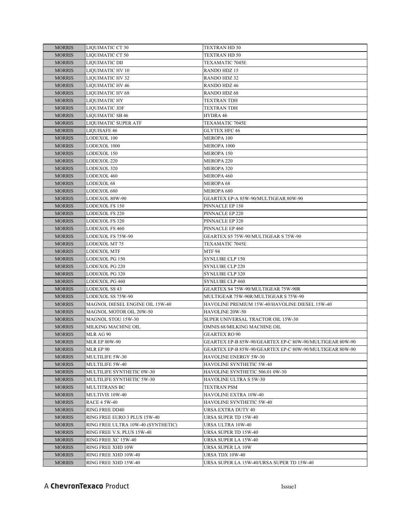| <b>MORRIS</b> | LIQUIMATIC CT 30                   | TEXTRAN HD 30                                            |
|---------------|------------------------------------|----------------------------------------------------------|
| <b>MORRIS</b> | LIQUIMATIC CT 50                   | TEXTRAN HD 50                                            |
| <b>MORRIS</b> | LIQUIMATIC DII                     | TEXAMATIC 7045E                                          |
| <b>MORRIS</b> | LIQUIMATIC HV 10                   | <b>RANDO HDZ 15</b>                                      |
| <b>MORRIS</b> | LIQUIMATIC HV 32                   | RANDO HDZ 32                                             |
| <b>MORRIS</b> | <b>LIQUIMATIC HV 46</b>            | <b>RANDO HDZ 46</b>                                      |
| <b>MORRIS</b> | LIQUIMATIC HV 68                   | RANDO HDZ 68                                             |
| <b>MORRIS</b> | <b>LIQUIMATIC HY</b>               | TEXTRAN TDH                                              |
| <b>MORRIS</b> | <b>LIQUIMATIC JDF</b>              | <b>TEXTRAN TDH</b>                                       |
| <b>MORRIS</b> | <b>LIQUIMATIC SB 46</b>            | HYDRA 46                                                 |
| <b>MORRIS</b> | <b>LIQUIMATIC SUPER ATF</b>        | <b>TEXAMATIC 7045E</b>                                   |
| <b>MORRIS</b> | <b>LIQUISAFE 46</b>                | <b>GLYTEX HFC 46</b>                                     |
| <b>MORRIS</b> | LODEXOL 100                        | <b>MEROPA 100</b>                                        |
| <b>MORRIS</b> | LODEXOL 1000                       | MEROPA 1000                                              |
| <b>MORRIS</b> | LODEXOL 150                        | MEROPA 150                                               |
| <b>MORRIS</b> | LODEXOL 220                        | <b>MEROPA 220</b>                                        |
| <b>MORRIS</b> | LODEXOL 320                        | MEROPA 320                                               |
| <b>MORRIS</b> | LODEXOL 460                        | MEROPA 460                                               |
| <b>MORRIS</b> | LODEXOL 68                         | <b>MEROPA 68</b>                                         |
| <b>MORRIS</b> | LODEXOL 680                        | MEROPA 680                                               |
| <b>MORRIS</b> | LODEXOL 80W-90                     | GEARTEX EP-A 85W-90/MULTIGEAR 80W-90                     |
| <b>MORRIS</b> | <b>LODEXOL FS 150</b>              | PINNACLE EP 150                                          |
| <b>MORRIS</b> | <b>LODEXOL FS 220</b>              | PINNACLE EP 220                                          |
| <b>MORRIS</b> | <b>LODEXOL FS 320</b>              | PINNACLE EP 320                                          |
| <b>MORRIS</b> | LODEXOL FS 460                     | PINNACLE EP 460                                          |
| <b>MORRIS</b> | LODEXOL FS 75W-90                  | GEARTEX S5 75W-90/MULTIGEAR S 75W-90                     |
| <b>MORRIS</b> | LODEXOL MT 75                      | TEXAMATIC 7045E                                          |
| <b>MORRIS</b> | LODEXOL MTF                        | <b>MTF 94</b>                                            |
| <b>MORRIS</b> | <b>LODEXOL PG 150</b>              | <b>SYNLUBE CLP 150</b>                                   |
| <b>MORRIS</b> | LODEXOL PG 220                     | <b>SYNLUBE CLP 220</b>                                   |
| <b>MORRIS</b> | <b>LODEXOL PG 320</b>              | <b>SYNLUBE CLP 320</b>                                   |
| <b>MORRIS</b> | LODEXOL PG 460                     | SYNLUBE CLP 460                                          |
| <b>MORRIS</b> | LODEXOL SS 43                      | GEARTEX S4 75W-90/MULTIGEAR 75W-90R                      |
| <b>MORRIS</b> | LODEXOL SS 75W-90                  | MULTIGEAR 75W-90R/MULTIGEAR S 75W-90                     |
| <b>MORRIS</b> | MAGNOL DIESEL ENGINE OIL 15W-40    | HAVOLINE PREMIUM 15W-40/HAVOLINE DIESEL 15W-40           |
| <b>MORRIS</b> | MAGNOL MOTOR OIL 20W-50            | HAVOLINE 20W-50                                          |
| <b>MORRIS</b> | <b>MAGNOL STOU 15W-30</b>          | SUPER UNIVERSAL TRACTOR OIL 15W-30                       |
| <b>MORRIS</b> | MILKING MACHINE OIL                | OMNIS 68/MILKING MACHINE OIL                             |
| <b>MORRIS</b> | MLR AG 90                          | <b>GEARTEX RO 90</b>                                     |
| <b>MORRIS</b> | <b>MLR EP 80W-90</b>               | GEARTEX EP-B 85W-90/GEARTEX EP-C 80W-90/MULTIGEAR 80W-90 |
| <b>MORRIS</b> | MLR EP 90                          | GEARTEX EP-B 85W-90/GEARTEX EP-C 80W-90/MULTIGEAR 80W-90 |
| <b>MORRIS</b> | MULTILIFE 5W-30                    | HAVOLINE ENERGY 5W-30                                    |
| <b>MORRIS</b> | MULTILIFE 5W-40                    | HAVOLINE SYNTHETIC 5W-40                                 |
| <b>MORRIS</b> | MULTILIFE SYNTHETIC 0W-30          | HAVOLINE SYNTHETIC 506.01 0W-30                          |
| <b>MORRIS</b> | MULTILIFE SYNTHETIC 5W-30          | HAVOLINE ULTRA S 5W-30                                   |
| <b>MORRIS</b> | <b>MULTITRANS BC</b>               | <b>TEXTRAN PSM</b>                                       |
| <b>MORRIS</b> | MULTIVIS 10W-40                    | HAVOLINE EXTRA 10W-40                                    |
| <b>MORRIS</b> | <b>RACE 4 5W-40</b>                | HAVOLINE SYNTHETIC 5W-40                                 |
| <b>MORRIS</b> | <b>RING FREE DD40</b>              | URSA EXTRA DUTY 40                                       |
| <b>MORRIS</b> | RING FREE EURO 3 PLUS 15W-40       | URSA SUPER TD 15W-40                                     |
| <b>MORRIS</b> | RING FREE ULTRA 10W-40 (SYNTHETIC) | URSA ULTRA 10W-40                                        |
| <b>MORRIS</b> | RING FREE V.S. PLUS 15W-40         | URSA SUPER TD 15W-40                                     |
| <b>MORRIS</b> | RING FREE XC 15W-40                | URSA SUPER LA 15W-40                                     |
| <b>MORRIS</b> | RING FREE XHD 10W                  | URSA SUPER LA 10W                                        |
| <b>MORRIS</b> | RING FREE XHD 10W-40               | URSA TDX 10W-40                                          |
| <b>MORRIS</b> | RING FREE XHD 15W-40               | URSA SUPER LA 15W-40/URSA SUPER TD 15W-40                |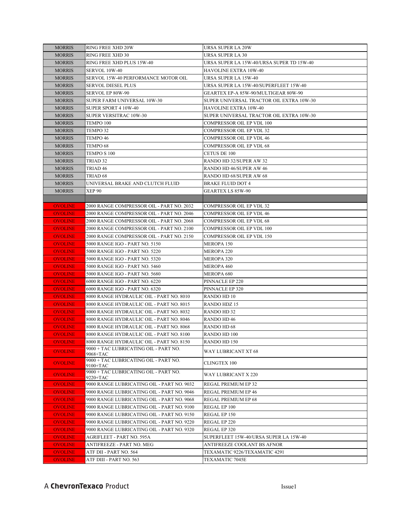| <b>MORRIS</b>  | <b>RING FREE XHD 20W</b>                          | URSA SUPER LA 20W                         |
|----------------|---------------------------------------------------|-------------------------------------------|
| <b>MORRIS</b>  | RING FREE XHD 30                                  | <b>URSA SUPER LA 30</b>                   |
| <b>MORRIS</b>  | RING FREE XHD PLUS 15W-40                         | URSA SUPER LA 15W-40/URSA SUPER TD 15W-40 |
| <b>MORRIS</b>  | SERVOL 10W-40                                     | <b>HAVOLINE EXTRA 10W-40</b>              |
| <b>MORRIS</b>  | SERVOL 15W-40 PERFORMANCE MOTOR OIL               | URSA SUPER LA 15W-40                      |
| <b>MORRIS</b>  | <b>SERVOL DIESEL PLUS</b>                         | URSA SUPER LA 15W-40/SUPERFLEET 15W-40    |
| <b>MORRIS</b>  | SERVOL EP 80W-90                                  | GEARTEX EP-A 85W-90/MULTIGEAR 80W-90      |
| <b>MORRIS</b>  | SUPER FARM UNIVERSAL 10W-30                       | SUPER UNIVERSAL TRACTOR OIL EXTRA 10W-30  |
| <b>MORRIS</b>  | SUPER SPORT 4 10W-40                              | HAVOLINE EXTRA 10W-40                     |
| <b>MORRIS</b>  | <b>SUPER VERSITRAC 10W-30</b>                     | SUPER UNIVERSAL TRACTOR OIL EXTRA 10W-30  |
| <b>MORRIS</b>  | TEMPO 100                                         | COMPRESSOR OIL EP VDL 100                 |
| <b>MORRIS</b>  | TEMPO 32                                          | COMPRESSOR OIL EP VDL 32                  |
| <b>MORRIS</b>  | TEMPO 46                                          | COMPRESSOR OIL EP VDL 46                  |
| <b>MORRIS</b>  | TEMPO 68                                          | COMPRESSOR OIL EP VDL 68                  |
| <b>MORRIS</b>  | TEMPO S 100                                       | CETUS DE 100                              |
| <b>MORRIS</b>  | TRIAD 32                                          | RANDO HD 32/SUPER AW 32                   |
| <b>MORRIS</b>  | TRIAD 46                                          | RANDO HD 46/SUPER AW 46                   |
| <b>MORRIS</b>  | TRIAD 68                                          | RANDO HD 68/SUPER AW 68                   |
| <b>MORRIS</b>  | UNIVERSAL BRAKE AND CLUTCH FLUID                  | <b>BRAKE FLUID DOT 4</b>                  |
| <b>MORRIS</b>  | <b>XEP 90</b>                                     | GEARTEX LS 85W-90                         |
|                |                                                   |                                           |
| <b>OVOLINE</b> | 2000 RANGE COMPRESSOR OIL - PART NO. 2032         | <b>COMPRESSOR OIL EP VDL 32</b>           |
| <b>OVOLINE</b> | 2000 RANGE COMPRESSOR OIL - PART NO. 2046         | <b>COMPRESSOR OIL EP VDL 46</b>           |
| <b>OVOLINE</b> | 2000 RANGE COMPRESSOR OIL - PART NO. 2068         | COMPRESSOR OIL EP VDL 68                  |
| <b>OVOLINE</b> | 2000 RANGE COMPRESSOR OIL - PART NO. 2100         | <b>COMPRESSOR OIL EP VDL 100</b>          |
| <b>OVOLINE</b> | 2000 RANGE COMPRESSOR OIL - PART NO. 2150         | <b>COMPRESSOR OIL EP VDL 150</b>          |
| <b>OVOLINE</b> | 5000 RANGE IGO - PART NO. 5150                    | MEROPA 150                                |
| <b>OVOLINE</b> | 5000 RANGE IGO - PART NO. 5220                    | <b>MEROPA 220</b>                         |
| <b>OVOLINE</b> | 5000 RANGE IGO - PART NO. 5320                    | MEROPA 320                                |
| <b>OVOLINE</b> | 5000 RANGE IGO - PART NO. 5460                    | MEROPA 460                                |
| <b>OVOLINE</b> | 5000 RANGE IGO - PART NO. 5680                    | MEROPA 680                                |
| <b>OVOLINE</b> | 6000 RANGE IGO - PART NO. 6220                    | PINNACLE EP 220                           |
| <b>OVOLINE</b> | 6000 RANGE IGO - PART NO. 6320                    | PINNACLE EP 320                           |
| <b>OVOLINE</b> | 8000 RANGE HYDRAULIC OIL - PART NO. 8010          | RANDO HD 10                               |
| <b>OVOLINE</b> | 8000 RANGE HYDRAULIC OIL - PART NO. 8015          | RANDO HDZ 15                              |
| <b>OVOLINE</b> | 8000 RANGE HYDRAULIC OIL - PART NO. 8032          | RANDO HD 32                               |
| <b>OVOLINE</b> | 8000 RANGE HYDRAULIC OIL - PART NO. 8046          | RANDO HD 46                               |
| <b>OVOLINE</b> | 8000 RANGE HYDRAULIC OIL - PART NO. 8068          | RANDO HD 68                               |
| <b>OVOLINE</b> | 8000 RANGE HYDRAULIC OIL - PART NO. 8100          | RANDO HD 100                              |
| <b>OVOLINE</b> | 8000 RANGE HYDRAULIC OIL - PART NO. 8150          | RANDO HD 150                              |
| <b>OVOLINE</b> | 9000 + TAC LUBRICATING OIL - PART NO.<br>9068+TAC | WAY LUBRICANT XT 68                       |
| <b>OVOLINE</b> | 9000 + TAC LUBRICATING OIL - PART NO.<br>9100+TAC | CLINGTEX 100                              |
| <b>OVOLINE</b> | 9000 + TAC LUBRICATING OIL - PART NO.<br>9220+TAC | WAY LUBRICANT X 220                       |
| <b>OVOLINE</b> | 9000 RANGE LUBRICATING OIL - PART NO. 9032        | REGAL PREMIUM EP 32                       |
| <b>OVOLINE</b> | 9000 RANGE LUBRICATING OIL - PART NO. 9046        | REGAL PREMIUM EP 46                       |
| <b>OVOLINE</b> | 9000 RANGE LUBRICATING OIL - PART NO. 9068        | REGAL PREMIUM EP 68                       |
| <b>OVOLINE</b> | 9000 RANGE LUBRICATING OIL - PART NO. 9100        | REGAL EP 100                              |
| <b>OVOLINE</b> | 9000 RANGE LUBRICATING OIL - PART NO. 9150        | REGAL EP 150                              |
| <b>OVOLINE</b> | 9000 RANGE LUBRICATING OIL - PART NO. 9220        | REGAL EP 220                              |
| <b>OVOLINE</b> | 9000 RANGE LUBRICATING OIL - PART NO. 9320        | REGAL EP 320                              |
| <b>OVOLINE</b> | AGRIFLEET - PART NO. 595A                         | SUPERFLEET 15W-40/URSA SUPER LA 15W-40    |
| <b>OVOLINE</b> | ANTIFREEZE - PART NO. MEG                         | ANTIFREEZE COOLANT BS AFNOR               |
| <b>OVOLINE</b> | ATF DII - PART NO. 564                            | TEXAMATIC 9226/TEXAMATIC 4291             |
| <b>OVOLINE</b> | ATF DIII - PART NO. 563                           | TEXAMATIC 7045E                           |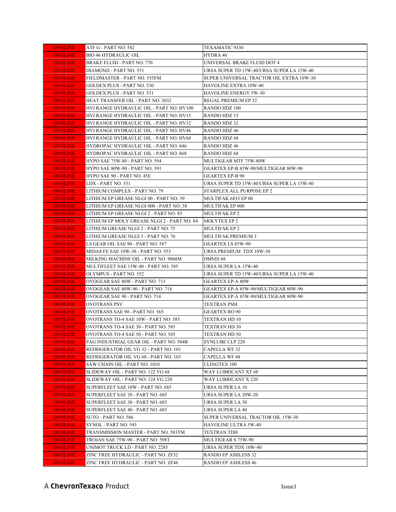| <b>OVOLINE</b> | ATF G - PART NO. 582                        | TEXAMATIC 9330                            |
|----------------|---------------------------------------------|-------------------------------------------|
| <b>OVOLINE</b> | BIO 46 HYDRAULIC OIL                        | HYDRA 46                                  |
| <b>OVOLINE</b> | <b>BRAKE FLUID - PART NO. 770</b>           | UNIVERSAL BRAKE FLUID DOT 4               |
| <b>OVOLINE</b> | DIAMOND - PART NO. 551                      | URSA SUPER TD 15W-40/URSA SUPER LA 15W-40 |
| <b>OVOLINE</b> | FIELDMASTER - PART NO. 555FM                | SUPER UNIVERSAL TRACTOR OIL EXTRA 10W-30  |
| <b>OVOLINE</b> | <b>GOLDEX PLUS - PART NO. 530</b>           | HAVOLINE EXTRA 10W-40                     |
| <b>OVOLINE</b> | <b>GOLDEX PLUS - PART NO. 531</b>           | <b>HAVOLINE ENERGY 5W-30</b>              |
| <b>OVOLINE</b> | HEAT TRANSFER OIL - PART NO. 3032           | REGAL PREMIUM EP 32                       |
| <b>OVOLINE</b> | HVI RANGE HYDRAULIC OIL - PART NO. HV100    | RANDO HDZ 100                             |
| <b>OVOLINE</b> | HVI RANGE HYDRAULIC OIL - PART NO. HV15     | <b>RANDO HDZ 15</b>                       |
| <b>OVOLINE</b> | HVI RANGE HYDRAULIC OIL - PART NO. HV32     | RANDO HDZ 32                              |
| <b>OVOLINE</b> | HVI RANGE HYDRAULIC OIL - PART NO. HV46     | <b>RANDO HDZ 46</b>                       |
| <b>OVOLINE</b> | HVI RANGE HYDRAULIC OIL - PART NO. HV68     | RANDO HDZ 68                              |
| <b>OVOLINE</b> | HYDROPAC HYDRAULIC OIL - PART NO. 846       | RANDO HDZ 46                              |
| <b>OVOLINE</b> | HYDROPAC HYDRAULIC OIL - PART NO. 868       | RANDO HDZ 68                              |
| <b>OVOLINE</b> | HYPO SAE 75W-80 - PART NO. 594              | MULTIGEAR MTF 75W-80W                     |
| <b>OVOLINE</b> | HYPO SAE 80W-90 - PART NO. 591              | GEARTEX EP-B 85W-90/MULTIGEAR 80W-90      |
| <b>OVOLINE</b> | HYPO SAE 90 - PART NO. 45E                  | <b>GEARTEX EP-B 90</b>                    |
| <b>OVOLINE</b> | LDX - PART NO. 551                          | URSA SUPER TD 15W-40/URSA SUPER LA 15W-40 |
| <b>OVOLINE</b> | LITHIUM COMPLEX - PART NO. 79               | STARPLEX ALL PURPOSE EP 2                 |
| <b>OVOLINE</b> | LITHIUM EP GREASE NLGI 00 - PART NO. 59     | MULTIFAK 6833 EP 00                       |
| <b>OVOLINE</b> | LITHIUM EP GREASE NLGI 000 - PART NO. 58    | MULTIFAK EP 000                           |
| <b>OVOLINE</b> | LITHIUM EP GREASE NLGI 2 - PART NO. 85      | <b>MULTIFAK EP 2</b>                      |
| <b>OVOLINE</b> | LITHIUM EP MOLY GREASE NLGI 2 - PART NO. 84 | <b>MOLYTEX EP 2</b>                       |
| <b>OVOLINE</b> | LITHIUM GREASE NLGI 2 - PART NO. 75         | <b>MULTIFAK EP 2</b>                      |
| <b>OVOLINE</b> | LITHIUM GREASE NLGI 3 - PART NO. 76         | <b>MULTIFAK PREMIUM 3</b>                 |
| <b>OVOLINE</b> | LS GEAR OIL SAE 90 - PART NO. 587           | <b>GEARTEX LS 85W-90</b>                  |
| <b>OVOLINE</b> | MIDAS FE SAE 10W-30 - PART NO. 553          | URSA PREMIUM TDX 10W-30                   |
| <b>OVOLINE</b> | MILKING MACHINE OIL - PART NO. 9068M        | OMNIS <sub>68</sub>                       |
| <b>OVOLINE</b> | MULTIFLEET SAE 15W-40 - PART NO. 595        | URSA SUPER LA 15W-40                      |
| <b>OVOLINE</b> | OLYMPUS - PART NO. 552                      | URSA SUPER TD 15W-40/URSA SUPER LA 15W-40 |
| <b>OVOLINE</b> | OVOGEAR SAE 80W - PART NO. 713              | <b>GEARTEX EP-A 80W</b>                   |
| <b>OVOLINE</b> | OVOGEAR SAE 80W-90 - PART NO. 718           | GEARTEX EP-A 85W-90/MULTIGEAR 80W-90      |
| <b>OVOLINE</b> | OVOGEAR SAE 90 - PART NO. 714               | GEARTEX EP-A 85W-90/MULTIGEAR 80W-90      |
| <b>OVOLINE</b> | OVOTRANS PSV                                | TEXTRAN PSM                               |
| <b>OVOLINE</b> | OVOTRANS SAE 90 - PART NO. 565              | GEARTEX RO 90                             |
| <b>OVOLINE</b> | OVOTRANS TO-4 SAE 10W - PART NO. 585        | TEXTRAN HD 10                             |
| <b>OVOLINE</b> | OVOTRANS TO-4 SAE 30 - PART NO. 585         | TEXTRAN HD 30                             |
| <b>OVOLINE</b> | OVOTRANS TO-4 SAE 50 - PART NO. 585         | TEXTRAN HD 50                             |
| <b>OVOLINE</b> | PAG INDUSTRIAL GEAR OIL - PART NO. 584B     | <b>SYNLUBE CLP 220</b>                    |
| <b>OVOLINE</b> | REFRIGERATOR OIL VG 32 - PART NO. 101       | CAPELLA WF 32                             |
| <b>OVOLINE</b> | REFRIGERATOR OIL VG 68 - PART NO. 103       | <b>CAPELLA WF 68</b>                      |
| <b>OVOLINE</b> | SAW CHAIN OIL - PART NO. 1010               | <b>CLINGTEX 100</b>                       |
| <b>OVOLINE</b> | SLIDEWAY OIL - PART NO. 122 VG 68           | WAY LUBRICANT XT 68                       |
| <b>OVOLINE</b> | SLIDEWAY OIL - PART NO. 124 VG 220          | WAY LUBRICANT X 220                       |
| <b>OVOLINE</b> | SUPERFLEET SAE 10W - PART NO. 685           | URSA SUPER LA 10                          |
| <b>OVOLINE</b> | SUPERFLEET SAE 20 - PART NO. 685            | URSA SUPER LA 20W-20                      |
| <b>OVOLINE</b> | SUPERFLEET SAE 30 - PART NO. 685            | URSA SUPER LA 30                          |
| <b>OVOLINE</b> | SUPERFLEET SAE 40 - PART NO. 685            | URSA SUPER LA 40                          |
| <b>OVOLINE</b> | SUTO - PART NO. 586                         | SUPER UNIVERSAL TRACTOR OIL 15W-30        |
| <b>OVOLINE</b> | SYNOL - PART NO. 545                        | HAVOLINE ULTRA 5W-40                      |
| <b>OVOLINE</b> | TRANSMISSION MASTER - PART NO. 583TM        | TEXTRAN TDH                               |
| <b>OVOLINE</b> | TROJAN SAE 75W-90 - PART NO. 598T           | MULTIGEAR S 75W-90                        |
| <b>OVOLINE</b> | UNIMOT TRUCK LD - PART NO. 2285             | URSA SUPER TDX 10W-40                     |
| <b>OVOLINE</b> | ZINC FREE HYDRAULIC - PART NO. ZF32         | RANDO EP ASHLESS 32                       |
| <b>OVOLINE</b> | ZINC FREE HYDRAULIC - PART NO. ZF46         | RANDO EP ASHLESS 46                       |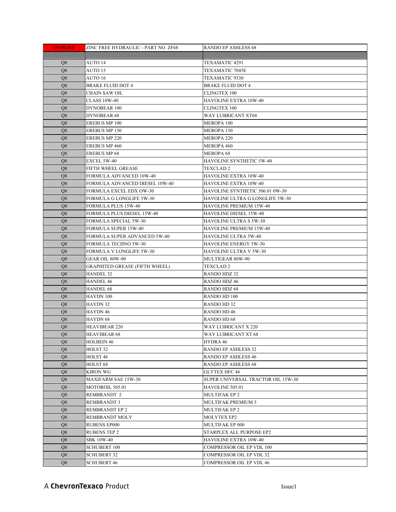| <b>OVOLINE</b> | ZINC FREE HYDRAULIC - PART NO. ZF68   | <b>RANDO EP ASHLESS 68</b>         |
|----------------|---------------------------------------|------------------------------------|
|                |                                       |                                    |
| Q <sub>8</sub> | AUTO 14                               | TEXAMATIC 4291                     |
| Q8             | AUTO 15                               | TEXAMATIC 7045E                    |
| Q8             | AUTO 16                               | TEXAMATIC 9330                     |
| Q8             | <b>BRAKE FLUID DOT 4</b>              | <b>BRAKE FLUID DOT 4</b>           |
| Q8             | <b>CHAIN SAW OIL</b>                  | <b>CLINGTEX 100</b>                |
| Q8             | <b>CLASS 10W-40</b>                   | HAVOLINE EXTRA 10W-40              |
| Q8             | DYNOBEAR 100                          | <b>CLINGTEX 100</b>                |
| Q8             | DYNOBEAR 68                           | WAY LUBRICANT XT68                 |
| Q8             | <b>EREBUS MP 100</b>                  | MEROPA 100                         |
| Q8             | <b>EREBUS MP 150</b>                  | MEROPA 150                         |
| Q <sub>8</sub> | <b>EREBUS MP 220</b>                  | <b>MEROPA 220</b>                  |
| Q <sub>8</sub> | <b>EREBUS MP 460</b>                  | <b>MEROPA 460</b>                  |
| Q8             | <b>EREBUS MP 68</b>                   | <b>MEROPA 68</b>                   |
| Q <sub>8</sub> | EXCEL 5W-40                           | HAVOLINE SYNTHETIC 5W-40           |
| Q <sub>8</sub> | FIFTH WHEEL GREASE                    | <b>TEXCLAD 2</b>                   |
| O <sub>8</sub> | FORMULA ADVANCED 10W-40               | HAVOLINE EXTRA 10W-40              |
| Q <sub>8</sub> | FORMULA ADVANCED DIESEL 10W-40        | HAVOLINE EXTRA 10W-40              |
| Q <sub>8</sub> | FORMULA EXCEL EDX OW-30               | HAVOLINE SYNTHETIC 506.01 0W-30    |
| Q <sub>8</sub> | <b>FORMULA G LONGLIFE 5W-30</b>       | HAVOLINE ULTRA G LONGLIFE 5W-30    |
| Q8             | <b>FORMULA PLUS 15W-40</b>            | <b>HAVOLINE PREMIUM 15W-40</b>     |
| Q8             | FORMULA PLUS DIESEL 15W-40            | HAVOLINE DIESEL 15W-40             |
| Q <sub>8</sub> | FORMULA SPECIAL 5W-30                 | HAVOLINE ULTRA S 5W-30             |
| Q8             | FORMULA SUPER 15W-40                  | HAVOLINE PREMIUM 15W-40            |
| Q8             | FORMULA SUPER ADVANCED 5W-40          | HAVOLINE ULTRA 5W-40               |
| Q <sub>8</sub> | <b>FORMULA TECHNO 5W-30</b>           | HAVOLINE ENERGY 5W-30              |
| Q8             | FORMULA V LONGLIFE 5W-30              | HAVOLINE ULTRA V 5W-30             |
| Q <sub>8</sub> | GEAR OIL 80W-90                       | MULTIGEAR 80W-90                   |
| Q <sub>8</sub> | <b>GRAPHITED GREASE (FIFTH WHEEL)</b> | TEXCLAD 2                          |
| Q <sub>8</sub> | <b>HANDEL 32</b>                      | RANDO HDZ 32                       |
| Q <sub>8</sub> | <b>HANDEL 46</b>                      | RANDO HDZ 46                       |
| Q <sub>8</sub> | <b>HANDEL 68</b>                      | RANDO HDZ 68                       |
| Q <sub>8</sub> | HAYDN 100                             | RANDO HD 100                       |
| Q <sub>8</sub> | HAYDN 32                              | RANDO HD 32                        |
| Q <sub>8</sub> | HAYDN 46                              | <b>RANDO HD 46</b>                 |
| Q8             | HAYDN 68                              | <b>RANDO HD 68</b>                 |
| Q8             | <b>HEAVIBEAR 220</b>                  | WAY LUBRICANT X 220                |
| ${\bf Q}8$     | <b>HEAVIBEAR 68</b>                   | WAY LUBRICANT XT 68                |
| Q8             | <b>HOLBEIN 46</b>                     | HYDRA 46                           |
| Q <sub>8</sub> | HOLST <sub>32</sub>                   | <b>RANDO EP ASHLESS 32</b>         |
| Q8             | HOLST <sub>46</sub>                   | <b>RANDO EP ASHLESS 46</b>         |
| Q8             | HOLST <sub>68</sub>                   | <b>RANDO EP ASHLESS 68</b>         |
| Q8             | <b>KIRON WG</b>                       | <b>GLYTEX HFC 46</b>               |
| Q <sub>8</sub> | <b>MAXIFARM SAE 15W-30</b>            | SUPER UNIVERSAL TRACTOR OIL 15W-30 |
| Q8             | MOTOROIL 505.01                       | HAVOLINE 505.01                    |
| Q8             | <b>REMBRANDT 2</b>                    | <b>MULTIFAK EP 2</b>               |
| Q8             | <b>REMBRANDT 3</b>                    | MULTIFAK PREMIUM 3                 |
| Q8             | REMBRANDT EP 2                        | <b>MULTIFAK EP 2</b>               |
| Q8             | <b>REMBRANDT MOLY</b>                 | MOLYTEX EP2                        |
| Q8             | <b>RUBENS EP000</b>                   | MULTIFAK EP 000                    |
| Q8             | <b>RUBENS TEP 2</b>                   | STARPLEX ALL PURPOSE EP2           |
| Q <sub>8</sub> | <b>SBK 10W-40</b>                     | HAVOLINE EXTRA 10W-40              |
| Q <sub>8</sub> | <b>SCHUBERT 100</b>                   | COMPRESSOR OIL EP VDL 100          |
| Q <sub>8</sub> | <b>SCHUBERT 32</b>                    | COMPRESSOR OIL EP VDL 32           |
| Q <sub>8</sub> | <b>SCHUBERT 46</b>                    | COMPRESSOR OIL EP VDL 46           |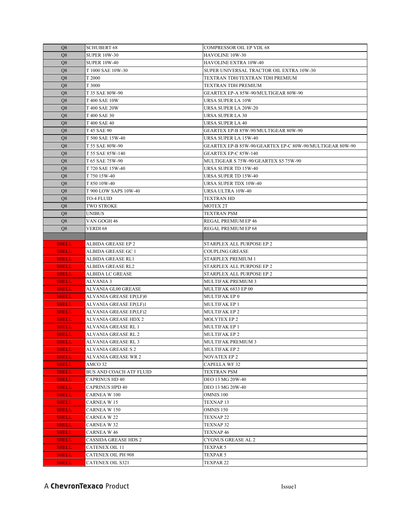| Q8             | <b>SCHUBERT 68</b>      | <b>COMPRESSOR OIL EP VDL 68</b>                          |
|----------------|-------------------------|----------------------------------------------------------|
| Q8             | <b>SUPER 10W-30</b>     | HAVOLINE 10W-30                                          |
| Q8             | <b>SUPER 10W-40</b>     | HAVOLINE EXTRA 10W-40                                    |
| Q8             | T 1000 SAE 10W-30       | SUPER UNIVERSAL TRACTOR OIL EXTRA 10W-30                 |
| Q8             | T 2000                  | TEXTRAN TDH/TEXTRAN TDH PREMIUM                          |
| Q8             | T 3000                  | TEXTRAN TDH PREMIUM                                      |
| Q8             | T 35 SAE 80W-90         | GEARTEX EP-A 85W-90/MULTIGEAR 80W-90                     |
| Q8             | T 400 SAE 10W           | URSA SUPER LA 10W                                        |
| Q8             | T 400 SAE 20W           | URSA SUPER LA 20W-20                                     |
| Q8             | T 400 SAE 30            | <b>URSA SUPER LA 30</b>                                  |
| Q8             | T 400 SAE 40            | URSA SUPER LA 40                                         |
| Q8             | T 45 SAE 90             | GEARTEX EP-B 85W-90/MULTIGEAR 80W-90                     |
| Q8             | T 500 SAE 15W-40        | URSA SUPER LA 15W-40                                     |
| Q8             | T 55 SAE 80W-90         | GEARTEX EP-B 85W-90/GEARTEX EP-C 80W-90/MULTIGEAR 80W-90 |
| Q8             | T 55 SAE 85W-140        | GEARTEX EP-C 85W-140                                     |
| Q8             | T 65 SAE 75W-90         | MULTIGEAR S 75W-90/GEARTEX S5 75W-90                     |
| Q8             | T 720 SAE 15W-40        | URSA SUPER TD 15W-40                                     |
| Q8             | T 750 15W-40            | URSA SUPER TD 15W-40                                     |
| Q8             | T 850 10W-40            | URSA SUPER TDX 10W-40                                    |
| Q8             | T 900 LOW SAPS 10W-40   | URSA ULTRA 10W-40                                        |
| Q8             | <b>TO-4 FLUID</b>       | <b>TEXTRAN HD</b>                                        |
| Q8             | TWO STROKE              | MOTEX 2T                                                 |
| Q <sub>8</sub> | UNIBUS                  | <b>TEXTRAN PSM</b>                                       |
| Q8             | VAN GOGH 46             | REGAL PREMIUM EP 46                                      |
| Q <sub>8</sub> | VERDI 68                | <b>REGAL PREMIUM EP 68</b>                               |
|                |                         |                                                          |
| <b>SHELL</b>   | ALBIDA GREASE EP 2      | STARPLEX ALL PURPOSE EP 2                                |
| <b>SHELL</b>   | ALBIDA GREASE GC 1      | <b>COUPLING GREASE</b>                                   |
| <b>SHELL</b>   | ALBIDA GREASE RL1       | STARPLEX PREMIUM 1                                       |
| <b>SHELL</b>   | ALBIDA GREASE RL2       | STARPLEX ALL PURPOSE EP 2                                |
| <b>SHELL</b>   | ALBIDA LC GREASE        | STARPLEX ALL PURPOSE EP 2                                |
| <b>SHELL</b>   | ALVANIA 3               | MULTIFAK PREMIUM 3                                       |
| <b>SHELL</b>   | ALVANIA GL00 GREASE     | MULTIFAK 6833 EP 00                                      |
| <b>SHELL</b>   | ALVANIA GREASE EP(LF)0  | MULTIFAK EP 0                                            |
| <b>SHELL</b>   | ALVANIA GREASE EP(LF)1  | <b>MULTIFAK EP 1</b>                                     |
| <b>SHELL</b>   | ALVANIA GREASE EP(LF)2  | <b>MULTIFAK EP 2</b>                                     |
| <b>SHELL</b>   | ALVANIA GREASE HDX 2    | <b>MOLYTEX EP 2</b>                                      |
| <b>SHELL</b>   | ALVANIA GREASE RL 1     | <b>MULTIFAK EP 1</b>                                     |
| <b>SHELI</b>   | ALVANIA GREASE RL 2     | MULTIFAK EP 2                                            |
| <b>SHELL</b>   | ALVANIA GREASE RL 3     | <b>MULTIFAK PREMIUM 3</b>                                |
| <b>SHELL</b>   | ALVANIA GREASE S 2      | <b>MULTIFAK EP 2</b>                                     |
| <b>SHELL</b>   | ALVANIA GREASE WR 2     | <b>NOVATEX EP 2</b>                                      |
| <b>SHELL</b>   | AMCO 32                 | <b>CAPELLA WF 32</b>                                     |
| <b>SHELL</b>   |                         |                                                          |
| <b>SHELL</b>   | BUS AND COACH ATF FLUID | <b>TEXTRAN PSM</b>                                       |
|                | CAPRINUS HD 40          | DEO 13 MG 20W-40                                         |
| <b>SHELL</b>   | CAPRINUS HPD 40         | DEO 13 MG 20W-40                                         |
| <b>SHELL</b>   | CARNEA W 100            | OMNIS 100                                                |
| <b>SHELL</b>   | CARNEA W 15             | TEXNAP 13                                                |
| <b>SHELL</b>   | CARNEA W 150            | OMNIS 150                                                |
| <b>SHELL</b>   | CARNEA W 22             | TEXNAP 22                                                |
| <b>SHELL</b>   | CARNEA W 32             | TEXNAP 32                                                |
| <b>SHELL</b>   | CARNEA W 46             | TEXNAP 46                                                |
| <b>SHELL</b>   | CASSIDA GREASE HDS 2    | CYGNUS GREASE AL 2                                       |
| <b>SHELL</b>   | CATENEX OIL 11          | TEXPAR 5                                                 |
| <b>SHELL</b>   | CATENEX OIL PH 908      | TEXPAR 5                                                 |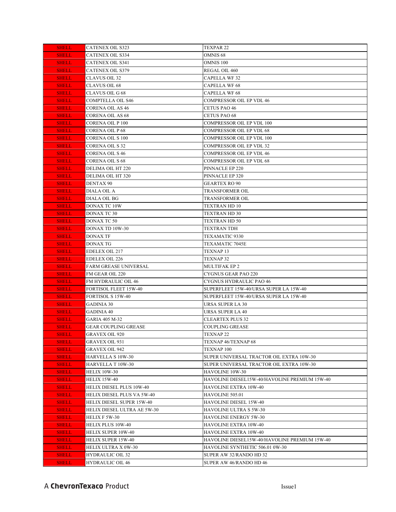| <b>SHELL</b>                 | <b>CATENEX OIL S323</b>      | <b>TEXPAR 22</b>                                                 |
|------------------------------|------------------------------|------------------------------------------------------------------|
| <b>SHELL</b>                 | CATENEX OIL S334             | OMNIS <sub>68</sub>                                              |
| <b>SHELL</b>                 | CATENEX OIL S341             | <b>OMNIS 100</b>                                                 |
| <b>SHELL</b>                 | <b>CATENEX OIL S379</b>      | REGAL OIL 460                                                    |
| <b>SHELL</b>                 | CLAVUS OIL 32                | <b>CAPELLA WF32</b>                                              |
| <b>SHELL</b>                 | <b>CLAVUS OIL 68</b>         | <b>CAPELLA WF 68</b>                                             |
| <b>SHELL</b>                 | <b>CLAVUS OIL G 68</b>       | <b>CAPELLA WF 68</b>                                             |
| <b>SHELL</b>                 | <b>COMPTELLA OIL S46</b>     | <b>COMPRESSOR OIL EP VDL 46</b>                                  |
| <b>SHELL</b>                 | <b>CORENA OIL AS 46</b>      | <b>CETUS PAO 46</b>                                              |
| <b>SHELL</b>                 | <b>CORENA OIL AS 68</b>      | <b>CETUS PAO 68</b>                                              |
| <b>SHELL</b>                 | <b>CORENA OIL P 100</b>      | <b>COMPRESSOR OIL EP VDL 100</b>                                 |
| <b>SHELL</b>                 | <b>CORENA OIL P68</b>        | <b>COMPRESSOR OIL EP VDL 68</b>                                  |
| <b>SHELL</b>                 | <b>CORENA OIL S 100</b>      | COMPRESSOR OIL EP VDL 100                                        |
| <b>SHELL</b>                 | CORENA OIL S 32              | COMPRESSOR OIL EP VDL 32                                         |
| <b>SHELL</b>                 | CORENA OIL S 46              | COMPRESSOR OIL EP VDL 46                                         |
| <b>SHELL</b>                 | <b>CORENA OIL S 68</b>       | COMPRESSOR OIL EP VDL 68                                         |
| <b>SHELL</b>                 | DELIMA OIL HT 220            | PINNACLE EP 220                                                  |
| <b>SHELL</b>                 | DELIMA OIL HT 320            | PINNACLE EP 320                                                  |
| <b>SHELL</b>                 | DENTAX 90                    | <b>GEARTEX RO 90</b>                                             |
| <b>SHELL</b>                 | DIALA OIL A                  | TRANSFORMER OIL                                                  |
| <b>SHELL</b>                 | DIALA OIL BG                 | TRANSFORMER OIL                                                  |
| <b>SHELL</b>                 | DONAX TC 10W                 | <b>TEXTRAN HD 10</b>                                             |
| <b>SHELL</b>                 | DONAX TC 30                  | TEXTRAN HD 30                                                    |
| <b>SHELL</b>                 | DONAX TC 50                  | TEXTRAN HD 50                                                    |
| <b>SHELL</b>                 | DONAX TD 10W-30              | TEXTRAN TDH                                                      |
| <b>SHELL</b>                 | DONAX TF                     | TEXAMATIC 9330                                                   |
| <b>SHELL</b>                 | DONAX TG                     | <b>TEXAMATIC 7045E</b>                                           |
| <b>SHELL</b>                 | <b>EDELEX OIL 217</b>        | <b>TEXNAP 13</b>                                                 |
| <b>SHELL</b>                 | <b>EDELEX OIL 226</b>        | <b>TEXNAP 32</b>                                                 |
| <b>SHELL</b>                 | <b>FARM GREASE UNIVERSAL</b> | MULTIFAK EP 2                                                    |
| <b>SHELL</b>                 | FM GEAR OIL 220              | CYGNUS GEAR PAO 220                                              |
| <b>SHELL</b>                 | FM HYDRAULIC OIL 46          | CYGNUS HYDRAULIC PAO 46                                          |
| <b>SHELL</b>                 | FORTISOL FLEET 15W-40        | SUPERFLEET 15W-40/URSA SUPER LA 15W-40                           |
| <b>SHELL</b>                 | FORTISOL S 15W-40            | SUPERFLEET 15W-40/URSA SUPER LA 15W-40                           |
| <b>SHELL</b>                 | GADINIA 30                   | URSA SUPER LA 30                                                 |
| <b>SHELL</b>                 | GADINIA 40                   | URSA SUPER LA 40                                                 |
| <b>SHELL</b>                 | GARIA 405 M-32               | CLEARTEX PLUS 32                                                 |
| <b>SHELL</b>                 | GEAR COUPLING GREASE         | <b>COUPLING GREASE</b>                                           |
| <b>SHELL</b>                 | <b>GRAVEX OIL 920</b>        | TEXNAP <sub>22</sub>                                             |
| <b>SHELL</b>                 | GRAVEX OIL 931               | TEXNAP 46/TEXNAP 68                                              |
| <b>SHELL</b>                 | GRAVEX OIL 942               | TEXNAP 100                                                       |
| <b>SHELL</b>                 | <b>HARVELLA S 10W-30</b>     | SUPER UNIVERSAL TRACTOR OIL EXTRA 10W-30                         |
| <b>SHELL</b>                 | HARVELLA T 10W-30            | SUPER UNIVERSAL TRACTOR OIL EXTRA 10W-30                         |
| <b>SHELL</b><br><b>SHELL</b> | HELIX 10W-30<br>HELIX 15W-40 | HAVOLINE 10W-30<br>HAVOLINE DIESEL15W-40/HAVOLINE PREMIUM 15W-40 |
| <b>SHELL</b>                 | HELIX DIESEL PLUS 10W-40     | HAVOLINE EXTRA 10W-40                                            |
| <b>SHELL</b>                 | HELIX DIESEL PLUS VA 5W-40   | HAVOLINE 505.01                                                  |
|                              | HELIX DIESEL SUPER 15W-40    | HAVOLINE DIESEL 15W-40                                           |
| <b>SHELL</b><br><b>SHELL</b> | HELIX DIESEL ULTRA AE 5W-30  | HAVOLINE ULTRA S 5W-30                                           |
| <b>SHELL</b>                 | HELIX F 5W-30                | HAVOLINE ENERGY 5W-30                                            |
| <b>SHELL</b>                 | HELIX PLUS 10W-40            | HAVOLINE EXTRA 10W-40                                            |
| <b>SHELL</b>                 | HELIX SUPER 10W-40           | HAVOLINE EXTRA 10W-40                                            |
| <b>SHELL</b>                 | HELIX SUPER 15W-40           | HAVOLINE DIESEL15W-40/HAVOLINE PREMIUM 15W-40                    |
| <b>SHELL</b>                 | HELIX ULTRA X 0W-30          | HAVOLINE SYNTHETIC 506.01 0W-30                                  |
| <b>SHELL</b>                 | HYDRAULIC OIL 32             | SUPER AW 32/RANDO HD 32                                          |
| <b>SHELL</b>                 | HYDRAULIC OIL 46             | SUPER AW 46/RANDO HD 46                                          |
|                              |                              |                                                                  |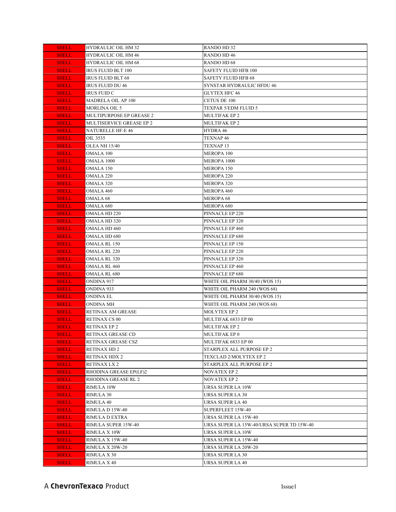| <b>SHELL</b>                 | <b>HYDRAULIC OIL HM 32</b> | <b>RANDO HD 32</b>                        |
|------------------------------|----------------------------|-------------------------------------------|
| <b>SHELL</b>                 | <b>HYDRAULIC OIL HM 46</b> | <b>RANDO HD 46</b>                        |
| <b>SHELL</b>                 | <b>HYDRAULIC OIL HM 68</b> | <b>RANDO HD 68</b>                        |
| <b>SHELL</b>                 | <b>IRUS FLUID BLT 100</b>  | <b>SAFETY FLUID HFB 100</b>               |
| <b>SHELL</b>                 | <b>IRUS FLUID BLT 68</b>   | <b>SAFETY FLUID HFB 68</b>                |
| <b>SHELL</b>                 | <b>IRUS FLUID DU 46</b>    | <b>SYNSTAR HYDRAULIC HFDU 46</b>          |
| <b>SHELL</b>                 | <b>IRUS FUID C</b>         | <b>GLYTEX HFC 46</b>                      |
| <b>SHELL</b>                 | MADRELA OIL AP 100         | CETUS DE 100                              |
| <b>SHELL</b>                 | <b>MORLINA OIL 5</b>       | <b>TEXPAR 5/EDM FLUID 5</b>               |
| <b>SHELL</b>                 | MULTIPURPOSE EP GREASE 2   | MULTIFAK EP 2                             |
| <b>SHELL</b>                 | MULTISERVICE GREASE EP 2   | <b>MULTIFAK EP 2</b>                      |
| <b>SHELL</b>                 | <b>NATURELLE HF-E 46</b>   | HYDRA 46                                  |
| <b>SHELL</b>                 | OIL 3535                   | TEXNAP 46                                 |
| <b>SHELL</b>                 | OLEA NH 15/40              | TEXNAP 13                                 |
| <b>SHELL</b>                 | OMALA 100                  | <b>MEROPA 100</b>                         |
| <b>SHELL</b>                 | OMALA 1000                 | MEROPA 1000                               |
| <b>SHELL</b>                 | OMALA 150                  | MEROPA 150                                |
| <b>SHELL</b>                 | OMALA 220                  | <b>MEROPA 220</b>                         |
| <b>SHELL</b>                 | OMALA 320                  | <b>MEROPA 320</b>                         |
| <b>SHELL</b>                 | <b>OMALA 460</b>           | MEROPA 460                                |
| <b>SHELL</b>                 | OMALA 68                   | <b>MEROPA 68</b>                          |
| <b>SHELL</b>                 | OMALA 680                  | MEROPA 680                                |
| <b>SHELL</b>                 | OMALA HD 220               | PINNACLE EP 220                           |
| <b>SHELL</b>                 | OMALA HD 320               | PINNACLE EP 320                           |
| <b>SHELL</b>                 | <b>OMALA HD 460</b>        | PINNACLE EP 460                           |
| <b>SHELL</b>                 | OMALA HD 680               | PINNACLE EP 680                           |
| <b>SHELL</b>                 | OMALA RL 150               | PINNACLE EP 150                           |
| <b>SHELL</b>                 | OMALA RL 220               | PINNACLE EP 220                           |
| <b>SHELL</b>                 | <b>OMALA RL 320</b>        | PINNACLE EP 320                           |
| <b>SHELL</b>                 | <b>OMALA RL 460</b>        | PINNACLE EP 460                           |
| <b>SHELL</b>                 | <b>OMALA RL 680</b>        | PINNACLE EP 680                           |
| <b>SHELL</b>                 | ONDINA 917                 | WHITE OIL PHARM 30/40 (WOS 15)            |
| <b>SHELL</b>                 | ONDINA 933                 | WHITE OIL PHARM 240 (WOS 68)              |
| <b>SHELL</b>                 | ONDINA EL                  | WHITE OIL PHARM 30/40 (WOS 15)            |
| <b>SHELL</b>                 | ONDINA MH                  | WHITE OIL PHARM 240 (WOS 68)              |
| <b>SHELL</b>                 | RETINAX AM GREASE          | <b>MOLYTEX EP 2</b>                       |
| <b>SHELL</b>                 | <b>RETINAX CS 00</b>       | MULTIFAK 6833 EP 00                       |
| <b>SHELL</b>                 | <b>RETINAX EP 2</b>        | MULTIFAK EP 2                             |
| <b>SHELL</b>                 | RETINAX GREASE CD          | MULTIFAK EP 0                             |
| <b>SHELL</b>                 | RETINAX GREASE CSZ         | MULTIFAK 6833 EP 00                       |
| <b>SHELL</b>                 | RETINAX HD 2               | STARPLEX ALL PURPOSE EP 2                 |
| <b>SHELL</b>                 | RETINAX HDX 2              | TEXCLAD 2/MOLYTEX EP 2                    |
| <b>SHELL</b>                 | RETINAX LX 2               | STARPLEX ALL PURPOSE EP 2                 |
| <b>SHELL</b>                 | RHODINA GREASE EP(LF)2     | NOVATEX EP 2                              |
| <b>SHELL</b>                 | RHODINA GREASE RL 2        | <b>NOVATEX EP 2</b>                       |
| <b>SHELL</b>                 | RIMULA 10W                 | URSA SUPER LA 10W                         |
| <b>SHELL</b>                 | RIMULA 30                  | URSA SUPER LA 30                          |
| <b>SHELL</b>                 | RIMULA 40                  | <b>URSA SUPER LA 40</b>                   |
| <b>SHELL</b>                 | RIMULA D 15W-40            | SUPERFLEET 15W-40                         |
| <b>SHELL</b>                 | RIMULA D EXTRA             | URSA SUPER LA 15W-40                      |
| <b>SHELL</b>                 | RIMULA SUPER 15W-40        | URSA SUPER LA 15W-40/URSA SUPER TD 15W-40 |
| <b>SHELL</b>                 | RIMULA X 10W               | URSA SUPER LA 10W                         |
| <b>SHELL</b>                 | RIMULA X 15W-40            | URSA SUPER LA 15W-40                      |
| <b>SHELL</b>                 | RIMULA X 20W-20            | URSA SUPER LA 20W-20<br>URSA SUPER LA 30  |
| <b>SHELL</b><br><b>SHELL</b> | RIMULA X 30<br>RIMULA X 40 | URSA SUPER LA 40                          |
|                              |                            |                                           |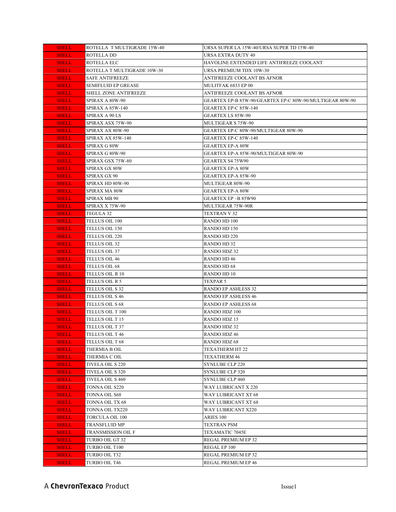| <b>SHELL</b> | ROTELLA T MULTIGRADE 15W-40  | URSA SUPER LA 15W-40/URSA SUPER TD 15W-40                |
|--------------|------------------------------|----------------------------------------------------------|
| <b>SHELL</b> | ROTELLA DD                   | URSA EXTRA DUTY 40                                       |
| <b>SHELL</b> | ROTELLA ELC                  | HAVOLINE EXTENDED LIFE ANTIFREEZE COOLANT                |
| <b>SHELL</b> | ROTELLA T MULTIGRADE 10W-30  | URSA PREMIUM TDX 10W-30                                  |
| <b>SHELL</b> | <b>SAFE ANTIFREEZE</b>       | ANTIFREEZE COOLANT BS AFNOR                              |
| <b>SHELL</b> | <b>SEMIFLUID EP GREASE</b>   | MULITFAK 6833 EP 00                                      |
| <b>SHELL</b> | <b>SHELL ZONE ANTIFREEZE</b> | ANTIFREEZE COOLANT BS AFNOR                              |
| <b>SHELL</b> | SPIRAX A 80W-90              | GEARTEX EP-B 85W-90/GEARTEX EP-C 80W-90/MULTIGEAR 80W-90 |
| <b>SHELL</b> | SPIRAX A 85W-140             | GEARTEX EP-C 85W-140                                     |
| <b>SHELL</b> | SPIRAX A 90 LS               | GEARTEX LS 85W-90                                        |
| <b>SHELL</b> | SPIRAX ASX 75W-90            | MULTIGEAR S 75W-90                                       |
| <b>SHELL</b> | SPIRAX AX 80W-90             | GEARTEX EP-C 80W-90/MULTIGEAR 80W-90                     |
| <b>SHELL</b> | SPIRAX AX 85W-140            | GEARTEX EP-C 85W-140                                     |
| <b>SHELL</b> | SPIRAX G 80W                 | <b>GEARTEX EP-A 80W</b>                                  |
| <b>SHELL</b> | SPIRAX G 80W-90              | GEARTEX EP-A 85W-90/MULTIGEAR 80W-90                     |
| <b>SHELL</b> | SPIRAX GSX 75W-80            | GEARTEX S4 75W90                                         |
| <b>SHELL</b> | SPIRAX GX 80W                | <b>GEARTEX EP-A 80W</b>                                  |
| <b>SHELL</b> | SPIRAX GX 90                 | GEARTEX EP-A 85W-90                                      |
| <b>SHELL</b> | SPIRAX HD 80W-90             | MULTIGEAR 80W-90                                         |
| <b>SHELL</b> | SPIRAX MA 80W                | GEARTEX EP-A 80W                                         |
| <b>SHELL</b> | SPIRAX MB 90                 | GEARTEX EP-B 85W90                                       |
| <b>SHELL</b> | SPIRAX X 75W-90              | MULTIGEAR 75W-90R                                        |
| <b>SHELL</b> | TEGULA 32                    | <b>TEXTRAN V 32</b>                                      |
| <b>SHELL</b> | TELLUS OIL 100               | RANDO HD 100                                             |
| <b>SHELL</b> | <b>TELLUS OIL 150</b>        | RANDO HD 150                                             |
| <b>SHELL</b> | <b>TELLUS OIL 220</b>        | RANDO HD 220                                             |
| <b>SHELL</b> | <b>TELLUS OIL 32</b>         | RANDO HD 32                                              |
| <b>SHELL</b> | TELLUS OIL 37                | RANDO HDZ 32                                             |
| <b>SHELL</b> | TELLUS OIL 46                | RANDO HD 46                                              |
| <b>SHELL</b> | TELLUS OIL 68                | RANDO HD 68                                              |
| <b>SHELL</b> | TELLUS OIL R 10              | RANDO HD 10                                              |
| <b>SHELL</b> | TELLUS OIL R 5               | TEXPAR 5                                                 |
| <b>SHELL</b> | TELLUS OIL S 32              | RANDO EP ASHLESS 32                                      |
| <b>SHELL</b> | TELLUS OIL S 46              | <b>RANDO EP ASHLESS 46</b>                               |
| <b>SHELL</b> | TELLUS OIL S 68              | <b>RANDO EP ASHLESS 68</b>                               |
| <b>SHELL</b> | TELLUS OIL T 100             | RANDO HDZ 100                                            |
| <b>SHELL</b> | TELLUS OIL T 15              | RANDO HDZ 15                                             |
| <b>SHELL</b> | TELLUS OIL T 37              | RANDO HDZ 32                                             |
| <b>SHELL</b> | TELLUS OIL T 46              | RANDO HDZ 46                                             |
| <b>SHELL</b> | TELLUS OIL T 68              | RANDO HDZ 68                                             |
| <b>SHELL</b> | THERMIA B OIL                | TEXATHERM HT 22                                          |
| <b>SHELL</b> | THERMIA C OIL                | <b>TEXATHERM 46</b>                                      |
| <b>SHELL</b> | TIVELA OIL S 220             | SYNLUBE CLP 220                                          |
| <b>SHELL</b> | <b>TIVELA OIL S 320</b>      | SYNLUBE CLP 320                                          |
| <b>SHELL</b> | <b>TIVELA OIL S 460</b>      | SYNLUBE CLP 460                                          |
| <b>SHELL</b> | TONNA OIL S220               | WAY LUBRICANT X 220                                      |
| <b>SHELL</b> | TONNA OIL S68                | WAY LUBRICANT XT 68                                      |
| <b>SHELL</b> | TONNA OIL TX 68              | WAY LUBRICANT XT 68                                      |
| <b>SHELL</b> | TONNA OIL TX220              | WAY LUBRICANT X220                                       |
| <b>SHELL</b> | <b>TORCULA OIL 100</b>       | ARIES 100                                                |
| <b>SHELL</b> | TRANSFLUID MP                | TEXTRAN PSM                                              |
| <b>SHELL</b> | TRANSMISSION OIL F           | TEXAMATIC 7045E                                          |
| <b>SHELL</b> | TURBO OIL GT 32              | REGAL PREMIUM EP 32                                      |
| <b>SHELL</b> | TURBO OIL T100               | REGAL EP 100                                             |
| <b>SHELL</b> | TURBO OIL T32                | REGAL PREMIUM EP 32                                      |
| <b>SHELL</b> | TURBO OIL T46                | REGAL PREMIUM EP 46                                      |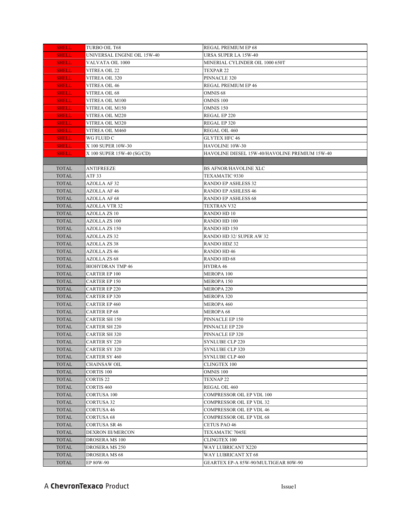| <b>SHELL</b> | TURBO OIL T68               | REGAL PREMIUM EP 68                            |
|--------------|-----------------------------|------------------------------------------------|
| <b>SHELL</b> | UNIVERSAL ENGINE OIL 15W-40 | URSA SUPER LA 15W-40                           |
| <b>SHELL</b> | VALVATA OIL 1000            | MINERIAL CYLINDER OIL 1000 650T                |
| <b>SHELL</b> | VITREA OIL 22               | TEXPAR 22                                      |
| <b>SHELL</b> | VITREA OIL 320              | PINNACLE 320                                   |
| <b>SHELL</b> | <b>VITREA OIL 46</b>        | <b>REGAL PREMIUM EP 46</b>                     |
| <b>SHELL</b> | VITREA OIL 68               | <b>OMNIS 68</b>                                |
| <b>SHELL</b> | VITREA OIL M100             | <b>OMNIS 100</b>                               |
| <b>SHELL</b> | VITREA OIL M150             | OMNIS <sub>150</sub>                           |
| <b>SHELL</b> | VITREA OIL M220             | REGAL EP 220                                   |
| <b>SHELL</b> | VITREA OIL M320             | REGAL EP 320                                   |
| <b>SHELL</b> | VITREA OIL M460             | REGAL OIL 460                                  |
| <b>SHELL</b> | WG FLUID C                  | <b>GLYTEX HFC 46</b>                           |
| <b>SHELL</b> | X 100 SUPER 10W-30          | <b>HAVOLINE 10W-30</b>                         |
| <b>SHELL</b> | X 100 SUPER 15W-40 (SG/CD)  | HAVOLINE DIESEL 15W-40/HAVOLINE PREMIUM 15W-40 |
|              |                             |                                                |
| <b>TOTAL</b> | <b>ANTIFREEZE</b>           | BS AFNOR/HAVOLINE XLC                          |
| <b>TOTAL</b> | ATF 33                      | TEXAMATIC 9330                                 |
| <b>TOTAL</b> | <b>AZOLLA AF 32</b>         | RANDO EP ASHLESS 32                            |
| <b>TOTAL</b> | <b>AZOLLA AF 46</b>         | <b>RANDO EP ASHLESS 46</b>                     |
| <b>TOTAL</b> | <b>AZOLLA AF 68</b>         | RANDO EP ASHLESS 68                            |
| <b>TOTAL</b> | AZOLLA VTR 32               | <b>TEXTRAN V32</b>                             |
| <b>TOTAL</b> | <b>AZOLLA ZS 10</b>         | RANDO HD 10                                    |
| <b>TOTAL</b> | <b>AZOLLA ZS 100</b>        | RANDO HD 100                                   |
| <b>TOTAL</b> | <b>AZOLLA ZS 150</b>        | RANDO HD 150                                   |
| <b>TOTAL</b> | <b>AZOLLA ZS 32</b>         | RANDO HD 32/ SUPER AW 32                       |
| <b>TOTAL</b> | <b>AZOLLA ZS 38</b>         | <b>RANDO HDZ 32</b>                            |
| <b>TOTAL</b> | <b>AZOLLA ZS 46</b>         | <b>RANDO HD46</b>                              |
| <b>TOTAL</b> | <b>AZOLLA ZS 68</b>         | <b>RANDO HD 68</b>                             |
| <b>TOTAL</b> | <b>BIOHYDRAN TMP 46</b>     | HYDRA 46                                       |
| <b>TOTAL</b> | <b>CARTER EP 100</b>        | <b>MEROPA 100</b>                              |
| <b>TOTAL</b> | <b>CARTER EP 150</b>        | MEROPA 150                                     |
| <b>TOTAL</b> | <b>CARTER EP 220</b>        | MEROPA 220                                     |
| <b>TOTAL</b> | <b>CARTER EP 320</b>        | MEROPA 320                                     |
| <b>TOTAL</b> | <b>CARTER EP 460</b>        | MEROPA 460                                     |
| <b>TOTAL</b> | <b>CARTER EP 68</b>         | <b>MEROPA 68</b>                               |
| <b>TOTAL</b> | <b>CARTER SH 150</b>        | PINNACLE EP 150                                |
| <b>TOTAL</b> | CARTER SH 220               | PINNACLE EP 220                                |
| <b>TOTAL</b> | <b>CARTER SH 320</b>        | PINNACLE EP 320                                |
| <b>TOTAL</b> | <b>CARTER SY 220</b>        | SYNLUBE CLP 220                                |
| <b>TOTAL</b> | <b>CARTER SY 320</b>        | SYNLUBE CLP 320                                |
| <b>TOTAL</b> | CARTER SY 460               | SYNLUBE CLP 460                                |
| <b>TOTAL</b> | <b>CHAINSAW OIL</b>         | <b>CLINGTEX 100</b>                            |
| <b>TOTAL</b> | <b>CORTIS 100</b>           | <b>OMNIS 100</b>                               |
| <b>TOTAL</b> | <b>CORTIS 22</b>            | TEXNAP <sub>22</sub>                           |
| <b>TOTAL</b> | <b>CORTIS 460</b>           | REGAL OIL 460                                  |
| <b>TOTAL</b> | <b>CORTUSA 100</b>          | COMPRESSOR OIL EP VDL 100                      |
| <b>TOTAL</b> | <b>CORTUSA 32</b>           | COMPRESSOR OIL EP VDL 32                       |
| <b>TOTAL</b> | <b>CORTUSA 46</b>           | <b>COMPRESSOR OIL EP VDL 46</b>                |
| <b>TOTAL</b> | <b>CORTUSA 68</b>           | COMPRESSOR OIL EP VDL 68                       |
| <b>TOTAL</b> | CORTUSA SR 46               | CETUS PAO 46                                   |
| <b>TOTAL</b> | DEXRON III/MERCON           | TEXAMATIC 7045E                                |
| <b>TOTAL</b> | DROSERA MS 100              | <b>CLINGTEX 100</b>                            |
| <b>TOTAL</b> | DROSERA MS 250              | WAY LUBRICANT X220                             |
| <b>TOTAL</b> | <b>DROSERA MS 68</b>        | WAY LUBRICANT XT 68                            |
| <b>TOTAL</b> | EP 80W-90                   | GEARTEX EP-A 85W-90/MULTIGEAR 80W-90           |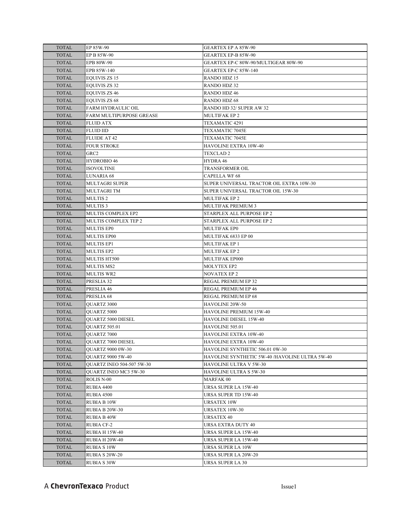| <b>TOTAL</b> | EP 85W-90                        | <b>GEARTEX EP A 85W-90</b>                     |
|--------------|----------------------------------|------------------------------------------------|
| <b>TOTAL</b> | EP B 85W-90                      | <b>GEARTEX EP-B 85W-90</b>                     |
| <b>TOTAL</b> | EPB 80W-90                       | GEARTEX EP-C 80W-90/MULTIGEAR 80W-90           |
| <b>TOTAL</b> | EPB 85W-140                      | GEARTEX EP-C 85W-140                           |
| <b>TOTAL</b> | EQUIVIS ZS 15                    | <b>RANDO HDZ 15</b>                            |
| <b>TOTAL</b> | <b>EQUIVIS ZS 32</b>             | <b>RANDO HDZ 32</b>                            |
| <b>TOTAL</b> | <b>EQUIVIS ZS 46</b>             | <b>RANDO HDZ 46</b>                            |
| <b>TOTAL</b> | <b>EQUIVIS ZS 68</b>             | <b>RANDO HDZ 68</b>                            |
| <b>TOTAL</b> | FARM HYDRAULIC OIL               | RANDO HD 32/ SUPER AW 32                       |
| <b>TOTAL</b> | FARM MULTIPURPOSE GREASE         | MULTIFAK EP 2                                  |
| <b>TOTAL</b> | <b>FLUID ATX</b>                 | TEXAMATIC 4291                                 |
| <b>TOTAL</b> | <b>FLUID IID</b>                 | TEXAMATIC 7045E                                |
| <b>TOTAL</b> | <b>FLUIDE AT 42</b>              | TEXAMATIC 7045E                                |
| <b>TOTAL</b> | <b>FOUR STROKE</b>               | HAVOLINE EXTRA 10W-40                          |
| <b>TOTAL</b> | GRC <sub>2</sub>                 | <b>TEXCLAD 2</b>                               |
| <b>TOTAL</b> | HYDROBIO 46                      | HYDRA 46                                       |
| <b>TOTAL</b> | ISOVOLTINE                       | TRANSFORMER OIL                                |
| <b>TOTAL</b> | LUNARIA 68                       | <b>CAPELLA WF 68</b>                           |
| <b>TOTAL</b> | <b>MULTAGRI SUPER</b>            | SUPER UNIVERSAL TRACTOR OIL EXTRA 10W-30       |
| <b>TOTAL</b> | <b>MULTAGRI TM</b>               | SUPER UNIVERSAL TRACTOR OIL 15W-30             |
| <b>TOTAL</b> | MULTIS <sub>2</sub>              | MULTIFAK EP 2                                  |
| <b>TOTAL</b> | <b>MULTIS3</b>                   | <b>MULTIFAK PREMIUM 3</b>                      |
| <b>TOTAL</b> | <b>MULTIS COMPLEX EP2</b>        | STARPLEX ALL PURPOSE EP 2                      |
| <b>TOTAL</b> | MULTIS COMPLEX TEP 2             | STARPLEX ALL PURPOSE EP 2                      |
| <b>TOTAL</b> | <b>MULTIS EPO</b>                | <b>MULTIFAK EP0</b>                            |
| <b>TOTAL</b> | MULTIS EP00                      | MULTIFAK 6833 EP 00                            |
| <b>TOTAL</b> | <b>MULTIS EP1</b>                | MULTIFAK EP 1                                  |
| <b>TOTAL</b> | <b>MULTIS EP2</b>                | <b>MULTIFAK EP 2</b>                           |
| <b>TOTAL</b> | MULTIS HT500                     | MULTIFAK EP000                                 |
| <b>TOTAL</b> | <b>MULTIS MS2</b>                | <b>MOLYTEX EP2</b>                             |
| <b>TOTAL</b> | <b>MULTIS WR2</b>                | <b>NOVATEX EP 2</b>                            |
| <b>TOTAL</b> | PRESLIA 32                       | REGAL PREMIUM EP 32                            |
| <b>TOTAL</b> | PRESLIA 46                       | REGAL PREMIUM EP 46                            |
| <b>TOTAL</b> | PRESLIA 68                       | REGAL PREMIUM EP 68                            |
| <b>TOTAL</b> | QUARTZ 3000                      | HAVOLINE 20W-50                                |
| <b>TOTAL</b> | QUARTZ 5000                      | HAVOLINE PREMIUM 15W-40                        |
| <b>TOTAL</b> | <b>OUARTZ 5000 DIESEL</b>        | <b>HAVOLINE DIESEL 15W-40</b>                  |
| <b>TOTAL</b> | <b>OUARTZ 505.01</b>             | HAVOLINE 505.01                                |
| <b>TOTAL</b> | QUARTZ 7000                      | HAVOLINE EXTRA 10W-40                          |
| <b>TOTAL</b> | QUARTZ 7000 DIESEL               | HAVOLINE EXTRA 10W-40                          |
| <b>TOTAL</b> | QUARTZ 9000 0W-30                | HAVOLINE SYNTHETIC 506.01 0W-30                |
| <b>TOTAL</b> | <b>OUARTZ 9000 5W-40</b>         | HAVOLINE SYNTHETIC 5W-40 /HAVOLINE ULTRA 5W-40 |
| <b>TOTAL</b> | <b>OUARTZ INEO 504-507 5W-30</b> | <b>HAVOLINE ULTRA V 5W-30</b>                  |
| <b>TOTAL</b> | QUARTZ INEO MC3 5W-30            | HAVOLINE ULTRA S 5W-30                         |
| <b>TOTAL</b> | <b>ROLIS N-00</b>                | <b>MARFAK 00</b>                               |
| <b>TOTAL</b> | RUBIA 4400                       | URSA SUPER LA 15W-40                           |
| <b>TOTAL</b> | <b>RUBIA 4500</b>                | URSA SUPER TD 15W-40                           |
| <b>TOTAL</b> | <b>RUBIA B10W</b>                | <b>URSATEX 10W</b>                             |
| <b>TOTAL</b> | <b>RUBIA B 20W-30</b>            | URSATEX 10W-30                                 |
| <b>TOTAL</b> | <b>RUBIA B 40W</b>               | <b>URSATEX 40</b>                              |
| <b>TOTAL</b> | <b>RUBIA CF-2</b>                | URSA EXTRA DUTY 40                             |
| <b>TOTAL</b> | <b>RUBIA H 15W-40</b>            | URSA SUPER LA 15W-40                           |
| <b>TOTAL</b> | RUBIA H 20W-40                   | URSA SUPER LA 15W-40                           |
| <b>TOTAL</b> | <b>RUBIA S 10W</b>               | URSA SUPER LA 10W                              |
| <b>TOTAL</b> | <b>RUBIA S 20W-20</b>            | URSA SUPER LA 20W-20                           |
| <b>TOTAL</b> | <b>RUBIA S 30W</b>               | URSA SUPER LA 30                               |